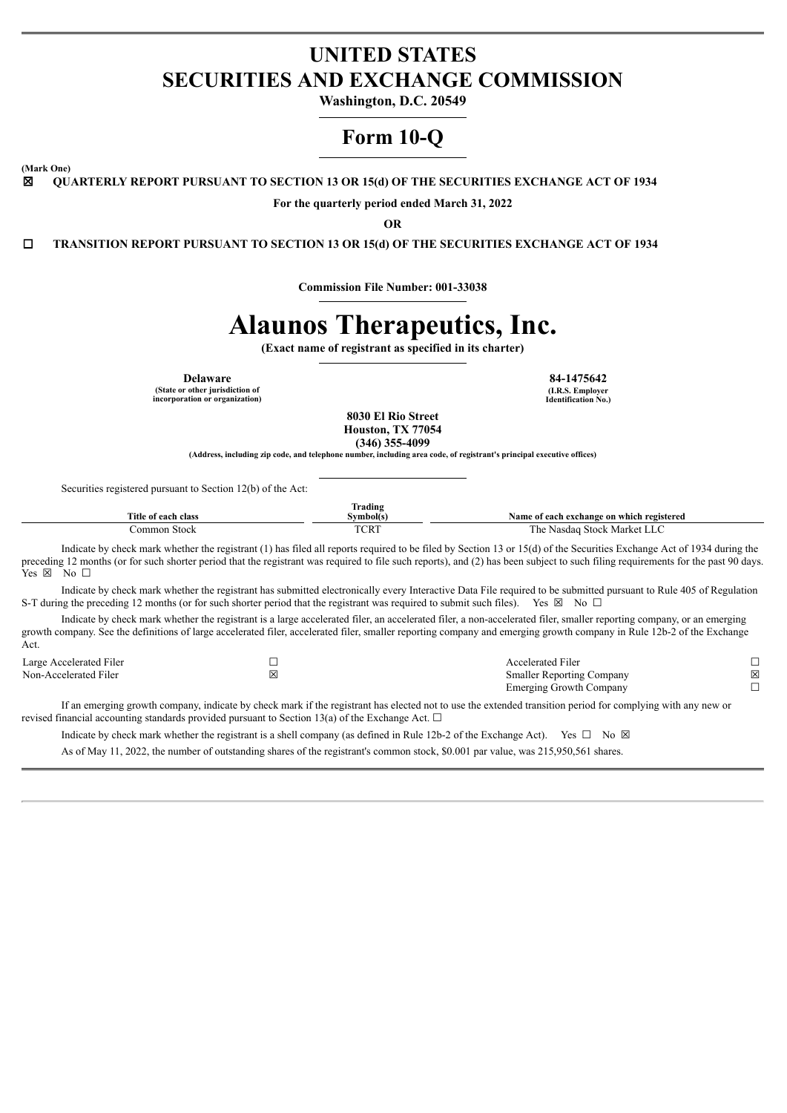# **UNITED STATES SECURITIES AND EXCHANGE COMMISSION**

**Washington, D.C. 20549**

# **Form 10-Q**

**(Mark One)**

☒ **QUARTERLY REPORT PURSUANT TO SECTION 13 OR 15(d) OF THE SECURITIES EXCHANGE ACT OF 1934**

**For the quarterly period ended March 31, 2022**

**OR**

☐ **TRANSITION REPORT PURSUANT TO SECTION 13 OR 15(d) OF THE SECURITIES EXCHANGE ACT OF 1934**

**Commission File Number: 001-33038**

# **Alaunos Therapeutics, Inc.**

**(Exact name of registrant as specified in its charter)**

**Delaware 84-1475642 (State or other jurisdiction of**

**incorporation or organization)**

**(I.R.S. Employer Identification No.)**

**8030 El Rio Street Houston, TX 77054**

**(346) 355-4099**

**(Address, including zip code, and telephone number, including area code, of registrant's principal executive offices)**

Securities registered pursuant to Section 12(b) of the Act:

|                     | Frading     |                                                        |
|---------------------|-------------|--------------------------------------------------------|
| Title of each class | Symbol(s)   | Name of<br>each exchange on which registered           |
| .`ommon<br>Stock    | <b>TCRT</b> | ---<br>l he<br>Nasdao<br>Market !<br>Stoc <sup>.</sup> |

Indicate by check mark whether the registrant (1) has filed all reports required to be filed by Section 13 or 15(d) of the Securities Exchange Act of 1934 during the preceding 12 months (or for such shorter period that the registrant was required to file such reports), and (2) has been subject to such filing requirements for the past 90 days.  $Yes \boxtimes \neg No \Box$ 

Indicate by check mark whether the registrant has submitted electronically every Interactive Data File required to be submitted pursuant to Rule 405 of Regulation S-T during the preceding 12 months (or for such shorter period that the registrant was required to submit such files). Yes ⊠ No  $\Box$ 

Indicate by check mark whether the registrant is a large accelerated filer, an accelerated filer, a non-accelerated filer, smaller reporting company, or an emerging growth company. See the definitions of large accelerated filer, accelerated filer, smaller reporting company and emerging growth company in Rule 12b-2 of the Exchange Act.

Large Accelerated Filer ☐ Accelerated Filer ☐ Smaller Reporting Company <br>
Emerging Growth Company □ Emerging Growth Company

If an emerging growth company, indicate by check mark if the registrant has elected not to use the extended transition period for complying with any new or revised financial accounting standards provided pursuant to Section 13(a) of the Exchange Act.  $\Box$ 

Indicate by check mark whether the registrant is a shell company (as defined in Rule 12b-2 of the Exchange Act). Yes  $\Box$  No  $\boxtimes$ 

As of May 11, 2022, the number of outstanding shares of the registrant's common stock, \$0.001 par value, was 215,950,561 shares.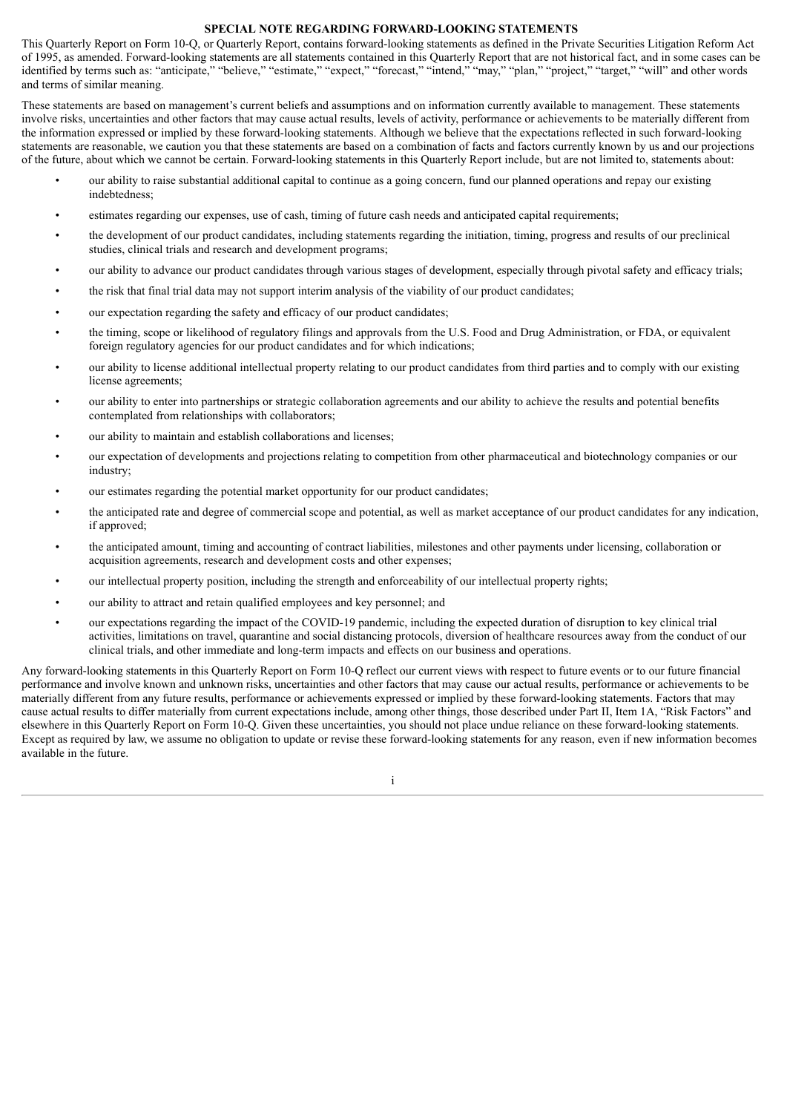#### **SPECIAL NOTE REGARDING FORWARD-LOOKING STATEMENTS**

This Quarterly Report on Form 10-Q, or Quarterly Report, contains forward-looking statements as defined in the Private Securities Litigation Reform Act of 1995, as amended. Forward-looking statements are all statements contained in this Quarterly Report that are not historical fact, and in some cases can be identified by terms such as: "anticipate," "believe," "estimate," "expect," "forecast," "intend," "may," "plan," "project," "target," "will" and other words and terms of similar meaning.

These statements are based on management's current beliefs and assumptions and on information currently available to management. These statements involve risks, uncertainties and other factors that may cause actual results, levels of activity, performance or achievements to be materially different from the information expressed or implied by these forward-looking statements. Although we believe that the expectations reflected in such forward-looking statements are reasonable, we caution you that these statements are based on a combination of facts and factors currently known by us and our projections of the future, about which we cannot be certain. Forward-looking statements in this Quarterly Report include, but are not limited to, statements about:

- our ability to raise substantial additional capital to continue as a going concern, fund our planned operations and repay our existing indebtedness;
- estimates regarding our expenses, use of cash, timing of future cash needs and anticipated capital requirements;
- the development of our product candidates, including statements regarding the initiation, timing, progress and results of our preclinical studies, clinical trials and research and development programs;
- our ability to advance our product candidates through various stages of development, especially through pivotal safety and efficacy trials;
- the risk that final trial data may not support interim analysis of the viability of our product candidates;
- our expectation regarding the safety and efficacy of our product candidates;
- the timing, scope or likelihood of regulatory filings and approvals from the U.S. Food and Drug Administration, or FDA, or equivalent foreign regulatory agencies for our product candidates and for which indications;
- our ability to license additional intellectual property relating to our product candidates from third parties and to comply with our existing license agreements;
- our ability to enter into partnerships or strategic collaboration agreements and our ability to achieve the results and potential benefits contemplated from relationships with collaborators;
- our ability to maintain and establish collaborations and licenses;
- our expectation of developments and projections relating to competition from other pharmaceutical and biotechnology companies or our industry;
- our estimates regarding the potential market opportunity for our product candidates;
- the anticipated rate and degree of commercial scope and potential, as well as market acceptance of our product candidates for any indication, if approved;
- the anticipated amount, timing and accounting of contract liabilities, milestones and other payments under licensing, collaboration or acquisition agreements, research and development costs and other expenses;
- our intellectual property position, including the strength and enforceability of our intellectual property rights;
- our ability to attract and retain qualified employees and key personnel; and
- our expectations regarding the impact of the COVID-19 pandemic, including the expected duration of disruption to key clinical trial activities, limitations on travel, quarantine and social distancing protocols, diversion of healthcare resources away from the conduct of our clinical trials, and other immediate and long-term impacts and effects on our business and operations.

Any forward-looking statements in this Quarterly Report on Form 10-Q reflect our current views with respect to future events or to our future financial performance and involve known and unknown risks, uncertainties and other factors that may cause our actual results, performance or achievements to be materially different from any future results, performance or achievements expressed or implied by these forward-looking statements. Factors that may cause actual results to differ materially from current expectations include, among other things, those described under Part II, Item 1A, "Risk Factors" and elsewhere in this Quarterly Report on Form 10-Q. Given these uncertainties, you should not place undue reliance on these forward-looking statements. Except as required by law, we assume no obligation to update or revise these forward-looking statements for any reason, even if new information becomes available in the future.

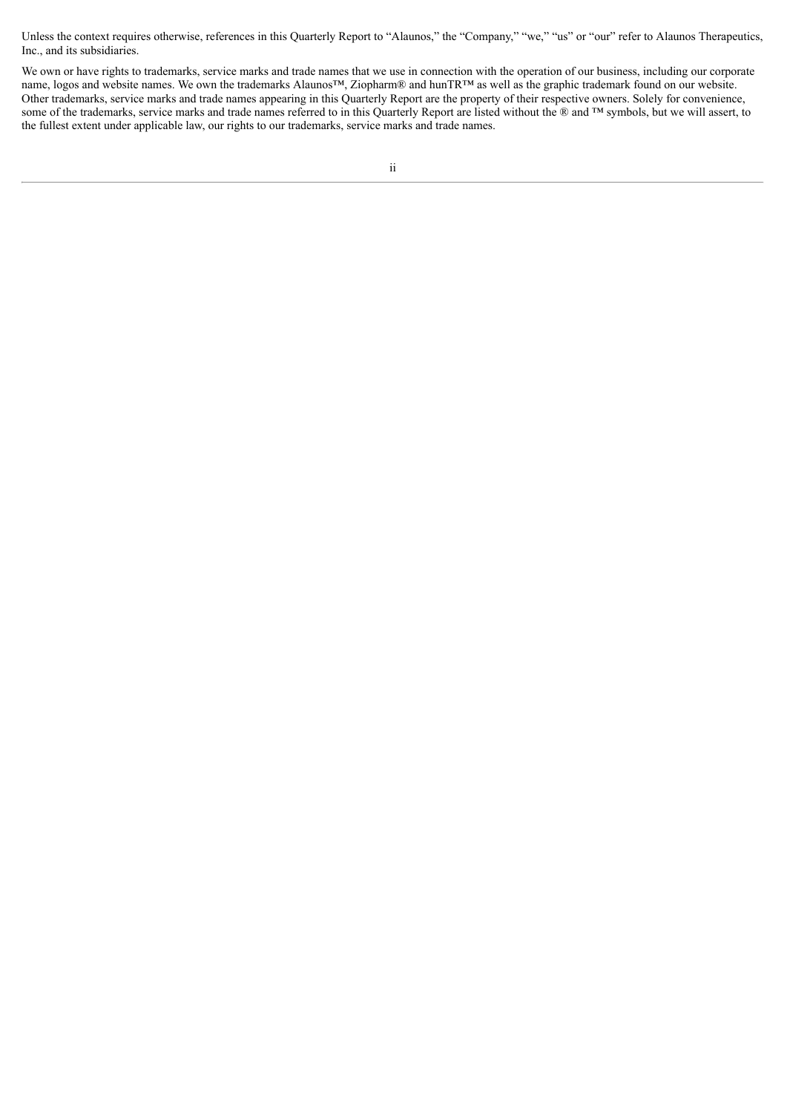Unless the context requires otherwise, references in this Quarterly Report to "Alaunos," the "Company," "we," "us" or "our" refer to Alaunos Therapeutics, Inc., and its subsidiaries.

We own or have rights to trademarks, service marks and trade names that we use in connection with the operation of our business, including our corporate name, logos and website names. We own the trademarks Alaunos™, Ziopharm® and hunTR™ as well as the graphic trademark found on our website. Other trademarks, service marks and trade names appearing in this Quarterly Report are the property of their respective owners. Solely for convenience, some of the trademarks, service marks and trade names referred to in this Quarterly Report are listed without the ® and ™ symbols, but we will assert, to the fullest extent under applicable law, our rights to our trademarks, service marks and trade names.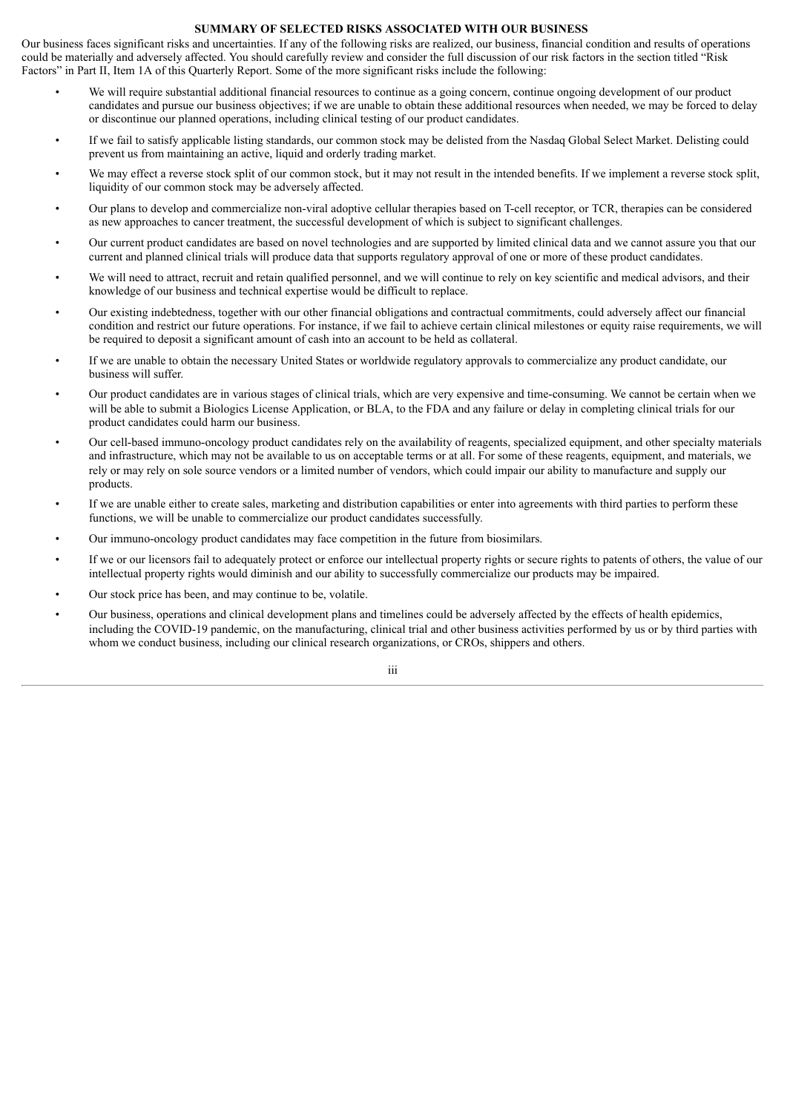#### **SUMMARY OF SELECTED RISKS ASSOCIATED WITH OUR BUSINESS**

Our business faces significant risks and uncertainties. If any of the following risks are realized, our business, financial condition and results of operations could be materially and adversely affected. You should carefully review and consider the full discussion of our risk factors in the section titled "Risk Factors" in Part II, Item 1A of this Quarterly Report. Some of the more significant risks include the following:

- We will require substantial additional financial resources to continue as a going concern, continue ongoing development of our product candidates and pursue our business objectives; if we are unable to obtain these additional resources when needed, we may be forced to delay or discontinue our planned operations, including clinical testing of our product candidates.
- If we fail to satisfy applicable listing standards, our common stock may be delisted from the Nasdaq Global Select Market. Delisting could prevent us from maintaining an active, liquid and orderly trading market.
- We may effect a reverse stock split of our common stock, but it may not result in the intended benefits. If we implement a reverse stock split, liquidity of our common stock may be adversely affected.
- Our plans to develop and commercialize non-viral adoptive cellular therapies based on T-cell receptor, or TCR, therapies can be considered as new approaches to cancer treatment, the successful development of which is subject to significant challenges.
- Our current product candidates are based on novel technologies and are supported by limited clinical data and we cannot assure you that our current and planned clinical trials will produce data that supports regulatory approval of one or more of these product candidates.
- We will need to attract, recruit and retain qualified personnel, and we will continue to rely on key scientific and medical advisors, and their knowledge of our business and technical expertise would be difficult to replace.
- Our existing indebtedness, together with our other financial obligations and contractual commitments, could adversely affect our financial condition and restrict our future operations. For instance, if we fail to achieve certain clinical milestones or equity raise requirements, we will be required to deposit a significant amount of cash into an account to be held as collateral.
- If we are unable to obtain the necessary United States or worldwide regulatory approvals to commercialize any product candidate, our business will suffer.
- Our product candidates are in various stages of clinical trials, which are very expensive and time-consuming. We cannot be certain when we will be able to submit a Biologics License Application, or BLA, to the FDA and any failure or delay in completing clinical trials for our product candidates could harm our business.
- Our cell-based immuno-oncology product candidates rely on the availability of reagents, specialized equipment, and other specialty materials and infrastructure, which may not be available to us on acceptable terms or at all. For some of these reagents, equipment, and materials, we rely or may rely on sole source vendors or a limited number of vendors, which could impair our ability to manufacture and supply our products.
- If we are unable either to create sales, marketing and distribution capabilities or enter into agreements with third parties to perform these functions, we will be unable to commercialize our product candidates successfully.
- Our immuno-oncology product candidates may face competition in the future from biosimilars.
- If we or our licensors fail to adequately protect or enforce our intellectual property rights or secure rights to patents of others, the value of our intellectual property rights would diminish and our ability to successfully commercialize our products may be impaired.
- Our stock price has been, and may continue to be, volatile.
- Our business, operations and clinical development plans and timelines could be adversely affected by the effects of health epidemics, including the COVID-19 pandemic, on the manufacturing, clinical trial and other business activities performed by us or by third parties with whom we conduct business, including our clinical research organizations, or CROs, shippers and others.

iii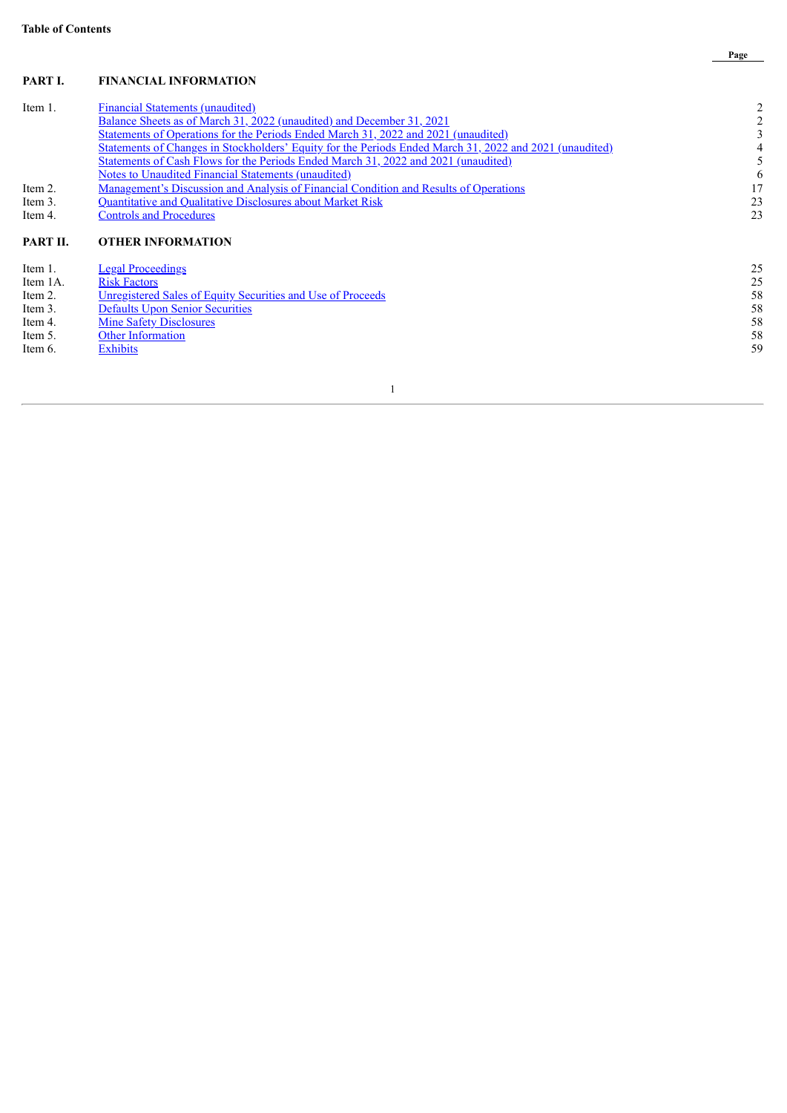# **PART I. FINANCIAL INFORMATION**

| Item 1.  | <b>Financial Statements (unaudited)</b>                                                                 | $\overline{2}$ |
|----------|---------------------------------------------------------------------------------------------------------|----------------|
|          | Balance Sheets as of March 31, 2022 (unaudited) and December 31, 2021                                   |                |
|          | Statements of Operations for the Periods Ended March 31, 2022 and 2021 (unaudited)                      |                |
|          | Statements of Changes in Stockholders' Equity for the Periods Ended March 31, 2022 and 2021 (unaudited) |                |
|          | Statements of Cash Flows for the Periods Ended March 31, 2022 and 2021 (unaudited)                      |                |
|          | Notes to Unaudited Financial Statements (unaudited)                                                     | 6              |
| Item 2.  | Management's Discussion and Analysis of Financial Condition and Results of Operations                   | 17             |
| Item 3.  | <b>Quantitative and Qualitative Disclosures about Market Risk</b>                                       | 23             |
| Item 4.  | <b>Controls and Procedures</b>                                                                          | 23             |
| PART II. | <b>OTHER INFORMATION</b>                                                                                |                |
| Item 1.  | <b>Legal Proceedings</b>                                                                                | 25             |
| Item 1A. | <b>Risk Factors</b>                                                                                     | 25             |
| Item 2.  | Unregistered Sales of Equity Securities and Use of Proceeds                                             | 58             |
| Item 3.  | <b>Defaults Upon Senior Securities</b>                                                                  | 58             |
| Item 4.  | <b>Mine Safety Disclosures</b>                                                                          | 58             |
| Item 5.  | <b>Other Information</b>                                                                                | 58             |
| Item 6.  | <b>Exhibits</b>                                                                                         | 59             |
|          |                                                                                                         |                |
|          |                                                                                                         |                |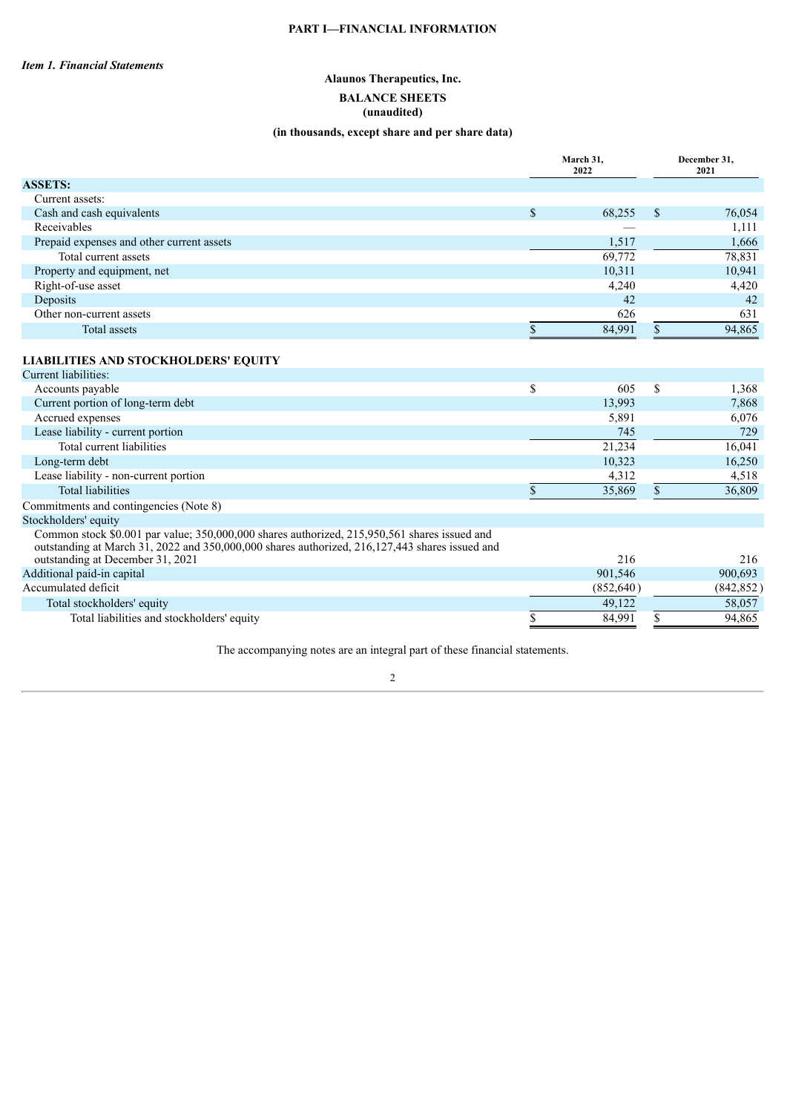# **PART I—FINANCIAL INFORMATION**

# **Alaunos Therapeutics, Inc. BALANCE SHEETS (unaudited)**

# **(in thousands, except share and per share data)**

<span id="page-5-1"></span><span id="page-5-0"></span>

|                                                                                                                                                                                                | March 31,<br>2022 |            |              | December 31,<br>2021 |  |
|------------------------------------------------------------------------------------------------------------------------------------------------------------------------------------------------|-------------------|------------|--------------|----------------------|--|
| <b>ASSETS:</b>                                                                                                                                                                                 |                   |            |              |                      |  |
| Current assets:                                                                                                                                                                                |                   |            |              |                      |  |
| Cash and cash equivalents                                                                                                                                                                      | $\mathcal{S}$     | 68,255     | $\mathbb{S}$ | 76,054               |  |
| Receivables                                                                                                                                                                                    |                   |            |              | 1,111                |  |
| Prepaid expenses and other current assets                                                                                                                                                      |                   | 1,517      |              | 1,666                |  |
| Total current assets                                                                                                                                                                           |                   | 69,772     |              | 78,831               |  |
| Property and equipment, net                                                                                                                                                                    |                   | 10,311     |              | 10,941               |  |
| Right-of-use asset                                                                                                                                                                             |                   | 4,240      |              | 4,420                |  |
| Deposits                                                                                                                                                                                       |                   | 42         |              | 42                   |  |
| Other non-current assets                                                                                                                                                                       |                   | 626        |              | 631                  |  |
| <b>Total assets</b>                                                                                                                                                                            | \$                | 84,991     | \$           | 94,865               |  |
| <b>LIABILITIES AND STOCKHOLDERS' EQUITY</b>                                                                                                                                                    |                   |            |              |                      |  |
| Current liabilities:                                                                                                                                                                           |                   |            |              |                      |  |
| Accounts payable                                                                                                                                                                               | \$                | 605        | \$           | 1,368                |  |
| Current portion of long-term debt                                                                                                                                                              |                   | 13,993     |              | 7,868                |  |
| Accrued expenses                                                                                                                                                                               |                   | 5,891      |              | 6,076                |  |
| Lease liability - current portion                                                                                                                                                              |                   | 745        |              | 729                  |  |
| Total current liabilities                                                                                                                                                                      |                   | 21,234     |              | 16,041               |  |
| Long-term debt                                                                                                                                                                                 |                   | 10,323     |              | 16,250               |  |
| Lease liability - non-current portion                                                                                                                                                          |                   | 4,312      |              | 4,518                |  |
| <b>Total liabilities</b>                                                                                                                                                                       | $\mathsf{\$}$     | 35,869     | $\mathbb S$  | 36,809               |  |
| Commitments and contingencies (Note 8)                                                                                                                                                         |                   |            |              |                      |  |
| Stockholders' equity                                                                                                                                                                           |                   |            |              |                      |  |
| Common stock \$0.001 par value; 350,000,000 shares authorized, 215,950,561 shares issued and<br>outstanding at March 31, 2022 and 350,000,000 shares authorized, 216,127,443 shares issued and |                   |            |              |                      |  |
| outstanding at December 31, 2021                                                                                                                                                               |                   | 216        |              | 216                  |  |
| Additional paid-in capital                                                                                                                                                                     |                   | 901,546    |              | 900,693              |  |
| Accumulated deficit                                                                                                                                                                            |                   | (852, 640) |              | (842, 852)           |  |
| Total stockholders' equity                                                                                                                                                                     |                   | 49,122     |              | 58,057               |  |
| Total liabilities and stockholders' equity                                                                                                                                                     | \$                | 84,991     | \$           | 94,865               |  |

The accompanying notes are an integral part of these financial statements.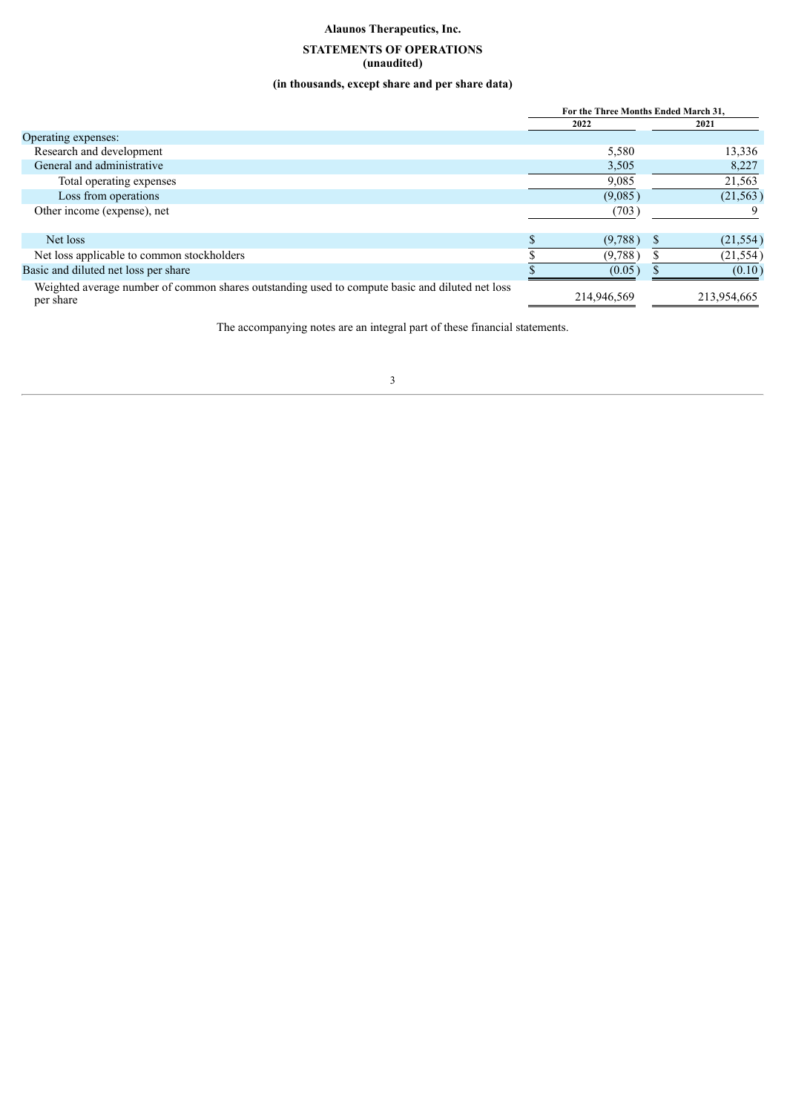# **Alaunos Therapeutics, Inc. STATEMENTS OF OPERATIONS (unaudited)**

# **(in thousands, except share and per share data)**

<span id="page-6-0"></span>

|                                                                                                              | For the Three Months Ended March 31, |             |  |             |
|--------------------------------------------------------------------------------------------------------------|--------------------------------------|-------------|--|-------------|
|                                                                                                              |                                      | 2022        |  | 2021        |
| Operating expenses:                                                                                          |                                      |             |  |             |
| Research and development                                                                                     |                                      | 5,580       |  | 13,336      |
| General and administrative                                                                                   |                                      | 3,505       |  | 8,227       |
| Total operating expenses                                                                                     |                                      | 9,085       |  | 21,563      |
| Loss from operations                                                                                         |                                      | (9,085)     |  | (21, 563)   |
| Other income (expense), net                                                                                  |                                      | (703)       |  |             |
| Net loss                                                                                                     |                                      | (9,788)     |  | (21, 554)   |
| Net loss applicable to common stockholders                                                                   |                                      | (9,788)     |  | (21, 554)   |
| Basic and diluted net loss per share                                                                         |                                      | (0.05)      |  | (0.10)      |
| Weighted average number of common shares outstanding used to compute basic and diluted net loss<br>per share |                                      | 214,946,569 |  | 213.954.665 |

The accompanying notes are an integral part of these financial statements.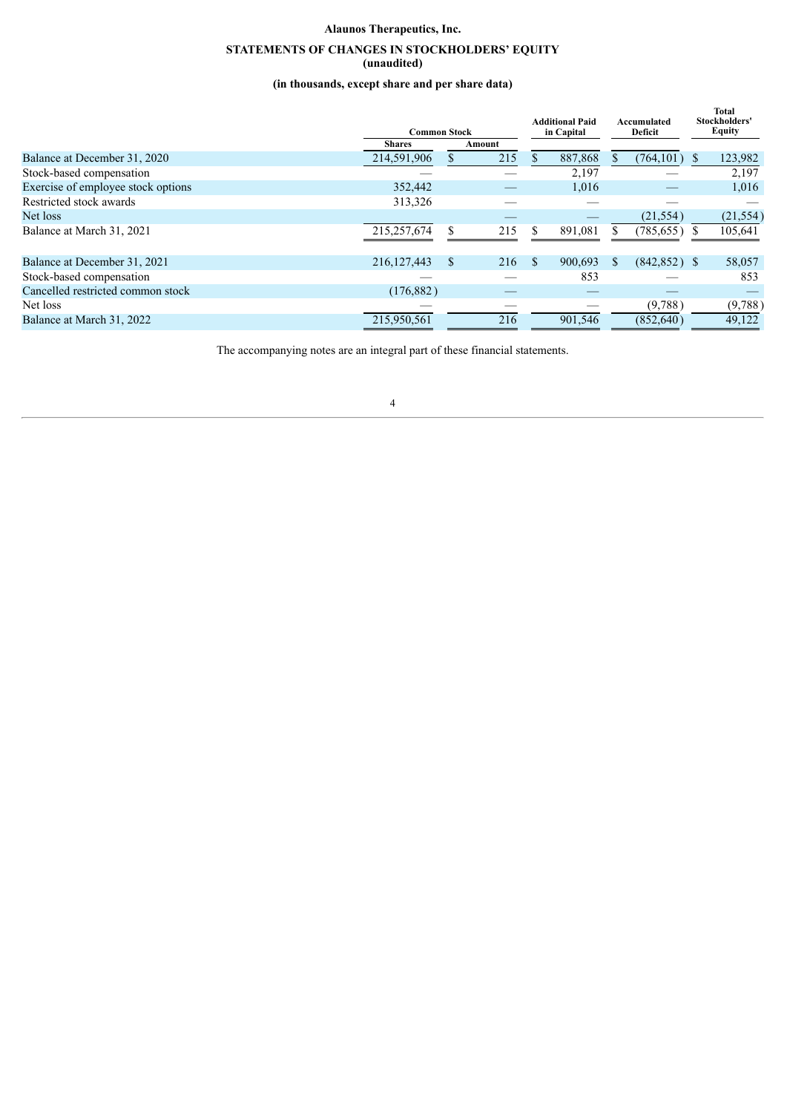# **Alaunos Therapeutics, Inc. STATEMENTS OF CHANGES IN STOCKHOLDERS' EQUITY (unaudited)**

# **(in thousands, except share and per share data)**

<span id="page-7-0"></span>

|               |   |        | <b>Additional Paid</b><br>in Capital |         | Accumulated<br>Deficit |            | <b>Total</b><br>Stockholders'<br><b>Equity</b> |
|---------------|---|--------|--------------------------------------|---------|------------------------|------------|------------------------------------------------|
| <b>Shares</b> |   | Amount |                                      |         |                        |            |                                                |
| 214,591,906   |   | 215    |                                      | 887,868 |                        |            | 123,982                                        |
|               |   |        |                                      | 2,197   |                        |            | 2,197                                          |
| 352,442       |   |        |                                      | 1,016   |                        |            | 1,016                                          |
| 313,326       |   |        |                                      |         |                        |            |                                                |
|               |   |        |                                      |         |                        | (21, 554)  | (21, 554)                                      |
| 215,257,674   |   | 215    |                                      | 891,081 |                        | (785, 655) | 105,641                                        |
|               |   |        |                                      |         |                        |            |                                                |
| 216, 127, 443 | S | 216    | -S                                   | 900.693 | -S                     |            | 58,057                                         |
|               |   |        |                                      | 853     |                        |            | 853                                            |
| (176, 882)    |   |        |                                      |         |                        |            |                                                |
|               |   |        |                                      |         |                        | (9,788)    | (9,788)                                        |
| 215,950,561   |   | 216    |                                      | 901,546 |                        | (852, 640) | 49,122                                         |
|               |   |        | <b>Common Stock</b>                  |         |                        |            | $(764, 101)$ \$<br>$(842, 852)$ \$             |

The accompanying notes are an integral part of these financial statements.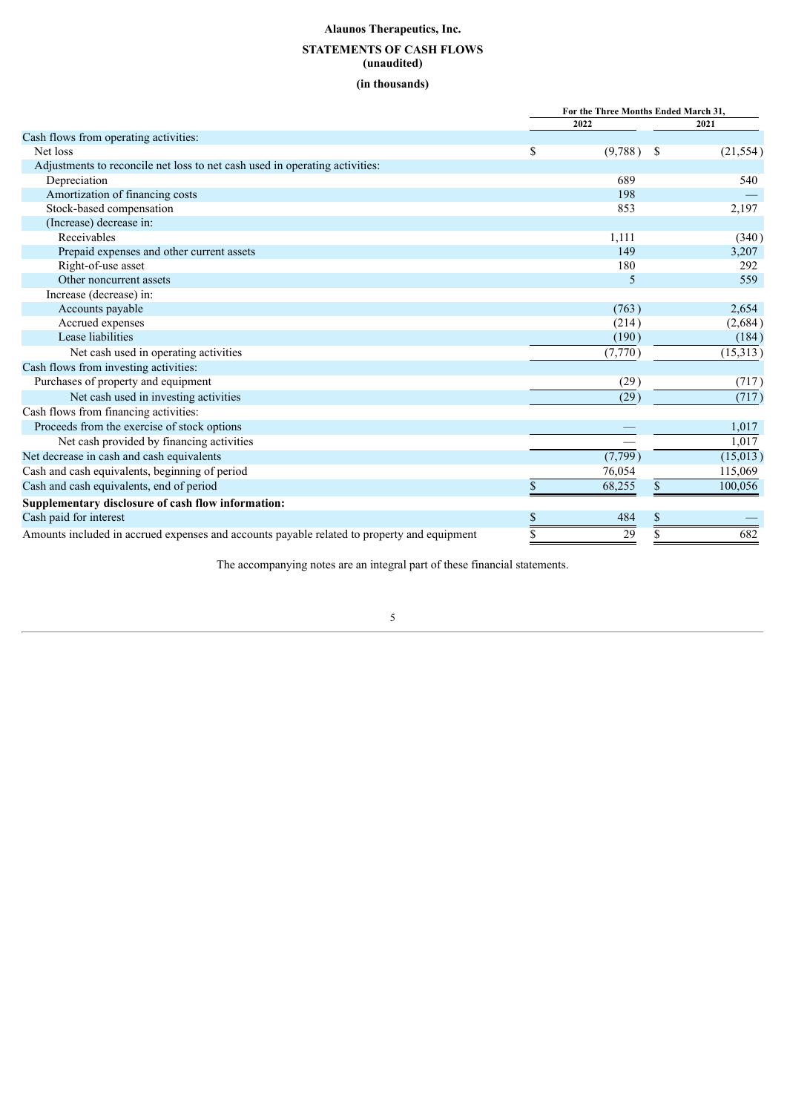# **Alaunos Therapeutics, Inc. STATEMENTS OF CASH FLOWS (unaudited) (in thousands)**

<span id="page-8-0"></span>

|                                                                                             | For the Three Months Ended March 31, |               |                  |  |
|---------------------------------------------------------------------------------------------|--------------------------------------|---------------|------------------|--|
|                                                                                             | 2022                                 |               | 2021             |  |
| Cash flows from operating activities:                                                       |                                      |               |                  |  |
| Net loss                                                                                    | \$<br>(9,788)                        | <sup>\$</sup> | (21, 554)        |  |
| Adjustments to reconcile net loss to net cash used in operating activities:                 |                                      |               |                  |  |
| Depreciation                                                                                | 689                                  |               | 540              |  |
| Amortization of financing costs                                                             | 198                                  |               |                  |  |
| Stock-based compensation                                                                    | 853                                  |               | 2,197            |  |
| (Increase) decrease in:                                                                     |                                      |               |                  |  |
| Receivables                                                                                 | 1,111                                |               | (340)            |  |
| Prepaid expenses and other current assets                                                   | 149                                  |               | 3,207            |  |
| Right-of-use asset                                                                          | 180                                  |               | 292              |  |
| Other noncurrent assets                                                                     | 5                                    |               | 559              |  |
| Increase (decrease) in:                                                                     |                                      |               |                  |  |
| Accounts payable                                                                            | (763)                                |               | 2,654            |  |
| Accrued expenses                                                                            | (214)                                |               | (2,684)          |  |
| Lease liabilities                                                                           | (190)                                |               | (184)            |  |
| Net cash used in operating activities                                                       | (7,770)                              |               | (15,313)         |  |
| Cash flows from investing activities:                                                       |                                      |               |                  |  |
| Purchases of property and equipment                                                         | (29)                                 |               | (717)            |  |
| Net cash used in investing activities                                                       | (29)                                 |               | (717)            |  |
| Cash flows from financing activities:                                                       |                                      |               |                  |  |
| Proceeds from the exercise of stock options                                                 |                                      |               | 1,017            |  |
| Net cash provided by financing activities                                                   |                                      |               | 1,017            |  |
| Net decrease in cash and cash equivalents                                                   | (7, 799)                             |               | (15,013)         |  |
| Cash and cash equivalents, beginning of period                                              | 76,054                               |               | 115,069          |  |
| Cash and cash equivalents, end of period                                                    | \$<br>68,255                         | \$            | 100,056          |  |
| Supplementary disclosure of cash flow information:                                          |                                      |               |                  |  |
| Cash paid for interest                                                                      | \$<br>484                            | \$            |                  |  |
| Amounts included in accrued expenses and accounts payable related to property and equipment | \$<br>29                             | \$            | $\overline{682}$ |  |
|                                                                                             |                                      |               |                  |  |

The accompanying notes are an integral part of these financial statements.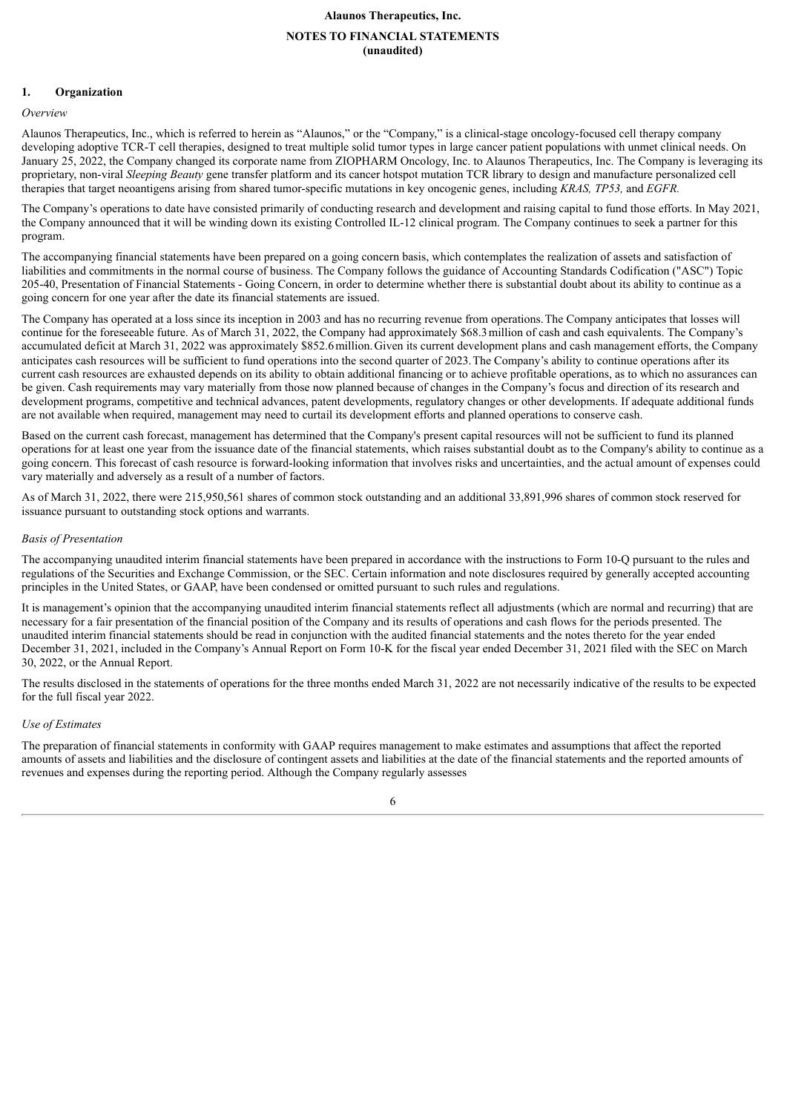### <span id="page-9-0"></span>**1. Organization**

#### *Overview*

Alaunos Therapeutics, Inc., which is referred to herein as "Alaunos," or the "Company," is a clinical-stage oncology-focused cell therapy company developing adoptive TCR-T cell therapies, designed to treat multiple solid tumor types in large cancer patient populations with unmet clinical needs. On January 25, 2022, the Company changed its corporate name from ZIOPHARM Oncology, Inc. to Alaunos Therapeutics, Inc. The Company is leveraging its proprietary, non-viral *Sleeping Beauty* gene transfer platform and its cancer hotspot mutation TCR library to design and manufacture personalized cell therapies that target neoantigens arising from shared tumor-specific mutations in key oncogenic genes, including *KRAS, TP53,* and *EGFR.*

The Company's operations to date have consisted primarily of conducting research and development and raising capital to fund those efforts. In May 2021, the Company announced that it will be winding down its existing Controlled IL-12 clinical program. The Company continues to seek a partner for this program.

The accompanying financial statements have been prepared on a going concern basis, which contemplates the realization of assets and satisfaction of liabilities and commitments in the normal course of business. The Company follows the guidance of Accounting Standards Codification ("ASC") Topic 205-40, Presentation of Financial Statements - Going Concern, in order to determine whether there is substantial doubt about its ability to continue as a going concern for one year after the date its financial statements are issued.

The Company has operated at a loss since its inception in 2003 and has no recurring revenue from operations.The Company anticipates that losses will continue for the foreseeable future. As of March 31, 2022, the Company had approximately \$68.3million of cash and cash equivalents. The Company's accumulated deficit at March 31, 2022 was approximately \$852.6million.Given its current development plans and cash management efforts, the Company anticipates cash resources will be sufficient to fund operations into the second quarter of 2023.The Company's ability to continue operations after its current cash resources are exhausted depends on its ability to obtain additional financing or to achieve profitable operations, as to which no assurances can be given. Cash requirements may vary materially from those now planned because of changes in the Company's focus and direction of its research and development programs, competitive and technical advances, patent developments, regulatory changes or other developments. If adequate additional funds are not available when required, management may need to curtail its development efforts and planned operations to conserve cash.

Based on the current cash forecast, management has determined that the Company's present capital resources will not be sufficient to fund its planned operations for at least one year from the issuance date of the financial statements, which raises substantial doubt as to the Company's ability to continue as a going concern. This forecast of cash resource is forward-looking information that involves risks and uncertainties, and the actual amount of expenses could vary materially and adversely as a result of a number of factors.

As of March 31, 2022, there were 215,950,561 shares of common stock outstanding and an additional 33,891,996 shares of common stock reserved for issuance pursuant to outstanding stock options and warrants.

# *Basis of Presentation*

The accompanying unaudited interim financial statements have been prepared in accordance with the instructions to Form 10-Q pursuant to the rules and regulations of the Securities and Exchange Commission, or the SEC. Certain information and note disclosures required by generally accepted accounting principles in the United States, or GAAP, have been condensed or omitted pursuant to such rules and regulations.

It is management's opinion that the accompanying unaudited interim financial statements reflect all adjustments (which are normal and recurring) that are necessary for a fair presentation of the financial position of the Company and its results of operations and cash flows for the periods presented. The unaudited interim financial statements should be read in conjunction with the audited financial statements and the notes thereto for the year ended December 31, 2021, included in the Company's Annual Report on Form 10-K for the fiscal year ended December 31, 2021 filed with the SEC on March 30, 2022, or the Annual Report.

The results disclosed in the statements of operations for the three months ended March 31, 2022 are not necessarily indicative of the results to be expected for the full fiscal year 2022.

### *Use of Estimates*

The preparation of financial statements in conformity with GAAP requires management to make estimates and assumptions that affect the reported amounts of assets and liabilities and the disclosure of contingent assets and liabilities at the date of the financial statements and the reported amounts of revenues and expenses during the reporting period. Although the Company regularly assesses

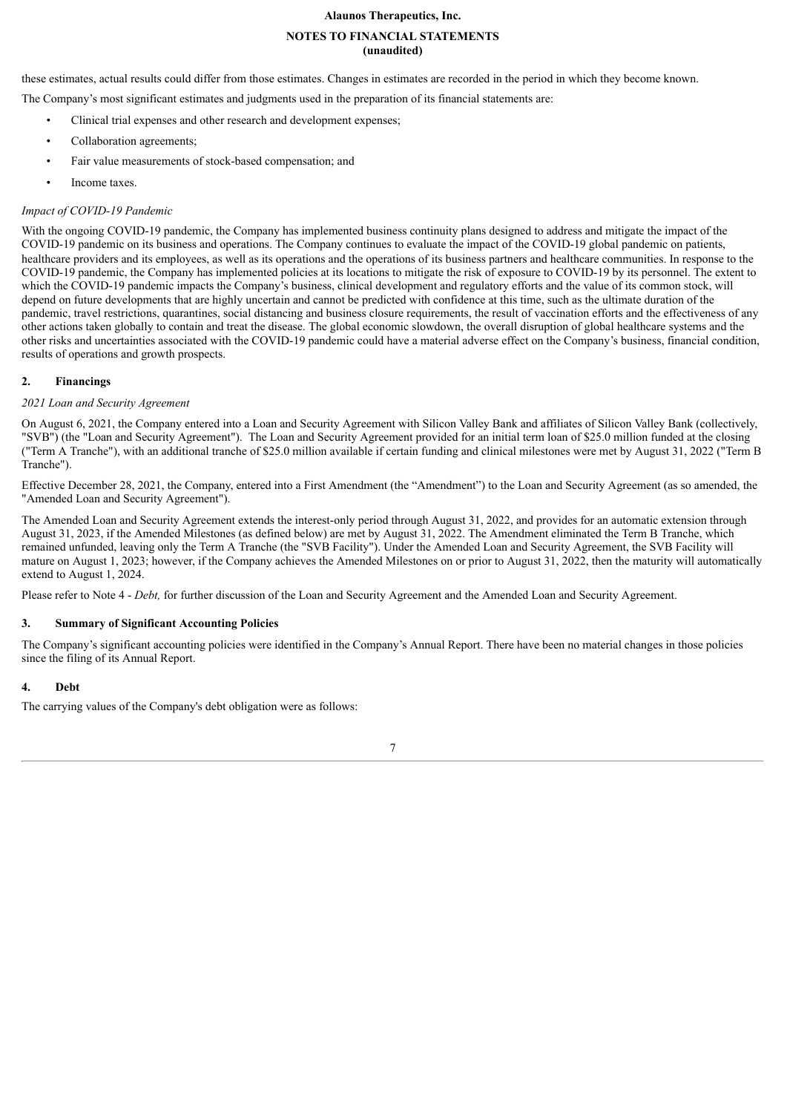these estimates, actual results could differ from those estimates. Changes in estimates are recorded in the period in which they become known.

The Company's most significant estimates and judgments used in the preparation of its financial statements are:

- Clinical trial expenses and other research and development expenses;
- Collaboration agreements;
- Fair value measurements of stock-based compensation; and
- Income taxes.

#### *Impact of COVID-19 Pandemic*

With the ongoing COVID-19 pandemic, the Company has implemented business continuity plans designed to address and mitigate the impact of the COVID-19 pandemic on its business and operations. The Company continues to evaluate the impact of the COVID-19 global pandemic on patients, healthcare providers and its employees, as well as its operations and the operations of its business partners and healthcare communities. In response to the COVID-19 pandemic, the Company has implemented policies at its locations to mitigate the risk of exposure to COVID-19 by its personnel. The extent to which the COVID-19 pandemic impacts the Company's business, clinical development and regulatory efforts and the value of its common stock, will depend on future developments that are highly uncertain and cannot be predicted with confidence at this time, such as the ultimate duration of the pandemic, travel restrictions, quarantines, social distancing and business closure requirements, the result of vaccination efforts and the effectiveness of any other actions taken globally to contain and treat the disease. The global economic slowdown, the overall disruption of global healthcare systems and the other risks and uncertainties associated with the COVID-19 pandemic could have a material adverse effect on the Company's business, financial condition, results of operations and growth prospects.

# **2. Financings**

#### *2021 Loan and Security Agreement*

On August 6, 2021, the Company entered into a Loan and Security Agreement with Silicon Valley Bank and affiliates of Silicon Valley Bank (collectively, "SVB") (the "Loan and Security Agreement"). The Loan and Security Agreement provided for an initial term loan of \$25.0 million funded at the closing ("Term A Tranche"), with an additional tranche of \$25.0 million available if certain funding and clinical milestones were met by August 31, 2022 ("Term B Tranche").

Effective December 28, 2021, the Company, entered into a First Amendment (the "Amendment") to the Loan and Security Agreement (as so amended, the "Amended Loan and Security Agreement").

The Amended Loan and Security Agreement extends the interest-only period through August 31, 2022, and provides for an automatic extension through August 31, 2023, if the Amended Milestones (as defined below) are met by August 31, 2022. The Amendment eliminated the Term B Tranche, which remained unfunded, leaving only the Term A Tranche (the "SVB Facility"). Under the Amended Loan and Security Agreement, the SVB Facility will mature on August 1, 2023; however, if the Company achieves the Amended Milestones on or prior to August 31, 2022, then the maturity will automatically extend to August 1, 2024.

Please refer to Note 4 - *Debt,* for further discussion of the Loan and Security Agreement and the Amended Loan and Security Agreement.

#### **3. Summary of Significant Accounting Policies**

The Company's significant accounting policies were identified in the Company's Annual Report. There have been no material changes in those policies since the filing of its Annual Report.

#### **4. Debt**

The carrying values of the Company's debt obligation were as follows:

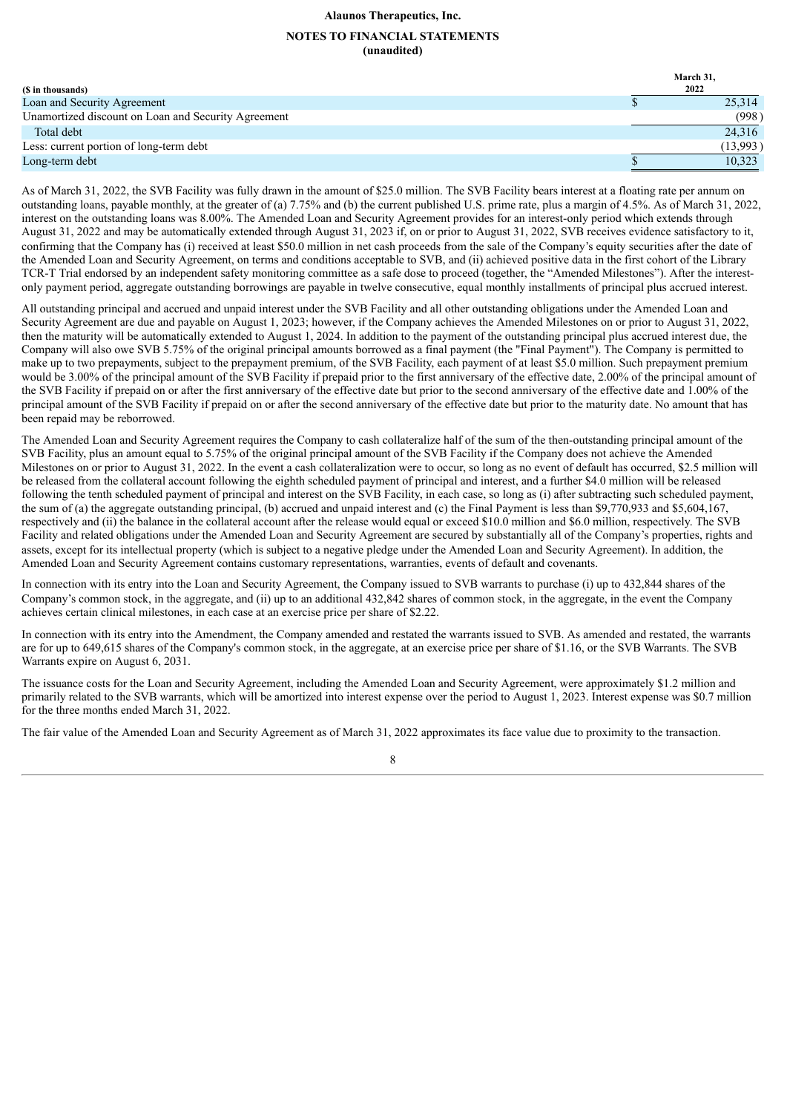| (\$ in thousands)                                   | March 31,<br>2022 |
|-----------------------------------------------------|-------------------|
| Loan and Security Agreement                         | 25,314            |
| Unamortized discount on Loan and Security Agreement | (998)             |
| Total debt                                          | 24,316            |
| Less: current portion of long-term debt             | (13,993)          |
| Long-term debt                                      | 10,323            |

As of March 31, 2022, the SVB Facility was fully drawn in the amount of \$25.0 million. The SVB Facility bears interest at a floating rate per annum on outstanding loans, payable monthly, at the greater of (a) 7.75% and (b) the current published U.S. prime rate, plus a margin of 4.5%. As of March 31, 2022, interest on the outstanding loans was 8.00%. The Amended Loan and Security Agreement provides for an interest-only period which extends through August 31, 2022 and may be automatically extended through August 31, 2023 if, on or prior to August 31, 2022, SVB receives evidence satisfactory to it, confirming that the Company has (i) received at least \$50.0 million in net cash proceeds from the sale of the Company's equity securities after the date of the Amended Loan and Security Agreement, on terms and conditions acceptable to SVB, and (ii) achieved positive data in the first cohort of the Library TCR-T Trial endorsed by an independent safety monitoring committee as a safe dose to proceed (together, the "Amended Milestones"). After the interestonly payment period, aggregate outstanding borrowings are payable in twelve consecutive, equal monthly installments of principal plus accrued interest.

All outstanding principal and accrued and unpaid interest under the SVB Facility and all other outstanding obligations under the Amended Loan and Security Agreement are due and payable on August 1, 2023; however, if the Company achieves the Amended Milestones on or prior to August 31, 2022, then the maturity will be automatically extended to August 1, 2024. In addition to the payment of the outstanding principal plus accrued interest due, the Company will also owe SVB 5.75% of the original principal amounts borrowed as a final payment (the "Final Payment"). The Company is permitted to make up to two prepayments, subject to the prepayment premium, of the SVB Facility, each payment of at least \$5.0 million. Such prepayment premium would be 3.00% of the principal amount of the SVB Facility if prepaid prior to the first anniversary of the effective date, 2.00% of the principal amount of the SVB Facility if prepaid on or after the first anniversary of the effective date but prior to the second anniversary of the effective date and 1.00% of the principal amount of the SVB Facility if prepaid on or after the second anniversary of the effective date but prior to the maturity date. No amount that has been repaid may be reborrowed.

The Amended Loan and Security Agreement requires the Company to cash collateralize half of the sum of the then-outstanding principal amount of the SVB Facility, plus an amount equal to 5.75% of the original principal amount of the SVB Facility if the Company does not achieve the Amended Milestones on or prior to August 31, 2022. In the event a cash collateralization were to occur, so long as no event of default has occurred, \$2.5 million will be released from the collateral account following the eighth scheduled payment of principal and interest, and a further \$4.0 million will be released following the tenth scheduled payment of principal and interest on the SVB Facility, in each case, so long as (i) after subtracting such scheduled payment, the sum of (a) the aggregate outstanding principal, (b) accrued and unpaid interest and (c) the Final Payment is less than \$9,770,933 and \$5,604,167, respectively and (ii) the balance in the collateral account after the release would equal or exceed \$10.0 million and \$6.0 million, respectively. The SVB Facility and related obligations under the Amended Loan and Security Agreement are secured by substantially all of the Company's properties, rights and assets, except for its intellectual property (which is subject to a negative pledge under the Amended Loan and Security Agreement). In addition, the Amended Loan and Security Agreement contains customary representations, warranties, events of default and covenants.

In connection with its entry into the Loan and Security Agreement, the Company issued to SVB warrants to purchase (i) up to 432,844 shares of the Company's common stock, in the aggregate, and (ii) up to an additional 432,842 shares of common stock, in the aggregate, in the event the Company achieves certain clinical milestones, in each case at an exercise price per share of \$2.22.

In connection with its entry into the Amendment, the Company amended and restated the warrants issued to SVB. As amended and restated, the warrants are for up to 649,615 shares of the Company's common stock, in the aggregate, at an exercise price per share of \$1.16, or the SVB Warrants. The SVB Warrants expire on August 6, 2031.

The issuance costs for the Loan and Security Agreement, including the Amended Loan and Security Agreement, were approximately \$1.2 million and primarily related to the SVB warrants, which will be amortized into interest expense over the period to August 1, 2023. Interest expense was \$0.7 million for the three months ended March 31, 2022.

The fair value of the Amended Loan and Security Agreement as of March 31, 2022 approximates its face value due to proximity to the transaction.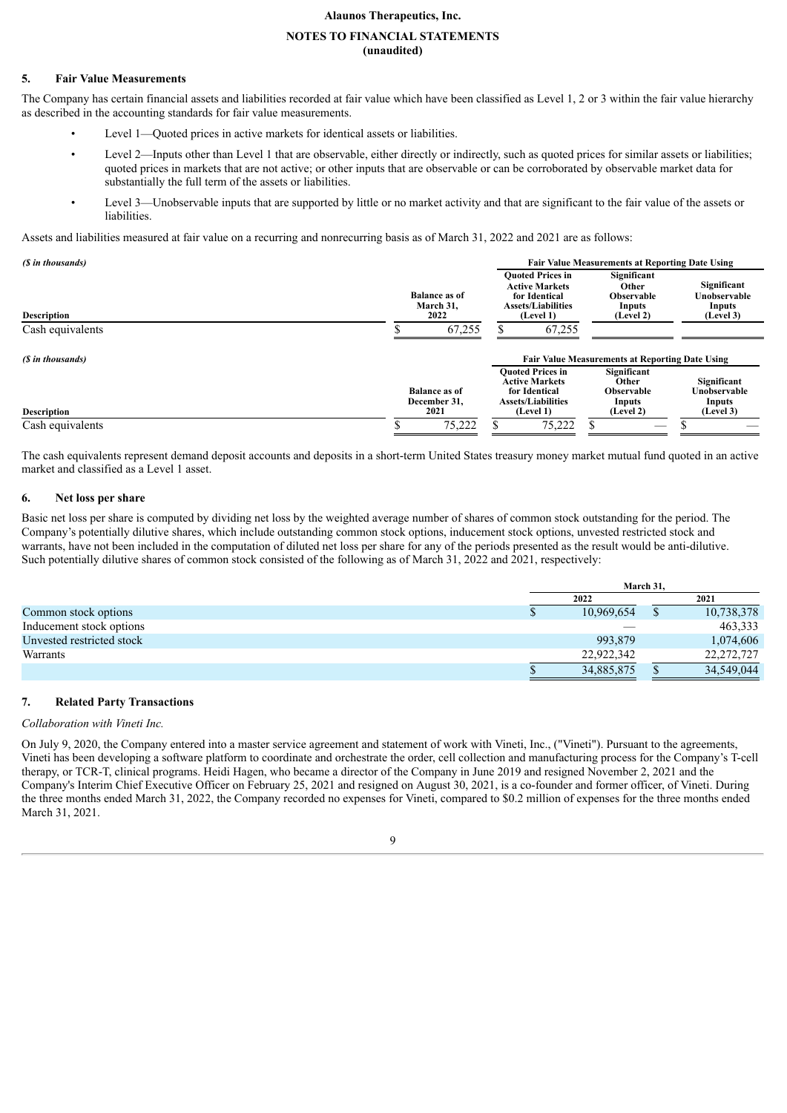# **5. Fair Value Measurements**

The Company has certain financial assets and liabilities recorded at fair value which have been classified as Level 1, 2 or 3 within the fair value hierarchy as described in the accounting standards for fair value measurements.

- Level 1—Quoted prices in active markets for identical assets or liabilities.
- Level 2—Inputs other than Level 1 that are observable, either directly or indirectly, such as quoted prices for similar assets or liabilities; quoted prices in markets that are not active; or other inputs that are observable or can be corroborated by observable market data for substantially the full term of the assets or liabilities.
- Level 3—Unobservable inputs that are supported by little or no market activity and that are significant to the fair value of the assets or liabilities.

Assets and liabilities measured at fair value on a recurring and nonrecurring basis as of March 31, 2022 and 2021 are as follows:

| (S in thousands)                       |                                                     | <b>Fair Value Measurements at Reporting Date Using</b> |                                                                                                                       |  |                                                                  |                                                    |
|----------------------------------------|-----------------------------------------------------|--------------------------------------------------------|-----------------------------------------------------------------------------------------------------------------------|--|------------------------------------------------------------------|----------------------------------------------------|
| <b>Description</b><br>Cash equivalents | <b>Balance as of</b><br>March 31,<br>2022<br>67,255 |                                                        | <b>Ouoted Prices in</b><br><b>Active Markets</b><br>for Identical<br><b>Assets/Liabilities</b><br>(Level 1)<br>67,255 |  | Significant<br>Other<br><b>Observable</b><br>Inputs<br>(Level 2) | Significant<br>Unobservable<br>Inputs<br>(Level 3) |
|                                        |                                                     |                                                        |                                                                                                                       |  |                                                                  |                                                    |
| (S in thousands)                       |                                                     |                                                        |                                                                                                                       |  | <b>Fair Value Measurements at Reporting Date Using</b>           |                                                    |
|                                        | <b>Balance as of</b><br>December 31.                |                                                        | <b>Ouoted Prices in</b><br><b>Active Markets</b><br>for Identical<br><b>Assets/Liabilities</b>                        |  | Significant<br>Other<br><b>Observable</b><br>Inputs              | Significant<br>Unobservable<br>Inputs              |
| <b>Description</b>                     | 2021                                                |                                                        | (Level 1)                                                                                                             |  | (Level 2)                                                        | (Level 3)                                          |
| Cash equivalents                       | 75,222                                              |                                                        | 75,222                                                                                                                |  |                                                                  |                                                    |

The cash equivalents represent demand deposit accounts and deposits in a short-term United States treasury money market mutual fund quoted in an active market and classified as a Level 1 asset.

# **6. Net loss per share**

Basic net loss per share is computed by dividing net loss by the weighted average number of shares of common stock outstanding for the period. The Company's potentially dilutive shares, which include outstanding common stock options, inducement stock options, unvested restricted stock and warrants, have not been included in the computation of diluted net loss per share for any of the periods presented as the result would be anti-dilutive. Such potentially dilutive shares of common stock consisted of the following as of March 31, 2022 and 2021, respectively:

|                           | March 31.  |  |            |  |
|---------------------------|------------|--|------------|--|
|                           | 2022       |  | 2021       |  |
| Common stock options      | 10,969,654 |  | 10,738,378 |  |
| Inducement stock options  |            |  | 463,333    |  |
| Unvested restricted stock | 993,879    |  | 1,074,606  |  |
| Warrants                  | 22,922,342 |  | 22,272,727 |  |
|                           | 34,885,875 |  | 34,549,044 |  |

# **7. Related Party Transactions**

#### *Collaboration with Vineti Inc.*

On July 9, 2020, the Company entered into a master service agreement and statement of work with Vineti, Inc., ("Vineti"). Pursuant to the agreements, Vineti has been developing a software platform to coordinate and orchestrate the order, cell collection and manufacturing process for the Company's T-cell therapy, or TCR-T, clinical programs. Heidi Hagen, who became a director of the Company in June 2019 and resigned November 2, 2021 and the Company's Interim Chief Executive Officer on February 25, 2021 and resigned on August 30, 2021, is a co-founder and former officer, of Vineti. During the three months ended March 31, 2022, the Company recorded no expenses for Vineti, compared to \$0.2 million of expenses for the three months ended March 31, 2021.

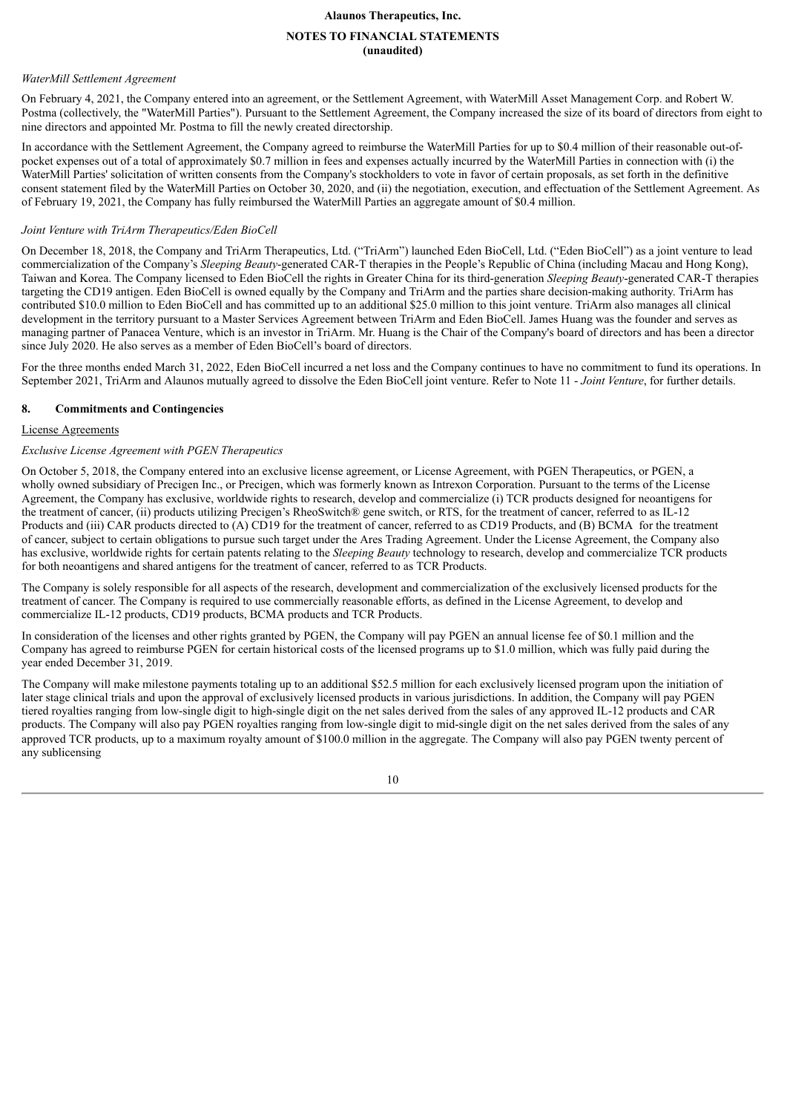# *WaterMill Settlement Agreement*

On February 4, 2021, the Company entered into an agreement, or the Settlement Agreement, with WaterMill Asset Management Corp. and Robert W. Postma (collectively, the "WaterMill Parties"). Pursuant to the Settlement Agreement, the Company increased the size of its board of directors from eight to nine directors and appointed Mr. Postma to fill the newly created directorship.

In accordance with the Settlement Agreement, the Company agreed to reimburse the WaterMill Parties for up to \$0.4 million of their reasonable out-ofpocket expenses out of a total of approximately \$0.7 million in fees and expenses actually incurred by the WaterMill Parties in connection with (i) the WaterMill Parties' solicitation of written consents from the Company's stockholders to vote in favor of certain proposals, as set forth in the definitive consent statement filed by the WaterMill Parties on October 30, 2020, and (ii) the negotiation, execution, and effectuation of the Settlement Agreement. As of February 19, 2021, the Company has fully reimbursed the WaterMill Parties an aggregate amount of \$0.4 million.

#### *Joint Venture with TriArm Therapeutics/Eden BioCell*

On December 18, 2018, the Company and TriArm Therapeutics, Ltd. ("TriArm") launched Eden BioCell, Ltd. ("Eden BioCell") as a joint venture to lead commercialization of the Company's *Sleeping Beauty*-generated CAR-T therapies in the People's Republic of China (including Macau and Hong Kong), Taiwan and Korea. The Company licensed to Eden BioCell the rights in Greater China for its third-generation *Sleeping Beauty*-generated CAR-T therapies targeting the CD19 antigen. Eden BioCell is owned equally by the Company and TriArm and the parties share decision-making authority. TriArm has contributed \$10.0 million to Eden BioCell and has committed up to an additional \$25.0 million to this joint venture. TriArm also manages all clinical development in the territory pursuant to a Master Services Agreement between TriArm and Eden BioCell. James Huang was the founder and serves as managing partner of Panacea Venture, which is an investor in TriArm. Mr. Huang is the Chair of the Company's board of directors and has been a director since July 2020. He also serves as a member of Eden BioCell's board of directors.

For the three months ended March 31, 2022, Eden BioCell incurred a net loss and the Company continues to have no commitment to fund its operations. In September 2021, TriArm and Alaunos mutually agreed to dissolve the Eden BioCell joint venture. Refer to Note 11 - *Joint Venture*, for further details.

#### **8. Commitments and Contingencies**

#### License Agreements

#### *Exclusive License Agreement with PGEN Therapeutics*

On October 5, 2018, the Company entered into an exclusive license agreement, or License Agreement, with PGEN Therapeutics, or PGEN, a wholly owned subsidiary of Precigen Inc., or Precigen, which was formerly known as Intrexon Corporation. Pursuant to the terms of the License Agreement, the Company has exclusive, worldwide rights to research, develop and commercialize (i) TCR products designed for neoantigens for the treatment of cancer, (ii) products utilizing Precigen's RheoSwitch® gene switch, or RTS, for the treatment of cancer, referred to as IL-12 Products and (iii) CAR products directed to (A) CD19 for the treatment of cancer, referred to as CD19 Products, and (B) BCMA for the treatment of cancer, subject to certain obligations to pursue such target under the Ares Trading Agreement. Under the License Agreement, the Company also has exclusive, worldwide rights for certain patents relating to the *Sleeping Beauty* technology to research, develop and commercialize TCR products for both neoantigens and shared antigens for the treatment of cancer, referred to as TCR Products.

The Company is solely responsible for all aspects of the research, development and commercialization of the exclusively licensed products for the treatment of cancer. The Company is required to use commercially reasonable efforts, as defined in the License Agreement, to develop and commercialize IL-12 products, CD19 products, BCMA products and TCR Products.

In consideration of the licenses and other rights granted by PGEN, the Company will pay PGEN an annual license fee of \$0.1 million and the Company has agreed to reimburse PGEN for certain historical costs of the licensed programs up to \$1.0 million, which was fully paid during the year ended December 31, 2019.

The Company will make milestone payments totaling up to an additional \$52.5 million for each exclusively licensed program upon the initiation of later stage clinical trials and upon the approval of exclusively licensed products in various jurisdictions. In addition, the Company will pay PGEN tiered royalties ranging from low-single digit to high-single digit on the net sales derived from the sales of any approved IL-12 products and CAR products. The Company will also pay PGEN royalties ranging from low-single digit to mid-single digit on the net sales derived from the sales of any approved TCR products, up to a maximum royalty amount of \$100.0 million in the aggregate. The Company will also pay PGEN twenty percent of any sublicensing

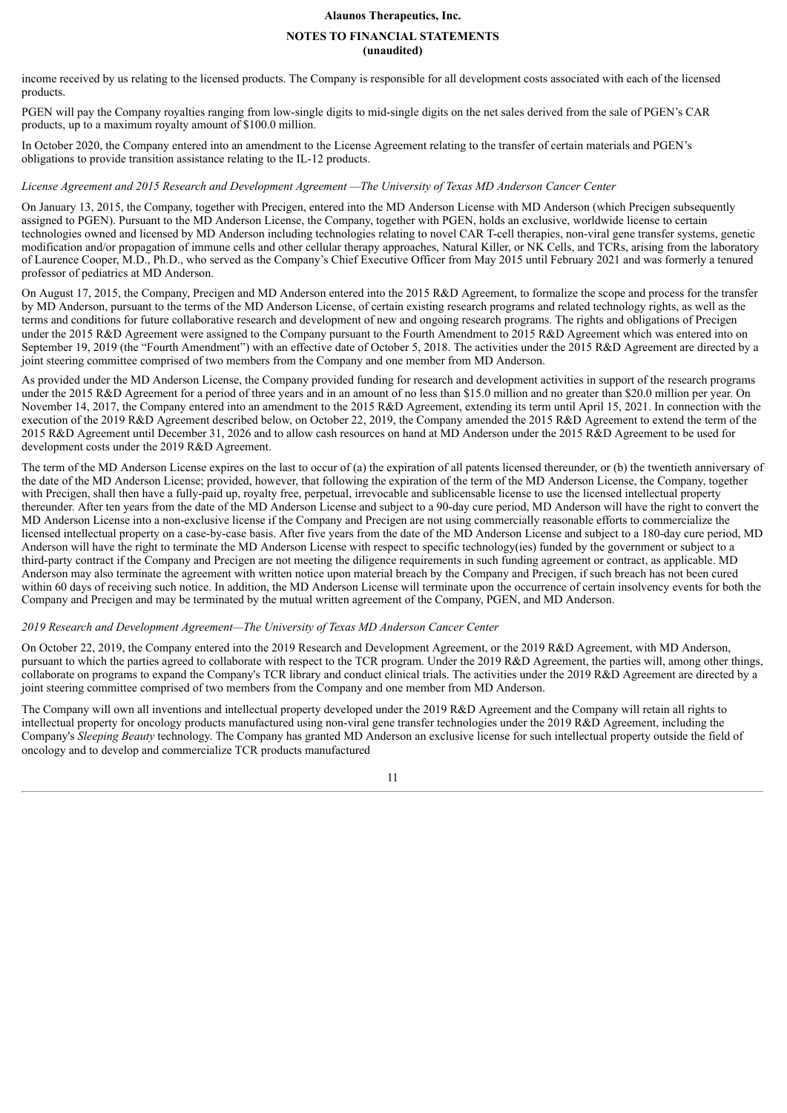# **Alaunos Therapeutics, Inc.**

#### **NOTES TO FINANCIAL STATEMENTS (unaudited)**

income received by us relating to the licensed products. The Company is responsible for all development costs associated with each of the licensed products.

PGEN will pay the Company royalties ranging from low-single digits to mid-single digits on the net sales derived from the sale of PGEN's CAR products, up to a maximum royalty amount of \$100.0 million.

In October 2020, the Company entered into an amendment to the License Agreement relating to the transfer of certain materials and PGEN's obligations to provide transition assistance relating to the IL-12 products.

#### *License Agreement and 2015 Research and Development Agreement —The University of Texas MD Anderson Cancer Center*

On January 13, 2015, the Company, together with Precigen, entered into the MD Anderson License with MD Anderson (which Precigen subsequently assigned to PGEN). Pursuant to the MD Anderson License, the Company, together with PGEN, holds an exclusive, worldwide license to certain technologies owned and licensed by MD Anderson including technologies relating to novel CAR T-cell therapies, non-viral gene transfer systems, genetic modification and/or propagation of immune cells and other cellular therapy approaches, Natural Killer, or NK Cells, and TCRs, arising from the laboratory of Laurence Cooper, M.D., Ph.D., who served as the Company's Chief Executive Officer from May 2015 until February 2021 and was formerly a tenured professor of pediatrics at MD Anderson.

On August 17, 2015, the Company, Precigen and MD Anderson entered into the 2015 R&D Agreement, to formalize the scope and process for the transfer by MD Anderson, pursuant to the terms of the MD Anderson License, of certain existing research programs and related technology rights, as well as the terms and conditions for future collaborative research and development of new and ongoing research programs. The rights and obligations of Precigen under the 2015 R&D Agreement were assigned to the Company pursuant to the Fourth Amendment to 2015 R&D Agreement which was entered into on September 19, 2019 (the "Fourth Amendment") with an effective date of October 5, 2018. The activities under the 2015 R&D Agreement are directed by a joint steering committee comprised of two members from the Company and one member from MD Anderson.

As provided under the MD Anderson License, the Company provided funding for research and development activities in support of the research programs under the 2015 R&D Agreement for a period of three years and in an amount of no less than \$15.0 million and no greater than \$20.0 million per year. On November 14, 2017, the Company entered into an amendment to the 2015 R&D Agreement, extending its term until April 15, 2021. In connection with the execution of the 2019 R&D Agreement described below, on October 22, 2019, the Company amended the 2015 R&D Agreement to extend the term of the 2015 R&D Agreement until December 31, 2026 and to allow cash resources on hand at MD Anderson under the 2015 R&D Agreement to be used for development costs under the 2019 R&D Agreement.

The term of the MD Anderson License expires on the last to occur of (a) the expiration of all patents licensed thereunder, or (b) the twentieth anniversary of the date of the MD Anderson License; provided, however, that following the expiration of the term of the MD Anderson License, the Company, together with Precigen, shall then have a fully-paid up, royalty free, perpetual, irrevocable and sublicensable license to use the licensed intellectual property thereunder. After ten years from the date of the MD Anderson License and subject to a 90-day cure period, MD Anderson will have the right to convert the MD Anderson License into a non-exclusive license if the Company and Precigen are not using commercially reasonable efforts to commercialize the licensed intellectual property on a case-by-case basis. After five years from the date of the MD Anderson License and subject to a 180-day cure period, MD Anderson will have the right to terminate the MD Anderson License with respect to specific technology(ies) funded by the government or subject to a third-party contract if the Company and Precigen are not meeting the diligence requirements in such funding agreement or contract, as applicable. MD Anderson may also terminate the agreement with written notice upon material breach by the Company and Precigen, if such breach has not been cured within 60 days of receiving such notice. In addition, the MD Anderson License will terminate upon the occurrence of certain insolvency events for both the Company and Precigen and may be terminated by the mutual written agreement of the Company, PGEN, and MD Anderson.

#### *2019 Research and Development Agreement—The University of Texas MD Anderson Cancer Center*

On October 22, 2019, the Company entered into the 2019 Research and Development Agreement, or the 2019 R&D Agreement, with MD Anderson, pursuant to which the parties agreed to collaborate with respect to the TCR program. Under the 2019 R&D Agreement, the parties will, among other things, collaborate on programs to expand the Company's TCR library and conduct clinical trials. The activities under the 2019 R&D Agreement are directed by a joint steering committee comprised of two members from the Company and one member from MD Anderson.

The Company will own all inventions and intellectual property developed under the 2019 R&D Agreement and the Company will retain all rights to intellectual property for oncology products manufactured using non-viral gene transfer technologies under the 2019 R&D Agreement, including the Company's *Sleeping Beauty* technology. The Company has granted MD Anderson an exclusive license for such intellectual property outside the field of oncology and to develop and commercialize TCR products manufactured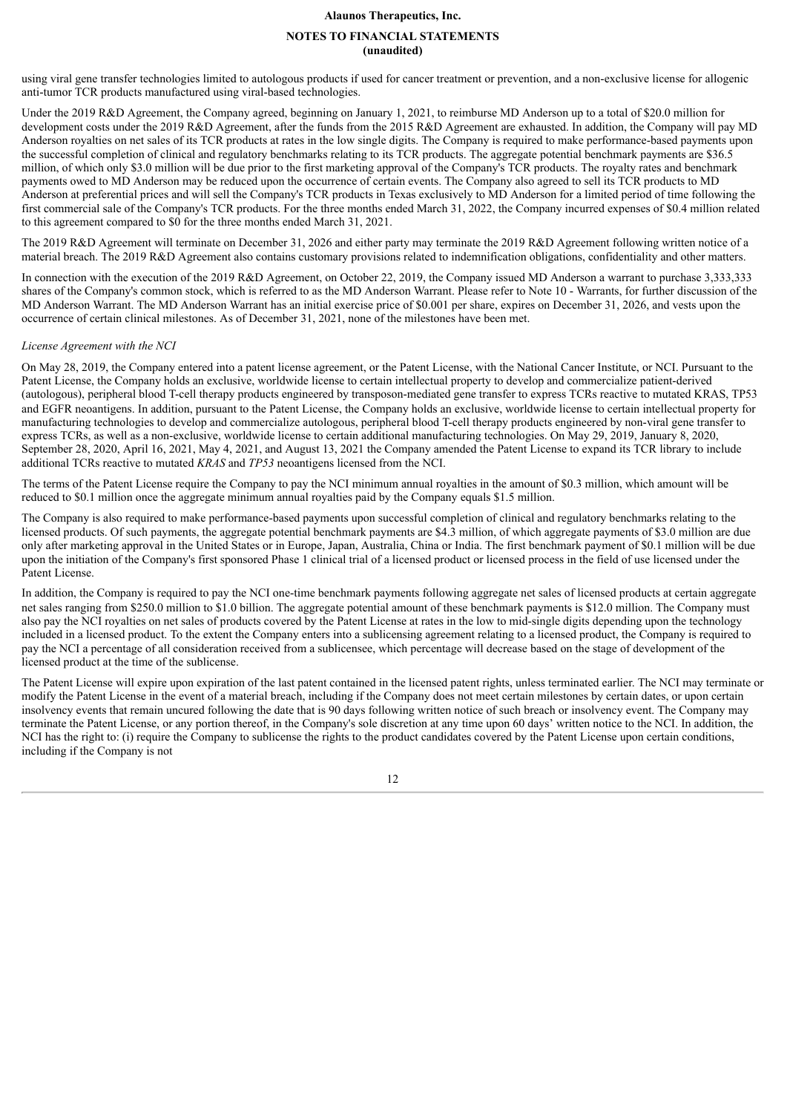using viral gene transfer technologies limited to autologous products if used for cancer treatment or prevention, and a non-exclusive license for allogenic anti-tumor TCR products manufactured using viral-based technologies.

Under the 2019 R&D Agreement, the Company agreed, beginning on January 1, 2021, to reimburse MD Anderson up to a total of \$20.0 million for development costs under the 2019 R&D Agreement, after the funds from the 2015 R&D Agreement are exhausted. In addition, the Company will pay MD Anderson royalties on net sales of its TCR products at rates in the low single digits. The Company is required to make performance-based payments upon the successful completion of clinical and regulatory benchmarks relating to its TCR products. The aggregate potential benchmark payments are \$36.5 million, of which only \$3.0 million will be due prior to the first marketing approval of the Company's TCR products. The royalty rates and benchmark payments owed to MD Anderson may be reduced upon the occurrence of certain events. The Company also agreed to sell its TCR products to MD Anderson at preferential prices and will sell the Company's TCR products in Texas exclusively to MD Anderson for a limited period of time following the first commercial sale of the Company's TCR products. For the three months ended March 31, 2022, the Company incurred expenses of \$0.4 million related to this agreement compared to \$0 for the three months ended March 31, 2021.

The 2019 R&D Agreement will terminate on December 31, 2026 and either party may terminate the 2019 R&D Agreement following written notice of a material breach. The 2019 R&D Agreement also contains customary provisions related to indemnification obligations, confidentiality and other matters.

In connection with the execution of the 2019 R&D Agreement, on October 22, 2019, the Company issued MD Anderson a warrant to purchase 3,333,333 shares of the Company's common stock, which is referred to as the MD Anderson Warrant. Please refer to Note 10 - Warrants, for further discussion of the MD Anderson Warrant. The MD Anderson Warrant has an initial exercise price of \$0.001 per share, expires on December 31, 2026, and vests upon the occurrence of certain clinical milestones. As of December 31, 2021, none of the milestones have been met.

#### *License Agreement with the NCI*

On May 28, 2019, the Company entered into a patent license agreement, or the Patent License, with the National Cancer Institute, or NCI. Pursuant to the Patent License, the Company holds an exclusive, worldwide license to certain intellectual property to develop and commercialize patient-derived (autologous), peripheral blood T-cell therapy products engineered by transposon-mediated gene transfer to express TCRs reactive to mutated KRAS, TP53 and EGFR neoantigens. In addition, pursuant to the Patent License, the Company holds an exclusive, worldwide license to certain intellectual property for manufacturing technologies to develop and commercialize autologous, peripheral blood T-cell therapy products engineered by non-viral gene transfer to express TCRs, as well as a non-exclusive, worldwide license to certain additional manufacturing technologies. On May 29, 2019, January 8, 2020, September 28, 2020, April 16, 2021, May 4, 2021, and August 13, 2021 the Company amended the Patent License to expand its TCR library to include additional TCRs reactive to mutated *KRAS* and *TP53* neoantigens licensed from the NCI.

The terms of the Patent License require the Company to pay the NCI minimum annual royalties in the amount of \$0.3 million, which amount will be reduced to \$0.1 million once the aggregate minimum annual royalties paid by the Company equals \$1.5 million.

The Company is also required to make performance-based payments upon successful completion of clinical and regulatory benchmarks relating to the licensed products. Of such payments, the aggregate potential benchmark payments are \$4.3 million, of which aggregate payments of \$3.0 million are due only after marketing approval in the United States or in Europe, Japan, Australia, China or India. The first benchmark payment of \$0.1 million will be due upon the initiation of the Company's first sponsored Phase 1 clinical trial of a licensed product or licensed process in the field of use licensed under the Patent License.

In addition, the Company is required to pay the NCI one-time benchmark payments following aggregate net sales of licensed products at certain aggregate net sales ranging from \$250.0 million to \$1.0 billion. The aggregate potential amount of these benchmark payments is \$12.0 million. The Company must also pay the NCI royalties on net sales of products covered by the Patent License at rates in the low to mid-single digits depending upon the technology included in a licensed product. To the extent the Company enters into a sublicensing agreement relating to a licensed product, the Company is required to pay the NCI a percentage of all consideration received from a sublicensee, which percentage will decrease based on the stage of development of the licensed product at the time of the sublicense.

The Patent License will expire upon expiration of the last patent contained in the licensed patent rights, unless terminated earlier. The NCI may terminate or modify the Patent License in the event of a material breach, including if the Company does not meet certain milestones by certain dates, or upon certain insolvency events that remain uncured following the date that is 90 days following written notice of such breach or insolvency event. The Company may terminate the Patent License, or any portion thereof, in the Company's sole discretion at any time upon 60 days' written notice to the NCI. In addition, the NCI has the right to: (i) require the Company to sublicense the rights to the product candidates covered by the Patent License upon certain conditions, including if the Company is not

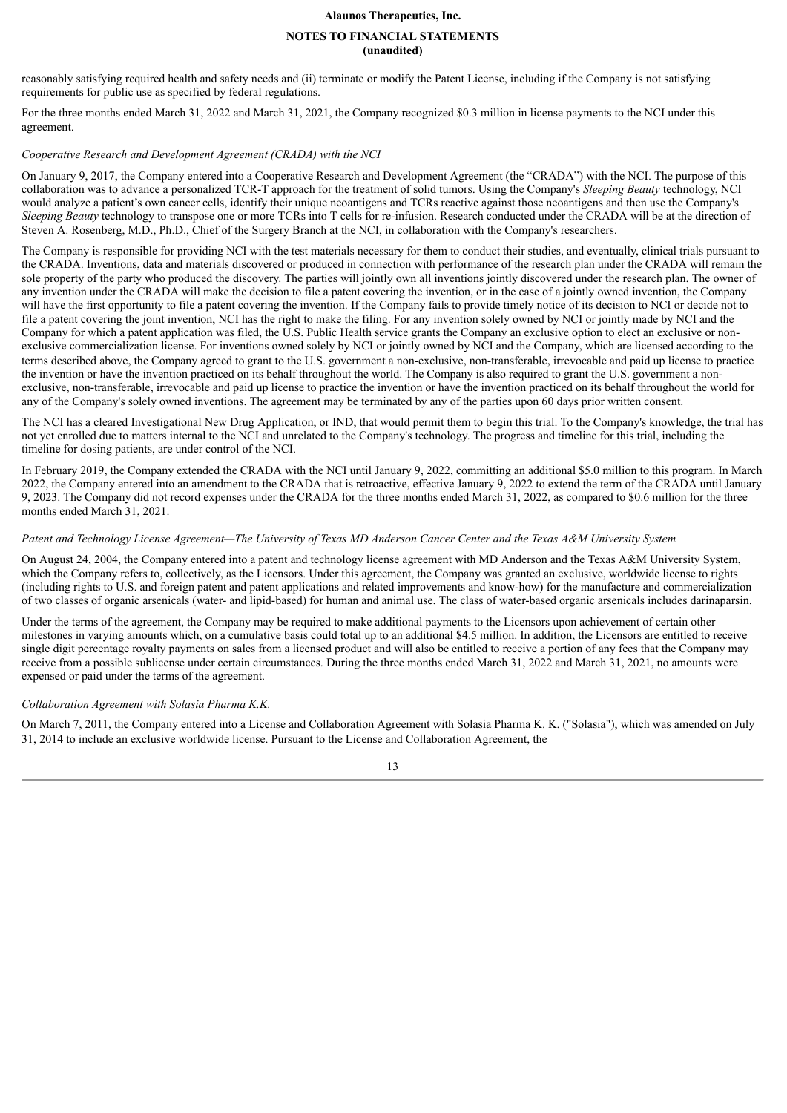reasonably satisfying required health and safety needs and (ii) terminate or modify the Patent License, including if the Company is not satisfying requirements for public use as specified by federal regulations.

For the three months ended March 31, 2022 and March 31, 2021, the Company recognized \$0.3 million in license payments to the NCI under this agreement.

# *Cooperative Research and Development Agreement (CRADA) with the NCI*

On January 9, 2017, the Company entered into a Cooperative Research and Development Agreement (the "CRADA") with the NCI. The purpose of this collaboration was to advance a personalized TCR-T approach for the treatment of solid tumors. Using the Company's *Sleeping Beauty* technology, NCI would analyze a patient's own cancer cells, identify their unique neoantigens and TCRs reactive against those neoantigens and then use the Company's *Sleeping Beauty* technology to transpose one or more TCRs into T cells for re-infusion. Research conducted under the CRADA will be at the direction of Steven A. Rosenberg, M.D., Ph.D., Chief of the Surgery Branch at the NCI, in collaboration with the Company's researchers.

The Company is responsible for providing NCI with the test materials necessary for them to conduct their studies, and eventually, clinical trials pursuant to the CRADA. Inventions, data and materials discovered or produced in connection with performance of the research plan under the CRADA will remain the sole property of the party who produced the discovery. The parties will jointly own all inventions jointly discovered under the research plan. The owner of any invention under the CRADA will make the decision to file a patent covering the invention, or in the case of a jointly owned invention, the Company will have the first opportunity to file a patent covering the invention. If the Company fails to provide timely notice of its decision to NCI or decide not to file a patent covering the joint invention, NCI has the right to make the filing. For any invention solely owned by NCI or jointly made by NCI and the Company for which a patent application was filed, the U.S. Public Health service grants the Company an exclusive option to elect an exclusive or nonexclusive commercialization license. For inventions owned solely by NCI or jointly owned by NCI and the Company, which are licensed according to the terms described above, the Company agreed to grant to the U.S. government a non-exclusive, non-transferable, irrevocable and paid up license to practice the invention or have the invention practiced on its behalf throughout the world. The Company is also required to grant the U.S. government a nonexclusive, non-transferable, irrevocable and paid up license to practice the invention or have the invention practiced on its behalf throughout the world for any of the Company's solely owned inventions. The agreement may be terminated by any of the parties upon 60 days prior written consent.

The NCI has a cleared Investigational New Drug Application, or IND, that would permit them to begin this trial. To the Company's knowledge, the trial has not yet enrolled due to matters internal to the NCI and unrelated to the Company's technology. The progress and timeline for this trial, including the timeline for dosing patients, are under control of the NCI.

In February 2019, the Company extended the CRADA with the NCI until January 9, 2022, committing an additional \$5.0 million to this program. In March 2022, the Company entered into an amendment to the CRADA that is retroactive, effective January 9, 2022 to extend the term of the CRADA until January 9, 2023. The Company did not record expenses under the CRADA for the three months ended March 31, 2022, as compared to \$0.6 million for the three months ended March 31, 2021.

#### Patent and Technology License Agreement-The University of Texas MD Anderson Cancer Center and the Texas A&M University System

On August 24, 2004, the Company entered into a patent and technology license agreement with MD Anderson and the Texas A&M University System, which the Company refers to, collectively, as the Licensors. Under this agreement, the Company was granted an exclusive, worldwide license to rights (including rights to U.S. and foreign patent and patent applications and related improvements and know-how) for the manufacture and commercialization of two classes of organic arsenicals (water- and lipid-based) for human and animal use. The class of water-based organic arsenicals includes darinaparsin.

Under the terms of the agreement, the Company may be required to make additional payments to the Licensors upon achievement of certain other milestones in varying amounts which, on a cumulative basis could total up to an additional \$4.5 million. In addition, the Licensors are entitled to receive single digit percentage royalty payments on sales from a licensed product and will also be entitled to receive a portion of any fees that the Company may receive from a possible sublicense under certain circumstances. During the three months ended March 31, 2022 and March 31, 2021, no amounts were expensed or paid under the terms of the agreement.

#### *Collaboration Agreement with Solasia Pharma K.K.*

On March 7, 2011, the Company entered into a License and Collaboration Agreement with Solasia Pharma K. K. ("Solasia"), which was amended on July 31, 2014 to include an exclusive worldwide license. Pursuant to the License and Collaboration Agreement, the

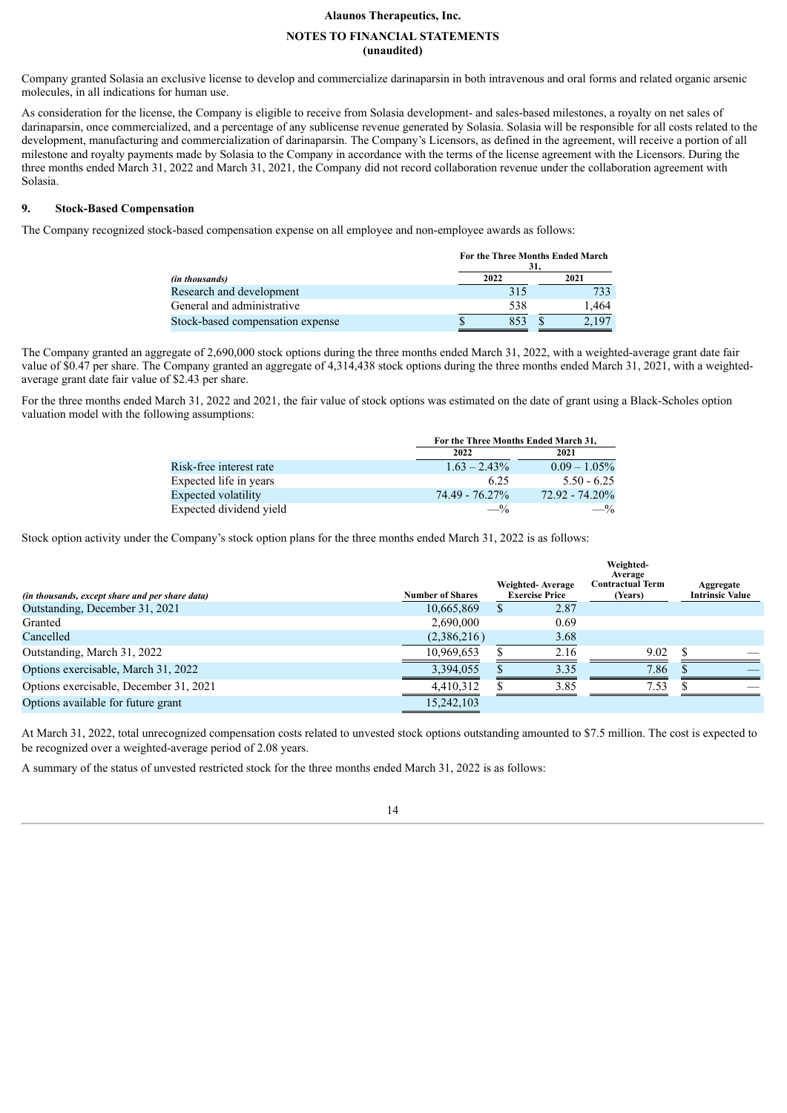Company granted Solasia an exclusive license to develop and commercialize darinaparsin in both intravenous and oral forms and related organic arsenic molecules, in all indications for human use.

As consideration for the license, the Company is eligible to receive from Solasia development- and sales-based milestones, a royalty on net sales of darinaparsin, once commercialized, and a percentage of any sublicense revenue generated by Solasia. Solasia will be responsible for all costs related to the development, manufacturing and commercialization of darinaparsin. The Company's Licensors, as defined in the agreement, will receive a portion of all milestone and royalty payments made by Solasia to the Company in accordance with the terms of the license agreement with the Licensors. During the three months ended March 31, 2022 and March 31, 2021, the Company did not record collaboration revenue under the collaboration agreement with Solasia.

# **9. Stock-Based Compensation**

The Company recognized stock-based compensation expense on all employee and non-employee awards as follows:

|                                  | For the Three Months Ended March |       |  |  |  |  |  |  |
|----------------------------------|----------------------------------|-------|--|--|--|--|--|--|
| <i>(in thousands)</i>            | 2022                             | 2021  |  |  |  |  |  |  |
| Research and development         | 315                              | 733   |  |  |  |  |  |  |
| General and administrative       | 538                              | 1.464 |  |  |  |  |  |  |
| Stock-based compensation expense | 853                              | 2.197 |  |  |  |  |  |  |

The Company granted an aggregate of 2,690,000 stock options during the three months ended March 31, 2022, with a weighted-average grant date fair value of \$0.47 per share. The Company granted an aggregate of 4,314,438 stock options during the three months ended March 31, 2021, with a weightedaverage grant date fair value of \$2.43 per share.

For the three months ended March 31, 2022 and 2021, the fair value of stock options was estimated on the date of grant using a Black-Scholes option valuation model with the following assumptions:

|                         |                 | For the Three Months Ended March 31, |
|-------------------------|-----------------|--------------------------------------|
|                         | 2022            | 2021                                 |
| Risk-free interest rate | $1.63 - 2.43\%$ | $0.09 - 1.05\%$                      |
| Expected life in years  | 6.25            | $5.50 - 6.25$                        |
| Expected volatility     | 74.49 - 76.27%  | $72.92 - 74.20\%$                    |
| Expected dividend yield | $-$ %           | $-$ %                                |

2. Stock option activity under the Company's stock option plans for the three months ended March 31, 2022 is as follows:

|                                                 |                         | <b>Weighted-Average</b> | Weighted-<br>Average<br><b>Contractual Term</b> | Aggregate              |
|-------------------------------------------------|-------------------------|-------------------------|-------------------------------------------------|------------------------|
| (in thousands, except share and per share data) | <b>Number of Shares</b> | <b>Exercise Price</b>   | (Years)                                         | <b>Intrinsic Value</b> |
| Outstanding, December 31, 2021                  | 10,665,869              | 2.87                    |                                                 |                        |
| Granted                                         | 2,690,000               | 0.69                    |                                                 |                        |
| Cancelled                                       | (2,386,216)             | 3.68                    |                                                 |                        |
| Outstanding, March 31, 2022                     | 10,969,653              | 2.16                    | 9.02                                            |                        |
| Options exercisable, March 31, 2022             | 3,394,055               | 3.35                    | 7.86                                            |                        |
| Options exercisable, December 31, 2021          | 4.410.312               | 3.85                    | 7.53                                            |                        |
| Options available for future grant              | 15.242.103              |                         |                                                 |                        |

At March 31, 2022, total unrecognized compensation costs related to unvested stock options outstanding amounted to \$7.5 million. The cost is expected to be recognized over a weighted-average period of 2.08 years.

A summary of the status of unvested restricted stock for the three months ended March 31, 2022 is as follows: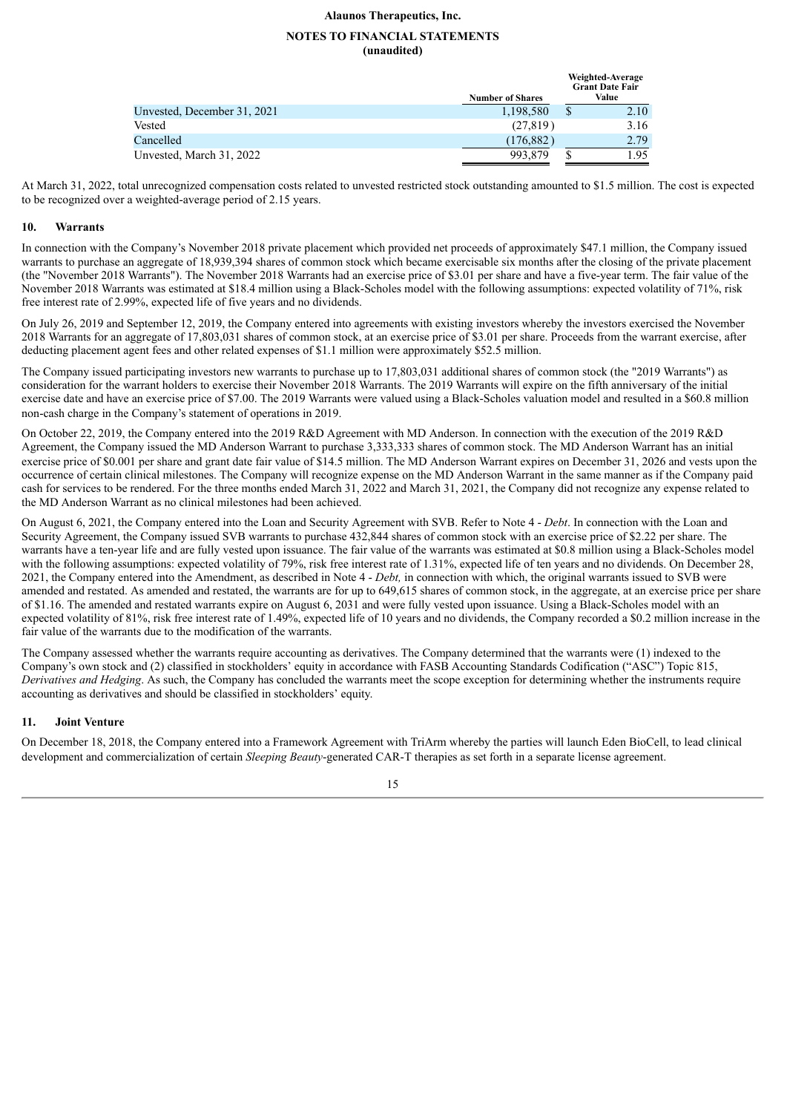|                             | <b>Number of Shares</b> | Weighted-Average<br><b>Grant Date Fair</b><br>Value |
|-----------------------------|-------------------------|-----------------------------------------------------|
| Unvested, December 31, 2021 | 1,198,580               | 2.10                                                |
| Vested                      | (27, 819)               | 3.16                                                |
| Cancelled                   | (176, 882)              | 2.79                                                |
| Unvested, March 31, 2022    | 993.879                 | 1.95                                                |

At March 31, 2022, total unrecognized compensation costs related to unvested restricted stock outstanding amounted to \$1.5 million. The cost is expected to be recognized over a weighted-average period of 2.15 years.

#### **10. Warrants**

In connection with the Company's November 2018 private placement which provided net proceeds of approximately \$47.1 million, the Company issued warrants to purchase an aggregate of 18,939,394 shares of common stock which became exercisable six months after the closing of the private placement (the "November 2018 Warrants"). The November 2018 Warrants had an exercise price of \$3.01 per share and have a five-year term. The fair value of the November 2018 Warrants was estimated at \$18.4 million using a Black-Scholes model with the following assumptions: expected volatility of 71%, risk free interest rate of 2.99%, expected life of five years and no dividends.

On July 26, 2019 and September 12, 2019, the Company entered into agreements with existing investors whereby the investors exercised the November 2018 Warrants for an aggregate of 17,803,031 shares of common stock, at an exercise price of \$3.01 per share. Proceeds from the warrant exercise, after deducting placement agent fees and other related expenses of \$1.1 million were approximately \$52.5 million.

The Company issued participating investors new warrants to purchase up to 17,803,031 additional shares of common stock (the "2019 Warrants") as consideration for the warrant holders to exercise their November 2018 Warrants. The 2019 Warrants will expire on the fifth anniversary of the initial exercise date and have an exercise price of \$7.00. The 2019 Warrants were valued using a Black-Scholes valuation model and resulted in a \$60.8 million non-cash charge in the Company's statement of operations in 2019.

On October 22, 2019, the Company entered into the 2019 R&D Agreement with MD Anderson. In connection with the execution of the 2019 R&D Agreement, the Company issued the MD Anderson Warrant to purchase 3,333,333 shares of common stock. The MD Anderson Warrant has an initial exercise price of \$0.001 per share and grant date fair value of \$14.5 million. The MD Anderson Warrant expires on December 31, 2026 and vests upon the occurrence of certain clinical milestones. The Company will recognize expense on the MD Anderson Warrant in the same manner as if the Company paid cash for services to be rendered. For the three months ended March 31, 2022 and March 31, 2021, the Company did not recognize any expense related to the MD Anderson Warrant as no clinical milestones had been achieved.

On August 6, 2021, the Company entered into the Loan and Security Agreement with SVB. Refer to Note 4 - *Debt*. In connection with the Loan and Security Agreement, the Company issued SVB warrants to purchase 432,844 shares of common stock with an exercise price of \$2.22 per share. The warrants have a ten-year life and are fully vested upon issuance. The fair value of the warrants was estimated at \$0.8 million using a Black-Scholes model with the following assumptions: expected volatility of 79%, risk free interest rate of 1.31%, expected life of ten years and no dividends. On December 28, 2021, the Company entered into the Amendment, as described in Note 4 - *Debt,* in connection with which, the original warrants issued to SVB were amended and restated. As amended and restated, the warrants are for up to 649,615 shares of common stock, in the aggregate, at an exercise price per share of \$1.16. The amended and restated warrants expire on August 6, 2031 and were fully vested upon issuance. Using a Black-Scholes model with an expected volatility of 81%, risk free interest rate of 1.49%, expected life of 10 years and no dividends, the Company recorded a \$0.2 million increase in the fair value of the warrants due to the modification of the warrants.

The Company assessed whether the warrants require accounting as derivatives. The Company determined that the warrants were (1) indexed to the Company's own stock and (2) classified in stockholders' equity in accordance with FASB Accounting Standards Codification ("ASC") Topic 815, *Derivatives and Hedging*. As such, the Company has concluded the warrants meet the scope exception for determining whether the instruments require accounting as derivatives and should be classified in stockholders' equity.

#### **11. Joint Venture**

On December 18, 2018, the Company entered into a Framework Agreement with TriArm whereby the parties will launch Eden BioCell, to lead clinical development and commercialization of certain *Sleeping Beauty*-generated CAR-T therapies as set forth in a separate license agreement.

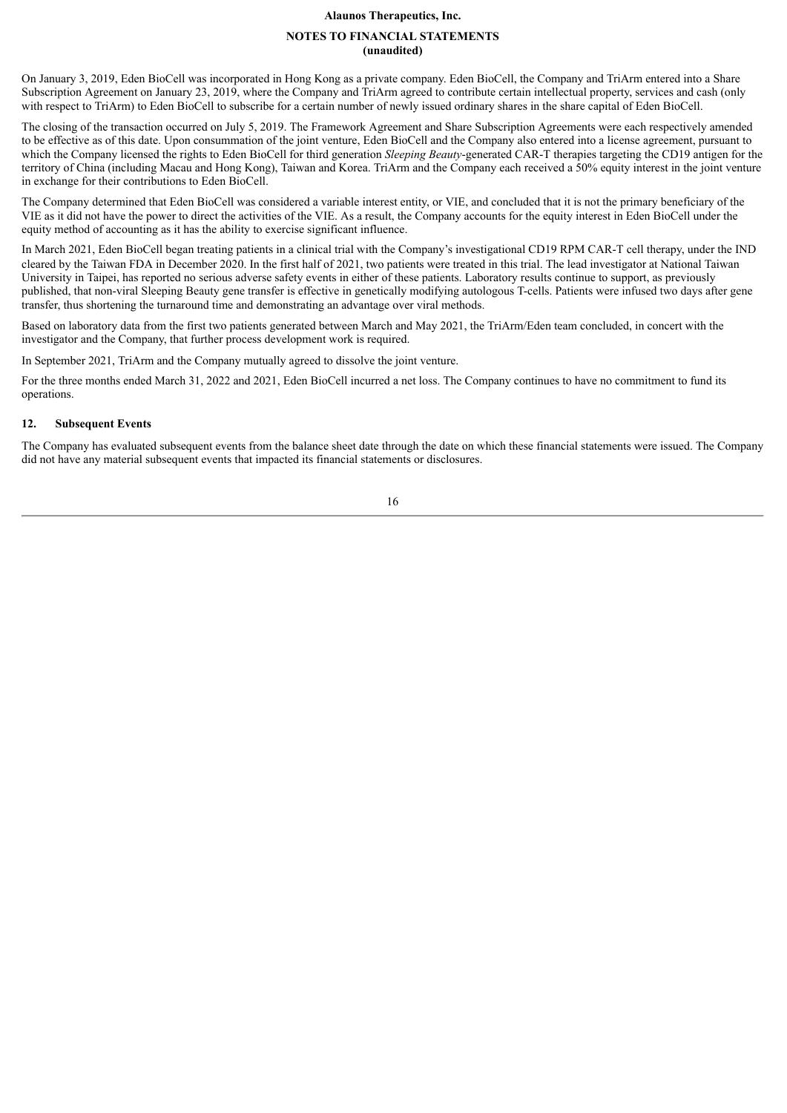# **Alaunos Therapeutics, Inc.**

# **NOTES TO FINANCIAL STATEMENTS (unaudited)**

On January 3, 2019, Eden BioCell was incorporated in Hong Kong as a private company. Eden BioCell, the Company and TriArm entered into a Share Subscription Agreement on January 23, 2019, where the Company and TriArm agreed to contribute certain intellectual property, services and cash (only with respect to TriArm) to Eden BioCell to subscribe for a certain number of newly issued ordinary shares in the share capital of Eden BioCell.

The closing of the transaction occurred on July 5, 2019. The Framework Agreement and Share Subscription Agreements were each respectively amended to be effective as of this date. Upon consummation of the joint venture, Eden BioCell and the Company also entered into a license agreement, pursuant to which the Company licensed the rights to Eden BioCell for third generation *Sleeping Beauty*-generated CAR-T therapies targeting the CD19 antigen for the territory of China (including Macau and Hong Kong), Taiwan and Korea. TriArm and the Company each received a 50% equity interest in the joint venture in exchange for their contributions to Eden BioCell.

The Company determined that Eden BioCell was considered a variable interest entity, or VIE, and concluded that it is not the primary beneficiary of the VIE as it did not have the power to direct the activities of the VIE. As a result, the Company accounts for the equity interest in Eden BioCell under the equity method of accounting as it has the ability to exercise significant influence.

In March 2021, Eden BioCell began treating patients in a clinical trial with the Company's investigational CD19 RPM CAR-T cell therapy, under the IND cleared by the Taiwan FDA in December 2020. In the first half of 2021, two patients were treated in this trial. The lead investigator at National Taiwan University in Taipei, has reported no serious adverse safety events in either of these patients. Laboratory results continue to support, as previously published, that non-viral Sleeping Beauty gene transfer is effective in genetically modifying autologous T-cells. Patients were infused two days after gene transfer, thus shortening the turnaround time and demonstrating an advantage over viral methods.

Based on laboratory data from the first two patients generated between March and May 2021, the TriArm/Eden team concluded, in concert with the investigator and the Company, that further process development work is required.

In September 2021, TriArm and the Company mutually agreed to dissolve the joint venture.

For the three months ended March 31, 2022 and 2021, Eden BioCell incurred a net loss. The Company continues to have no commitment to fund its operations.

### **12. Subsequent Events**

The Company has evaluated subsequent events from the balance sheet date through the date on which these financial statements were issued. The Company did not have any material subsequent events that impacted its financial statements or disclosures.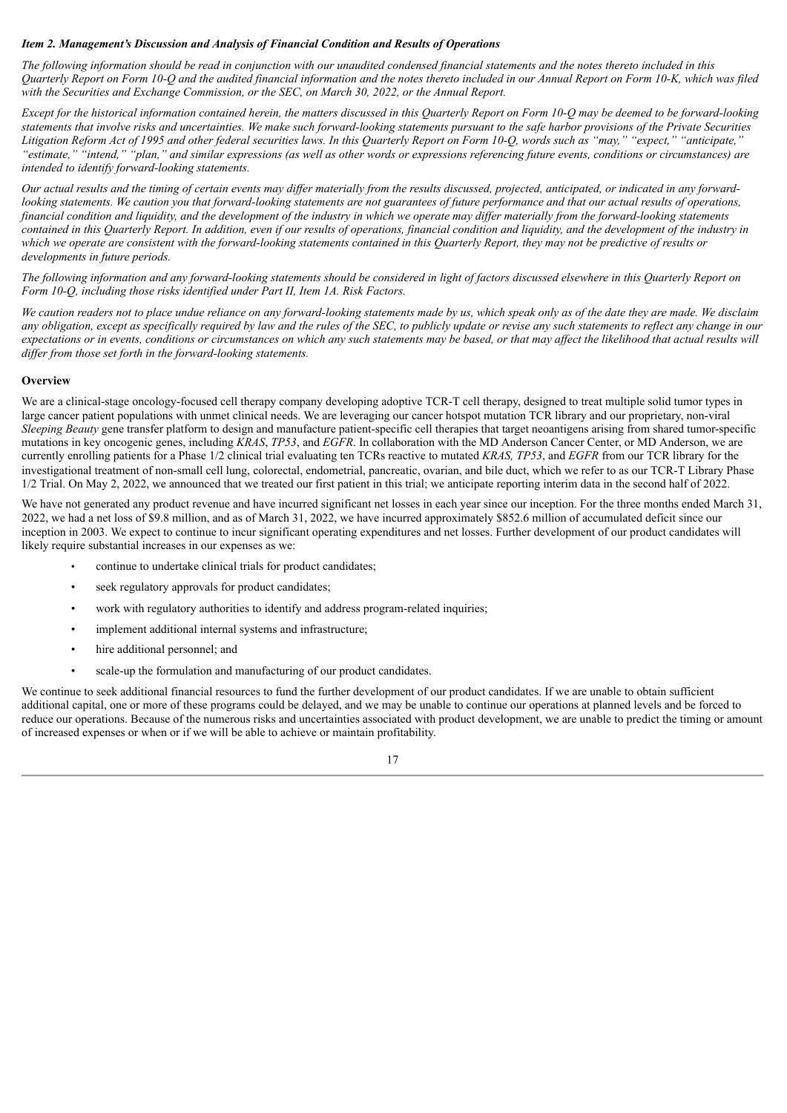### <span id="page-20-0"></span>*Item 2. Management's Discussion and Analysis of Financial Condition and Results of Operations*

The following information should be read in conjunction with our unaudited condensed financial statements and the notes thereto included in this Quarterly Report on Form 10-Q and the audited financial information and the notes thereto included in our Annual Report on Form 10-K, which was filed *with the Securities and Exchange Commission, or the SEC, on March 30, 2022, or the Annual Report.*

Except for the historical information contained herein, the matters discussed in this Quarterly Report on Form 10-Q may be deemed to be forward-looking statements that involve risks and uncertainties. We make such forward-looking statements pursuant to the safe harbor provisions of the Private Securities Litigation Reform Act of 1995 and other federal securities laws. In this Quarterly Report on Form 10-Q, words such as "may," "expect," "anticipate," "estimate," "intend," "plan," and similar expressions (as well as other words or expressions referencing future events, conditions or circumstances) are *intended to identify forward-looking statements.*

Our actual results and the timing of certain events may differ materially from the results discussed, projected, anticipated, or indicated in any forwardlooking statements. We caution you that forward-looking statements are not guarantees of future performance and that our actual results of operations, financial condition and liquidity, and the development of the industry in which we operate may differ materially from the forward-looking statements contained in this Quarterly Report. In addition, even if our results of operations, financial condition and liquidity, and the development of the industry in which we operate are consistent with the forward-looking statements contained in this Quarterly Report, they may not be predictive of results or *developments in future periods.*

The following information and any forward-looking statements should be considered in light of factors discussed elsewhere in this Quarterly Report on *Form 10-Q, including those risks identified under Part II, Item 1A. Risk Factors.*

We caution readers not to place undue reliance on any forward-looking statements made by us, which speak only as of the date they are made. We disclaim any obligation, except as specifically required by law and the rules of the SEC, to publicly update or revise any such statements to reflect any change in our expectations or in events, conditions or circumstances on which any such statements may be based, or that may affect the likelihood that actual results will *dif er from those set forth in the forward-looking statements.*

#### **Overview**

We are a clinical-stage oncology-focused cell therapy company developing adoptive TCR-T cell therapy, designed to treat multiple solid tumor types in large cancer patient populations with unmet clinical needs. We are leveraging our cancer hotspot mutation TCR library and our proprietary, non-viral *Sleeping Beauty* gene transfer platform to design and manufacture patient-specific cell therapies that target neoantigens arising from shared tumor-specific mutations in key oncogenic genes, including *KRAS*, *TP53*, and *EGFR*. In collaboration with the MD Anderson Cancer Center, or MD Anderson, we are currently enrolling patients for a Phase 1/2 clinical trial evaluating ten TCRs reactive to mutated *KRAS, TP53*, and *EGFR* from our TCR library for the investigational treatment of non-small cell lung, colorectal, endometrial, pancreatic, ovarian, and bile duct, which we refer to as our TCR-T Library Phase 1/2 Trial. On May 2, 2022, we announced that we treated our first patient in this trial; we anticipate reporting interim data in the second half of 2022.

We have not generated any product revenue and have incurred significant net losses in each year since our inception. For the three months ended March 31, 2022, we had a net loss of \$9.8 million, and as of March 31, 2022, we have incurred approximately \$852.6 million of accumulated deficit since our inception in 2003. We expect to continue to incur significant operating expenditures and net losses. Further development of our product candidates will likely require substantial increases in our expenses as we:

- continue to undertake clinical trials for product candidates;
- seek regulatory approvals for product candidates;
- work with regulatory authorities to identify and address program-related inquiries;
- implement additional internal systems and infrastructure;
- hire additional personnel; and
- scale-up the formulation and manufacturing of our product candidates.

We continue to seek additional financial resources to fund the further development of our product candidates. If we are unable to obtain sufficient additional capital, one or more of these programs could be delayed, and we may be unable to continue our operations at planned levels and be forced to reduce our operations. Because of the numerous risks and uncertainties associated with product development, we are unable to predict the timing or amount of increased expenses or when or if we will be able to achieve or maintain profitability.

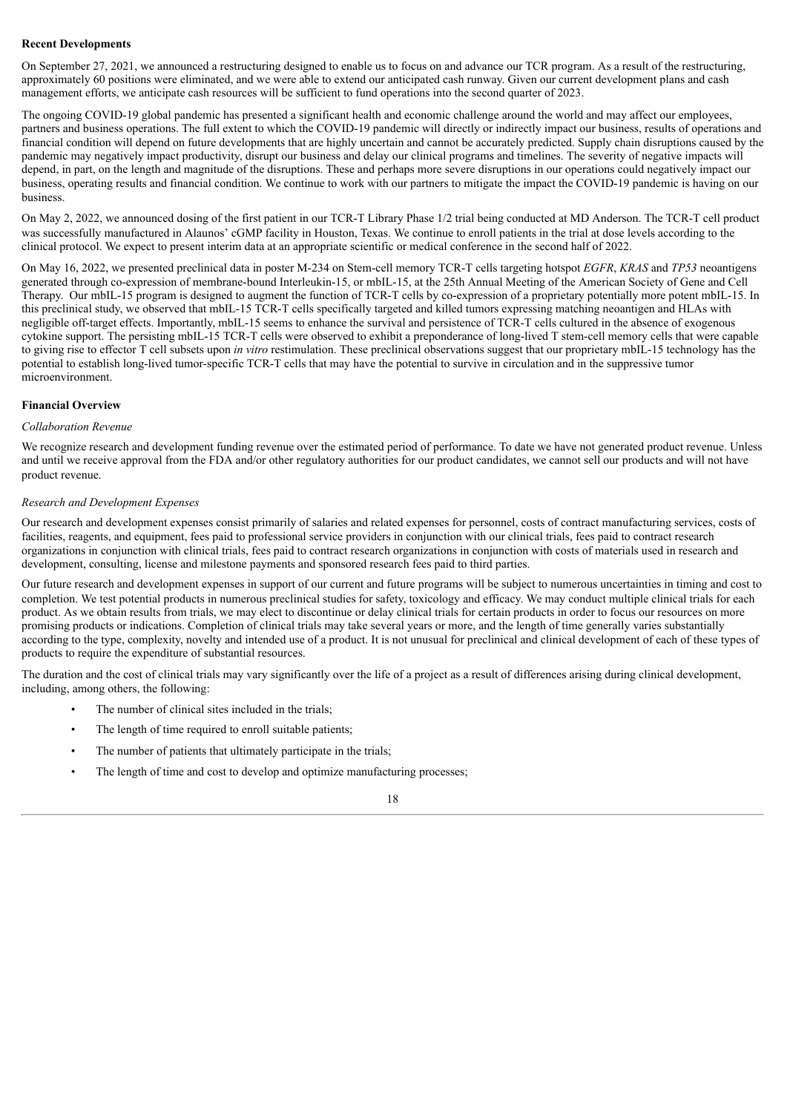# **Recent Developments**

On September 27, 2021, we announced a restructuring designed to enable us to focus on and advance our TCR program. As a result of the restructuring, approximately 60 positions were eliminated, and we were able to extend our anticipated cash runway. Given our current development plans and cash management efforts, we anticipate cash resources will be sufficient to fund operations into the second quarter of 2023.

The ongoing COVID-19 global pandemic has presented a significant health and economic challenge around the world and may affect our employees, partners and business operations. The full extent to which the COVID-19 pandemic will directly or indirectly impact our business, results of operations and financial condition will depend on future developments that are highly uncertain and cannot be accurately predicted. Supply chain disruptions caused by the pandemic may negatively impact productivity, disrupt our business and delay our clinical programs and timelines. The severity of negative impacts will depend, in part, on the length and magnitude of the disruptions. These and perhaps more severe disruptions in our operations could negatively impact our business, operating results and financial condition. We continue to work with our partners to mitigate the impact the COVID-19 pandemic is having on our business.

On May 2, 2022, we announced dosing of the first patient in our TCR-T Library Phase 1/2 trial being conducted at MD Anderson. The TCR-T cell product was successfully manufactured in Alaunos' cGMP facility in Houston, Texas. We continue to enroll patients in the trial at dose levels according to the clinical protocol. We expect to present interim data at an appropriate scientific or medical conference in the second half of 2022.

On May 16, 2022, we presented preclinical data in poster M-234 on Stem-cell memory TCR-T cells targeting hotspot *EGFR*, *KRAS* and *TP53* neoantigens generated through co-expression of membrane-bound Interleukin-15, or mbIL-15, at the 25th Annual Meeting of the American Society of Gene and Cell Therapy. Our mbIL-15 program is designed to augment the function of TCR-T cells by co-expression of a proprietary potentially more potent mbIL-15. In this preclinical study, we observed that mbIL-15 TCR-T cells specifically targeted and killed tumors expressing matching neoantigen and HLAs with negligible off-target effects. Importantly, mbIL-15 seems to enhance the survival and persistence of TCR-T cells cultured in the absence of exogenous cytokine support. The persisting mbIL-15 TCR-T cells were observed to exhibit a preponderance of long-lived T stem-cell memory cells that were capable to giving rise to effector T cell subsets upon *in vitro* restimulation. These preclinical observations suggest that our proprietary mbIL-15 technology has the potential to establish long-lived tumor-specific TCR-T cells that may have the potential to survive in circulation and in the suppressive tumor microenvironment.

#### **Financial Overview**

### *Collaboration Revenue*

We recognize research and development funding revenue over the estimated period of performance. To date we have not generated product revenue. Unless and until we receive approval from the FDA and/or other regulatory authorities for our product candidates, we cannot sell our products and will not have product revenue.

#### *Research and Development Expenses*

Our research and development expenses consist primarily of salaries and related expenses for personnel, costs of contract manufacturing services, costs of facilities, reagents, and equipment, fees paid to professional service providers in conjunction with our clinical trials, fees paid to contract research organizations in conjunction with clinical trials, fees paid to contract research organizations in conjunction with costs of materials used in research and development, consulting, license and milestone payments and sponsored research fees paid to third parties.

Our future research and development expenses in support of our current and future programs will be subject to numerous uncertainties in timing and cost to completion. We test potential products in numerous preclinical studies for safety, toxicology and efficacy. We may conduct multiple clinical trials for each product. As we obtain results from trials, we may elect to discontinue or delay clinical trials for certain products in order to focus our resources on more promising products or indications. Completion of clinical trials may take several years or more, and the length of time generally varies substantially according to the type, complexity, novelty and intended use of a product. It is not unusual for preclinical and clinical development of each of these types of products to require the expenditure of substantial resources.

The duration and the cost of clinical trials may vary significantly over the life of a project as a result of differences arising during clinical development, including, among others, the following:

- The number of clinical sites included in the trials;
- The length of time required to enroll suitable patients;
- The number of patients that ultimately participate in the trials;
- The length of time and cost to develop and optimize manufacturing processes;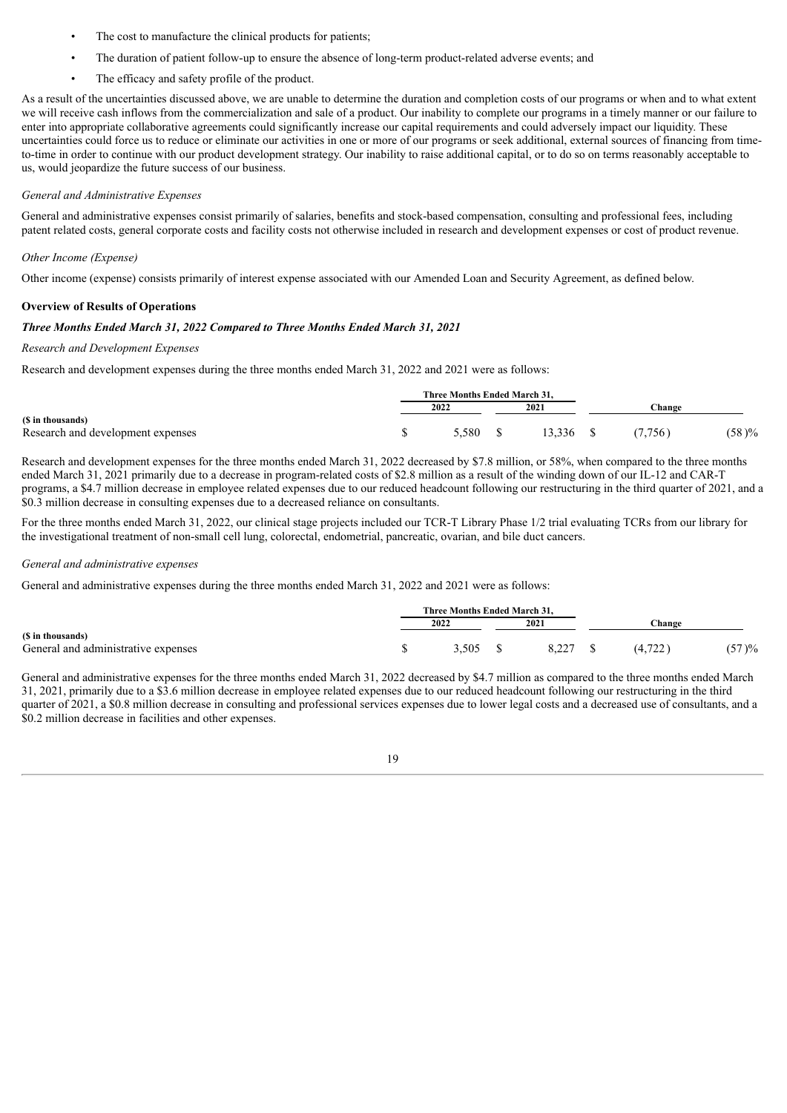- The cost to manufacture the clinical products for patients;
- The duration of patient follow-up to ensure the absence of long-term product-related adverse events; and
- The efficacy and safety profile of the product.

As a result of the uncertainties discussed above, we are unable to determine the duration and completion costs of our programs or when and to what extent we will receive cash inflows from the commercialization and sale of a product. Our inability to complete our programs in a timely manner or our failure to enter into appropriate collaborative agreements could significantly increase our capital requirements and could adversely impact our liquidity. These uncertainties could force us to reduce or eliminate our activities in one or more of our programs or seek additional, external sources of financing from timeto-time in order to continue with our product development strategy. Our inability to raise additional capital, or to do so on terms reasonably acceptable to us, would jeopardize the future success of our business.

#### *General and Administrative Expenses*

General and administrative expenses consist primarily of salaries, benefits and stock-based compensation, consulting and professional fees, including patent related costs, general corporate costs and facility costs not otherwise included in research and development expenses or cost of product revenue.

#### *Other Income (Expense)*

Other income (expense) consists primarily of interest expense associated with our Amended Loan and Security Agreement, as defined below.

#### **Overview of Results of Operations**

#### *Three Months Ended March 31, 2022 Compared to Three Months Ended March 31, 2021*

#### *Research and Development Expenses*

Research and development expenses during the three months ended March 31, 2022 and 2021 were as follows:

|                                   | Three Months Ended March 31. |       |  |           |         |          |
|-----------------------------------|------------------------------|-------|--|-----------|---------|----------|
|                                   |                              | 2022  |  | 2021      | Change  |          |
| (S in thousands)                  |                              |       |  |           |         |          |
| Research and development expenses |                              | 5.580 |  | 13.336 \$ | (7.756) | $(58)\%$ |

Research and development expenses for the three months ended March 31, 2022 decreased by \$7.8 million, or 58%, when compared to the three months ended March 31, 2021 primarily due to a decrease in program-related costs of \$2.8 million as a result of the winding down of our IL-12 and CAR-T programs, a \$4.7 million decrease in employee related expenses due to our reduced headcount following our restructuring in the third quarter of 2021, and a \$0.3 million decrease in consulting expenses due to a decreased reliance on consultants.

For the three months ended March 31, 2022, our clinical stage projects included our TCR-T Library Phase 1/2 trial evaluating TCRs from our library for the investigational treatment of non-small cell lung, colorectal, endometrial, pancreatic, ovarian, and bile duct cancers.

#### *General and administrative expenses*

General and administrative expenses during the three months ended March 31, 2022 and 2021 were as follows:

|                                     | Three Months Ended March 31. |  |       |               |           |
|-------------------------------------|------------------------------|--|-------|---------------|-----------|
|                                     | 2022                         |  | 2021  | <b>Change</b> |           |
| (\$ in thousands)                   |                              |  |       |               |           |
| General and administrative expenses | 3.505                        |  | 8.227 | (4.722)       | $(57) \%$ |

General and administrative expenses for the three months ended March 31, 2022 decreased by \$4.7 million as compared to the three months ended March 31, 2021, primarily due to a \$3.6 million decrease in employee related expenses due to our reduced headcount following our restructuring in the third quarter of 2021, a \$0.8 million decrease in consulting and professional services expenses due to lower legal costs and a decreased use of consultants, and a \$0.2 million decrease in facilities and other expenses.

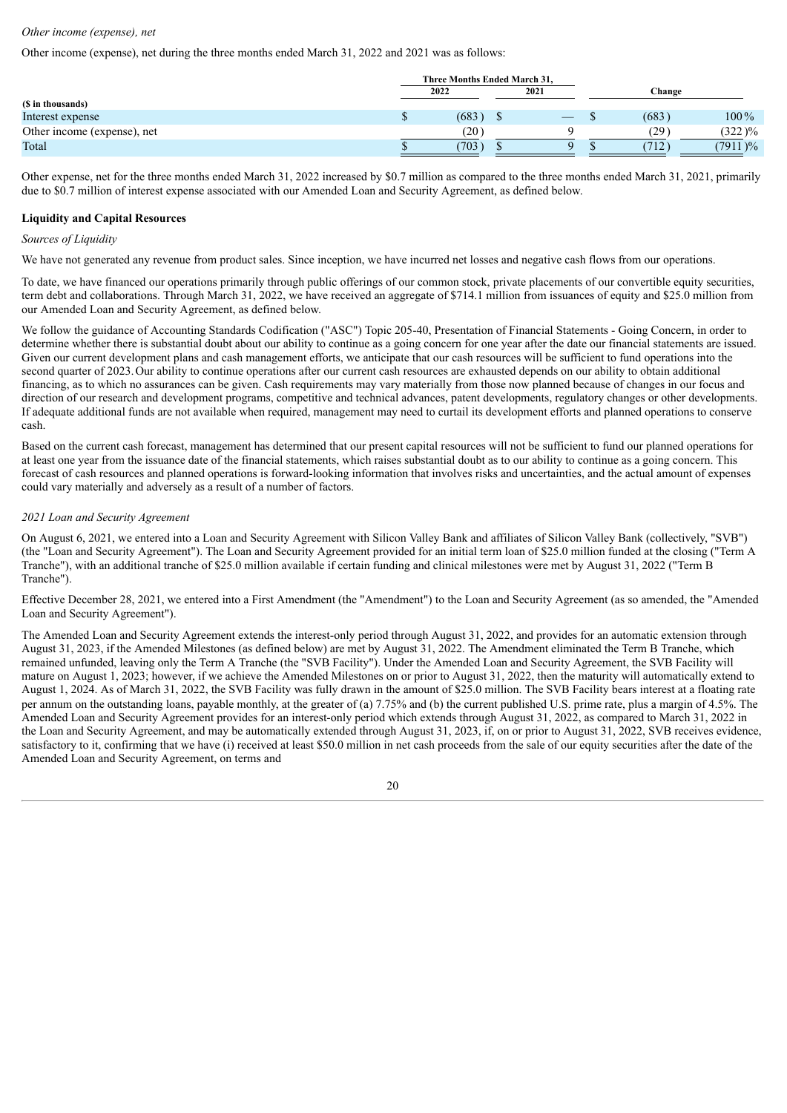### *Other income (expense), net*

Other income (expense), net during the three months ended March 31, 2022 and 2021 was as follows:

|                             | Three Months Ended March 31, |       |  |      |        |            |
|-----------------------------|------------------------------|-------|--|------|--------|------------|
|                             |                              | 2022  |  | 2021 | Change |            |
| (\$ in thousands)           |                              |       |  |      |        |            |
| Interest expense            |                              | (683) |  |      | (683)  | $100\%$    |
| Other income (expense), net |                              | (20)  |  |      | (29)   | $(322)\%$  |
| Total                       |                              | (703) |  |      | (712)  | $(7911)$ % |

Other expense, net for the three months ended March 31, 2022 increased by \$0.7 million as compared to the three months ended March 31, 2021, primarily due to \$0.7 million of interest expense associated with our Amended Loan and Security Agreement, as defined below.

#### **Liquidity and Capital Resources**

#### *Sources of Liquidity*

We have not generated any revenue from product sales. Since inception, we have incurred net losses and negative cash flows from our operations.

To date, we have financed our operations primarily through public offerings of our common stock, private placements of our convertible equity securities, term debt and collaborations. Through March 31, 2022, we have received an aggregate of \$714.1 million from issuances of equity and \$25.0 million from our Amended Loan and Security Agreement, as defined below.

We follow the guidance of Accounting Standards Codification ("ASC") Topic 205-40, Presentation of Financial Statements - Going Concern, in order to determine whether there is substantial doubt about our ability to continue as a going concern for one year after the date our financial statements are issued. Given our current development plans and cash management efforts, we anticipate that our cash resources will be sufficient to fund operations into the second quarter of 2023.Our ability to continue operations after our current cash resources are exhausted depends on our ability to obtain additional financing, as to which no assurances can be given. Cash requirements may vary materially from those now planned because of changes in our focus and direction of our research and development programs, competitive and technical advances, patent developments, regulatory changes or other developments. If adequate additional funds are not available when required, management may need to curtail its development efforts and planned operations to conserve cash.

Based on the current cash forecast, management has determined that our present capital resources will not be sufficient to fund our planned operations for at least one year from the issuance date of the financial statements, which raises substantial doubt as to our ability to continue as a going concern. This forecast of cash resources and planned operations is forward-looking information that involves risks and uncertainties, and the actual amount of expenses could vary materially and adversely as a result of a number of factors.

#### *2021 Loan and Security Agreement*

On August 6, 2021, we entered into a Loan and Security Agreement with Silicon Valley Bank and affiliates of Silicon Valley Bank (collectively, "SVB") (the "Loan and Security Agreement"). The Loan and Security Agreement provided for an initial term loan of \$25.0 million funded at the closing ("Term A Tranche"), with an additional tranche of \$25.0 million available if certain funding and clinical milestones were met by August 31, 2022 ("Term B Tranche").

Effective December 28, 2021, we entered into a First Amendment (the "Amendment") to the Loan and Security Agreement (as so amended, the "Amended Loan and Security Agreement").

The Amended Loan and Security Agreement extends the interest-only period through August 31, 2022, and provides for an automatic extension through August 31, 2023, if the Amended Milestones (as defined below) are met by August 31, 2022. The Amendment eliminated the Term B Tranche, which remained unfunded, leaving only the Term A Tranche (the "SVB Facility"). Under the Amended Loan and Security Agreement, the SVB Facility will mature on August 1, 2023; however, if we achieve the Amended Milestones on or prior to August 31, 2022, then the maturity will automatically extend to August 1, 2024. As of March 31, 2022, the SVB Facility was fully drawn in the amount of \$25.0 million. The SVB Facility bears interest at a floating rate per annum on the outstanding loans, payable monthly, at the greater of (a) 7.75% and (b) the current published U.S. prime rate, plus a margin of 4.5%. The Amended Loan and Security Agreement provides for an interest-only period which extends through August 31, 2022, as compared to March 31, 2022 in the Loan and Security Agreement, and may be automatically extended through August 31, 2023, if, on or prior to August 31, 2022, SVB receives evidence, satisfactory to it, confirming that we have (i) received at least \$50.0 million in net cash proceeds from the sale of our equity securities after the date of the Amended Loan and Security Agreement, on terms and

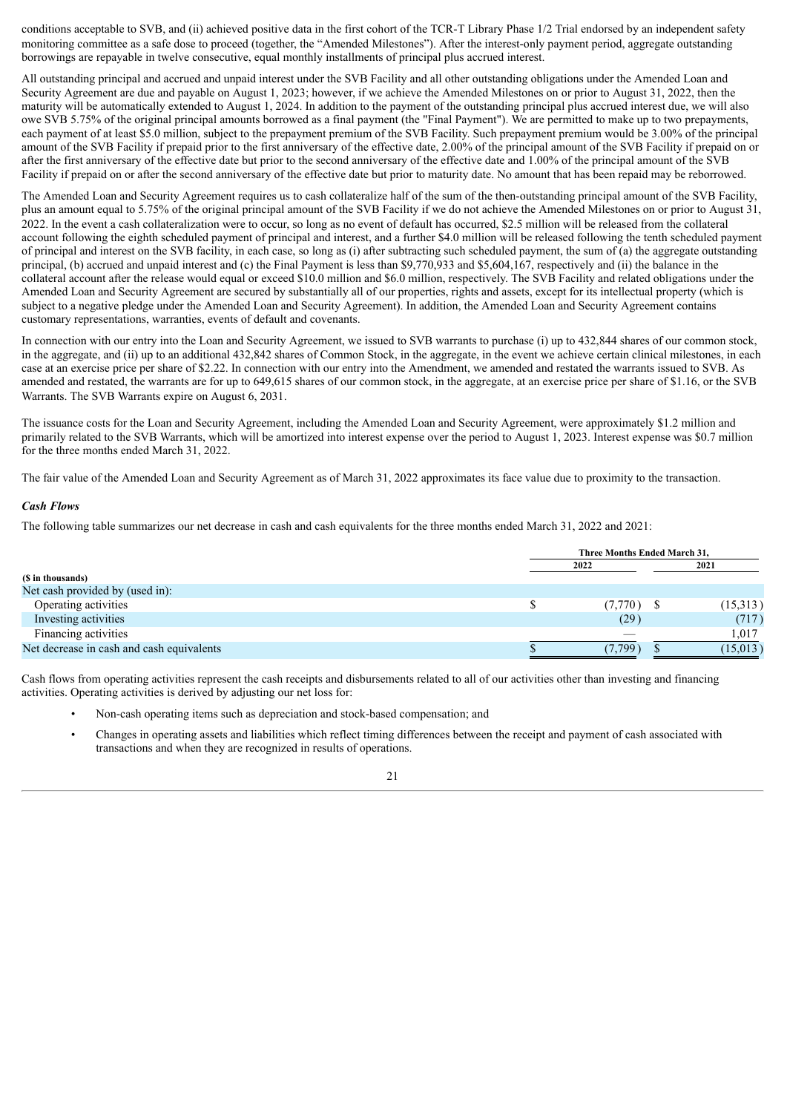conditions acceptable to SVB, and (ii) achieved positive data in the first cohort of the TCR-T Library Phase 1/2 Trial endorsed by an independent safety monitoring committee as a safe dose to proceed (together, the "Amended Milestones"). After the interest-only payment period, aggregate outstanding borrowings are repayable in twelve consecutive, equal monthly installments of principal plus accrued interest.

All outstanding principal and accrued and unpaid interest under the SVB Facility and all other outstanding obligations under the Amended Loan and Security Agreement are due and payable on August 1, 2023; however, if we achieve the Amended Milestones on or prior to August 31, 2022, then the maturity will be automatically extended to August 1, 2024. In addition to the payment of the outstanding principal plus accrued interest due, we will also owe SVB 5.75% of the original principal amounts borrowed as a final payment (the "Final Payment"). We are permitted to make up to two prepayments, each payment of at least \$5.0 million, subject to the prepayment premium of the SVB Facility. Such prepayment premium would be 3.00% of the principal amount of the SVB Facility if prepaid prior to the first anniversary of the effective date, 2.00% of the principal amount of the SVB Facility if prepaid on or after the first anniversary of the effective date but prior to the second anniversary of the effective date and 1.00% of the principal amount of the SVB Facility if prepaid on or after the second anniversary of the effective date but prior to maturity date. No amount that has been repaid may be reborrowed.

The Amended Loan and Security Agreement requires us to cash collateralize half of the sum of the then-outstanding principal amount of the SVB Facility, plus an amount equal to 5.75% of the original principal amount of the SVB Facility if we do not achieve the Amended Milestones on or prior to August 31, 2022. In the event a cash collateralization were to occur, so long as no event of default has occurred, \$2.5 million will be released from the collateral account following the eighth scheduled payment of principal and interest, and a further \$4.0 million will be released following the tenth scheduled payment of principal and interest on the SVB facility, in each case, so long as (i) after subtracting such scheduled payment, the sum of (a) the aggregate outstanding principal, (b) accrued and unpaid interest and (c) the Final Payment is less than \$9,770,933 and \$5,604,167, respectively and (ii) the balance in the collateral account after the release would equal or exceed \$10.0 million and \$6.0 million, respectively. The SVB Facility and related obligations under the Amended Loan and Security Agreement are secured by substantially all of our properties, rights and assets, except for its intellectual property (which is subject to a negative pledge under the Amended Loan and Security Agreement). In addition, the Amended Loan and Security Agreement contains customary representations, warranties, events of default and covenants.

In connection with our entry into the Loan and Security Agreement, we issued to SVB warrants to purchase (i) up to 432,844 shares of our common stock, in the aggregate, and (ii) up to an additional 432,842 shares of Common Stock, in the aggregate, in the event we achieve certain clinical milestones, in each case at an exercise price per share of \$2.22. In connection with our entry into the Amendment, we amended and restated the warrants issued to SVB. As amended and restated, the warrants are for up to 649,615 shares of our common stock, in the aggregate, at an exercise price per share of \$1.16, or the SVB Warrants. The SVB Warrants expire on August 6, 2031.

The issuance costs for the Loan and Security Agreement, including the Amended Loan and Security Agreement, were approximately \$1.2 million and primarily related to the SVB Warrants, which will be amortized into interest expense over the period to August 1, 2023. Interest expense was \$0.7 million for the three months ended March 31, 2022.

The fair value of the Amended Loan and Security Agreement as of March 31, 2022 approximates its face value due to proximity to the transaction.

#### *Cash Flows*

The following table summarizes our net decrease in cash and cash equivalents for the three months ended March 31, 2022 and 2021:

|                                           |         | Three Months Ended March 31. |  |  |  |  |  |  |
|-------------------------------------------|---------|------------------------------|--|--|--|--|--|--|
|                                           | 2022    | 2021                         |  |  |  |  |  |  |
| (\$ in thousands)                         |         |                              |  |  |  |  |  |  |
| Net cash provided by (used in):           |         |                              |  |  |  |  |  |  |
| Operating activities                      | (7,770) | (15,313)                     |  |  |  |  |  |  |
| Investing activities                      | (29)    | (717)                        |  |  |  |  |  |  |
| Financing activities                      |         | 1,017                        |  |  |  |  |  |  |
| Net decrease in cash and cash equivalents | (7.799) | (15,013)                     |  |  |  |  |  |  |

Cash flows from operating activities represent the cash receipts and disbursements related to all of our activities other than investing and financing activities. Operating activities is derived by adjusting our net loss for:

- Non-cash operating items such as depreciation and stock-based compensation; and
- Changes in operating assets and liabilities which reflect timing differences between the receipt and payment of cash associated with transactions and when they are recognized in results of operations.

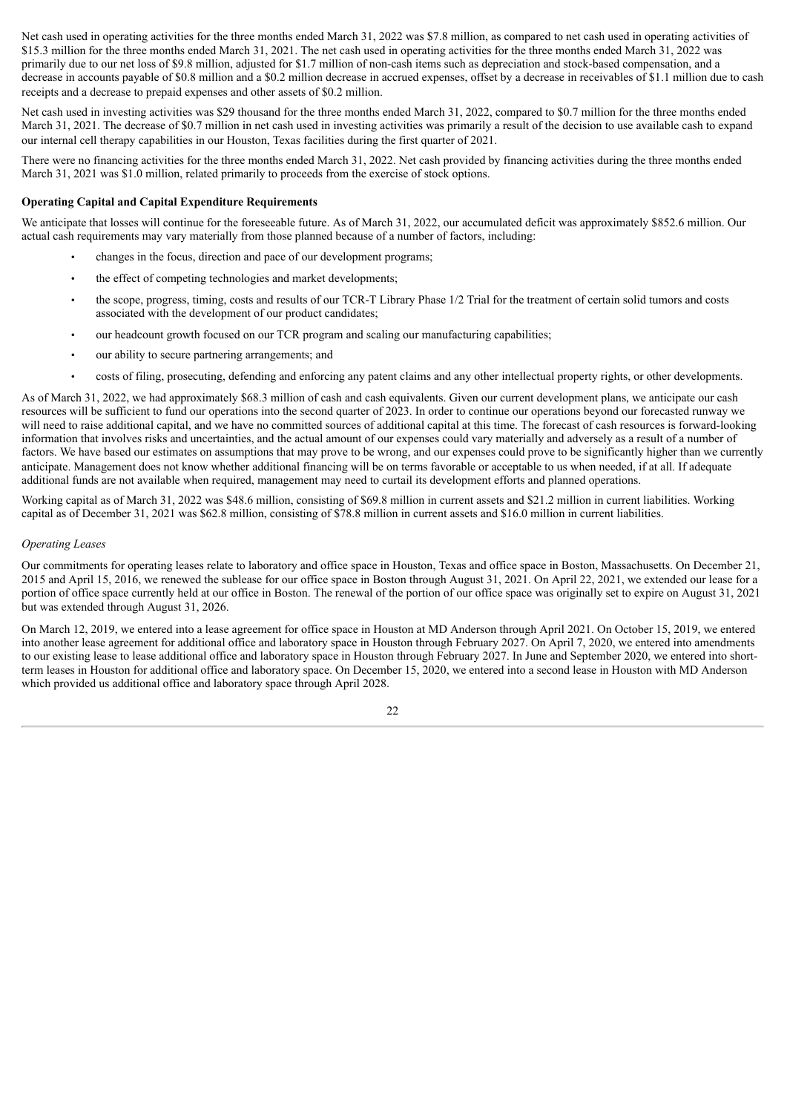Net cash used in operating activities for the three months ended March 31, 2022 was \$7.8 million, as compared to net cash used in operating activities of \$15.3 million for the three months ended March 31, 2021. The net cash used in operating activities for the three months ended March 31, 2022 was primarily due to our net loss of \$9.8 million, adjusted for \$1.7 million of non-cash items such as depreciation and stock-based compensation, and a decrease in accounts payable of \$0.8 million and a \$0.2 million decrease in accrued expenses, offset by a decrease in receivables of \$1.1 million due to cash receipts and a decrease to prepaid expenses and other assets of \$0.2 million.

Net cash used in investing activities was \$29 thousand for the three months ended March 31, 2022, compared to \$0.7 million for the three months ended March 31, 2021. The decrease of \$0.7 million in net cash used in investing activities was primarily a result of the decision to use available cash to expand our internal cell therapy capabilities in our Houston, Texas facilities during the first quarter of 2021.

There were no financing activities for the three months ended March 31, 2022. Net cash provided by financing activities during the three months ended March 31, 2021 was \$1.0 million, related primarily to proceeds from the exercise of stock options.

#### **Operating Capital and Capital Expenditure Requirements**

We anticipate that losses will continue for the foreseeable future. As of March 31, 2022, our accumulated deficit was approximately \$852.6 million. Our actual cash requirements may vary materially from those planned because of a number of factors, including:

- changes in the focus, direction and pace of our development programs;
- the effect of competing technologies and market developments;
- the scope, progress, timing, costs and results of our TCR-T Library Phase 1/2 Trial for the treatment of certain solid tumors and costs associated with the development of our product candidates;
- our headcount growth focused on our TCR program and scaling our manufacturing capabilities;
- our ability to secure partnering arrangements; and
- costs of filing, prosecuting, defending and enforcing any patent claims and any other intellectual property rights, or other developments.

As of March 31, 2022, we had approximately \$68.3 million of cash and cash equivalents. Given our current development plans, we anticipate our cash resources will be sufficient to fund our operations into the second quarter of 2023. In order to continue our operations beyond our forecasted runway we will need to raise additional capital, and we have no committed sources of additional capital at this time. The forecast of cash resources is forward-looking information that involves risks and uncertainties, and the actual amount of our expenses could vary materially and adversely as a result of a number of factors. We have based our estimates on assumptions that may prove to be wrong, and our expenses could prove to be significantly higher than we currently anticipate. Management does not know whether additional financing will be on terms favorable or acceptable to us when needed, if at all. If adequate additional funds are not available when required, management may need to curtail its development efforts and planned operations.

Working capital as of March 31, 2022 was \$48.6 million, consisting of \$69.8 million in current assets and \$21.2 million in current liabilities. Working capital as of December 31, 2021 was \$62.8 million, consisting of \$78.8 million in current assets and \$16.0 million in current liabilities.

#### *Operating Leases*

Our commitments for operating leases relate to laboratory and office space in Houston, Texas and office space in Boston, Massachusetts. On December 21, 2015 and April 15, 2016, we renewed the sublease for our office space in Boston through August 31, 2021. On April 22, 2021, we extended our lease for a portion of office space currently held at our office in Boston. The renewal of the portion of our office space was originally set to expire on August 31, 2021 but was extended through August 31, 2026.

On March 12, 2019, we entered into a lease agreement for office space in Houston at MD Anderson through April 2021. On October 15, 2019, we entered into another lease agreement for additional office and laboratory space in Houston through February 2027. On April 7, 2020, we entered into amendments to our existing lease to lease additional office and laboratory space in Houston through February 2027. In June and September 2020, we entered into shortterm leases in Houston for additional office and laboratory space. On December 15, 2020, we entered into a second lease in Houston with MD Anderson which provided us additional office and laboratory space through April 2028.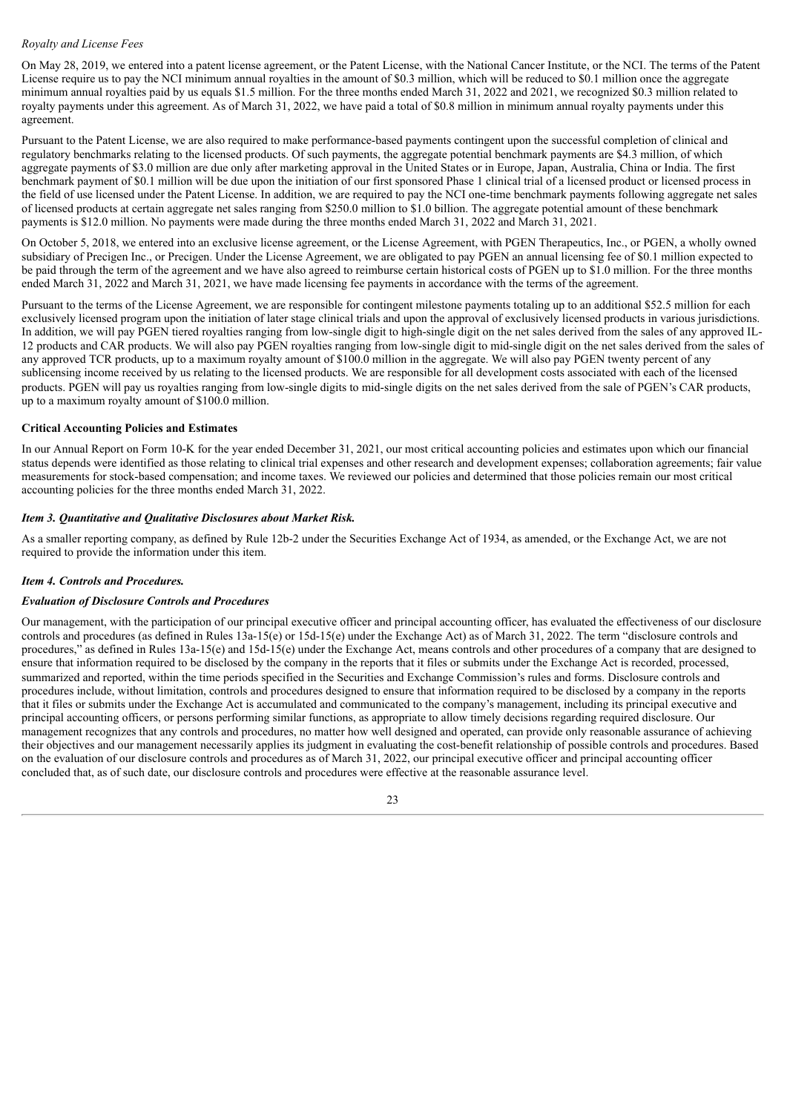# *Royalty and License Fees*

On May 28, 2019, we entered into a patent license agreement, or the Patent License, with the National Cancer Institute, or the NCI. The terms of the Patent License require us to pay the NCI minimum annual royalties in the amount of \$0.3 million, which will be reduced to \$0.1 million once the aggregate minimum annual royalties paid by us equals \$1.5 million. For the three months ended March 31, 2022 and 2021, we recognized \$0.3 million related to royalty payments under this agreement. As of March 31, 2022, we have paid a total of \$0.8 million in minimum annual royalty payments under this agreement.

Pursuant to the Patent License, we are also required to make performance-based payments contingent upon the successful completion of clinical and regulatory benchmarks relating to the licensed products. Of such payments, the aggregate potential benchmark payments are \$4.3 million, of which aggregate payments of \$3.0 million are due only after marketing approval in the United States or in Europe, Japan, Australia, China or India. The first benchmark payment of \$0.1 million will be due upon the initiation of our first sponsored Phase 1 clinical trial of a licensed product or licensed process in the field of use licensed under the Patent License. In addition, we are required to pay the NCI one-time benchmark payments following aggregate net sales of licensed products at certain aggregate net sales ranging from \$250.0 million to \$1.0 billion. The aggregate potential amount of these benchmark payments is \$12.0 million. No payments were made during the three months ended March 31, 2022 and March 31, 2021.

On October 5, 2018, we entered into an exclusive license agreement, or the License Agreement, with PGEN Therapeutics, Inc., or PGEN, a wholly owned subsidiary of Precigen Inc., or Precigen. Under the License Agreement, we are obligated to pay PGEN an annual licensing fee of \$0.1 million expected to be paid through the term of the agreement and we have also agreed to reimburse certain historical costs of PGEN up to \$1.0 million. For the three months ended March 31, 2022 and March 31, 2021, we have made licensing fee payments in accordance with the terms of the agreement.

Pursuant to the terms of the License Agreement, we are responsible for contingent milestone payments totaling up to an additional \$52.5 million for each exclusively licensed program upon the initiation of later stage clinical trials and upon the approval of exclusively licensed products in various jurisdictions. In addition, we will pay PGEN tiered royalties ranging from low-single digit to high-single digit on the net sales derived from the sales of any approved IL-12 products and CAR products. We will also pay PGEN royalties ranging from low-single digit to mid-single digit on the net sales derived from the sales of any approved TCR products, up to a maximum royalty amount of \$100.0 million in the aggregate. We will also pay PGEN twenty percent of any sublicensing income received by us relating to the licensed products. We are responsible for all development costs associated with each of the licensed products. PGEN will pay us royalties ranging from low-single digits to mid-single digits on the net sales derived from the sale of PGEN's CAR products, up to a maximum royalty amount of \$100.0 million.

#### **Critical Accounting Policies and Estimates**

In our Annual Report on Form 10-K for the year ended December 31, 2021, our most critical accounting policies and estimates upon which our financial status depends were identified as those relating to clinical trial expenses and other research and development expenses; collaboration agreements; fair value measurements for stock-based compensation; and income taxes. We reviewed our policies and determined that those policies remain our most critical accounting policies for the three months ended March 31, 2022.

#### <span id="page-26-0"></span>*Item 3. Quantitative and Qualitative Disclosures about Market Risk.*

As a smaller reporting company, as defined by Rule 12b-2 under the Securities Exchange Act of 1934, as amended, or the Exchange Act, we are not required to provide the information under this item.

#### <span id="page-26-1"></span>*Item 4. Controls and Procedures.*

#### *Evaluation of Disclosure Controls and Procedures*

Our management, with the participation of our principal executive officer and principal accounting officer, has evaluated the effectiveness of our disclosure controls and procedures (as defined in Rules 13a-15(e) or 15d-15(e) under the Exchange Act) as of March 31, 2022. The term "disclosure controls and procedures," as defined in Rules 13a-15(e) and 15d-15(e) under the Exchange Act, means controls and other procedures of a company that are designed to ensure that information required to be disclosed by the company in the reports that it files or submits under the Exchange Act is recorded, processed, summarized and reported, within the time periods specified in the Securities and Exchange Commission's rules and forms. Disclosure controls and procedures include, without limitation, controls and procedures designed to ensure that information required to be disclosed by a company in the reports that it files or submits under the Exchange Act is accumulated and communicated to the company's management, including its principal executive and principal accounting officers, or persons performing similar functions, as appropriate to allow timely decisions regarding required disclosure. Our management recognizes that any controls and procedures, no matter how well designed and operated, can provide only reasonable assurance of achieving their objectives and our management necessarily applies its judgment in evaluating the cost-benefit relationship of possible controls and procedures. Based on the evaluation of our disclosure controls and procedures as of March 31, 2022, our principal executive officer and principal accounting officer concluded that, as of such date, our disclosure controls and procedures were effective at the reasonable assurance level.

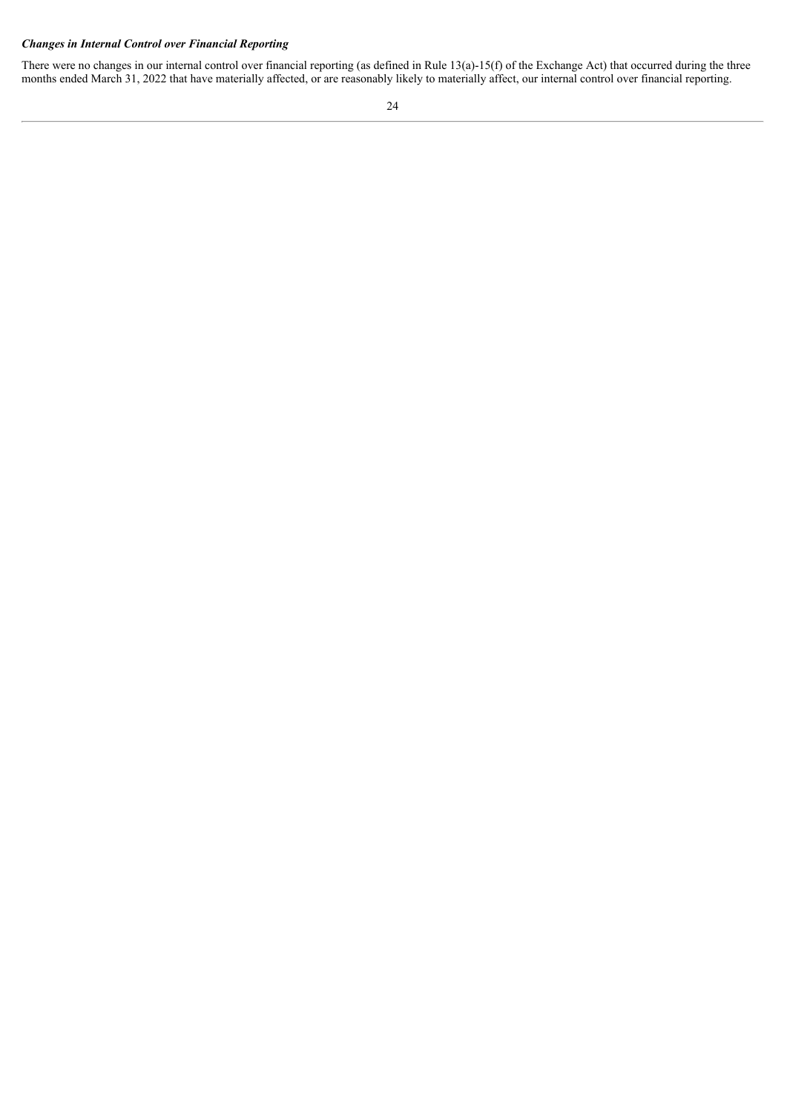# *Changes in Internal Control over Financial Reporting*

There were no changes in our internal control over financial reporting (as defined in Rule 13(a)-15(f) of the Exchange Act) that occurred during the three months ended March 31, 2022 that have materially affected, or are reasonably likely to materially affect, our internal control over financial reporting.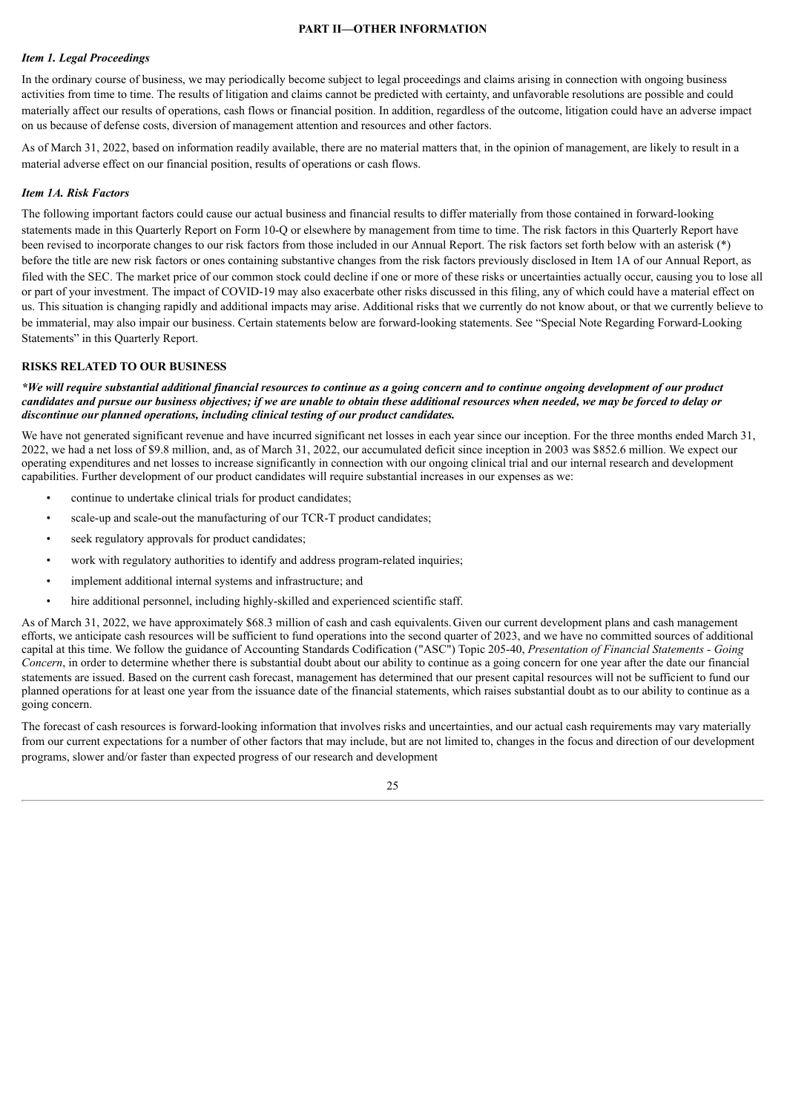#### **PART II—OTHER INFORMATION**

#### <span id="page-28-0"></span>*Item 1. Legal Proceedings*

In the ordinary course of business, we may periodically become subject to legal proceedings and claims arising in connection with ongoing business activities from time to time. The results of litigation and claims cannot be predicted with certainty, and unfavorable resolutions are possible and could materially affect our results of operations, cash flows or financial position. In addition, regardless of the outcome, litigation could have an adverse impact on us because of defense costs, diversion of management attention and resources and other factors.

As of March 31, 2022, based on information readily available, there are no material matters that, in the opinion of management, are likely to result in a material adverse effect on our financial position, results of operations or cash flows.

#### <span id="page-28-1"></span>*Item 1A. Risk Factors*

The following important factors could cause our actual business and financial results to differ materially from those contained in forward-looking statements made in this Quarterly Report on Form 10-Q or elsewhere by management from time to time. The risk factors in this Quarterly Report have been revised to incorporate changes to our risk factors from those included in our Annual Report. The risk factors set forth below with an asterisk (\*) before the title are new risk factors or ones containing substantive changes from the risk factors previously disclosed in Item 1A of our Annual Report, as filed with the SEC. The market price of our common stock could decline if one or more of these risks or uncertainties actually occur, causing you to lose all or part of your investment. The impact of COVID-19 may also exacerbate other risks discussed in this filing, any of which could have a material effect on us. This situation is changing rapidly and additional impacts may arise. Additional risks that we currently do not know about, or that we currently believe to be immaterial, may also impair our business. Certain statements below are forward-looking statements. See "Special Note Regarding Forward-Looking Statements" in this Quarterly Report.

#### **RISKS RELATED TO OUR BUSINESS**

\*We will require substantial additional financial resources to continue as a going concern and to continue ongoing development of our product candidates and pursue our business objectives; if we are unable to obtain these additional resources when needed, we may be forced to delay or *discontinue our planned operations, including clinical testing of our product candidates.*

We have not generated significant revenue and have incurred significant net losses in each year since our inception. For the three months ended March 31, 2022, we had a net loss of \$9.8 million, and, as of March 31, 2022, our accumulated deficit since inception in 2003 was \$852.6 million. We expect our operating expenditures and net losses to increase significantly in connection with our ongoing clinical trial and our internal research and development capabilities. Further development of our product candidates will require substantial increases in our expenses as we:

- continue to undertake clinical trials for product candidates;
- scale-up and scale-out the manufacturing of our TCR-T product candidates;
- seek regulatory approvals for product candidates;
- work with regulatory authorities to identify and address program-related inquiries;
- implement additional internal systems and infrastructure; and
- hire additional personnel, including highly-skilled and experienced scientific staff.

As of March 31, 2022, we have approximately \$68.3 million of cash and cash equivalents.Given our current development plans and cash management efforts, we anticipate cash resources will be sufficient to fund operations into the second quarter of 2023, and we have no committed sources of additional capital at this time. We follow the guidance of Accounting Standards Codification ("ASC") Topic 205-40, *Presentation of Financial Statements - Going Concern*, in order to determine whether there is substantial doubt about our ability to continue as a going concern for one year after the date our financial statements are issued. Based on the current cash forecast, management has determined that our present capital resources will not be sufficient to fund our planned operations for at least one year from the issuance date of the financial statements, which raises substantial doubt as to our ability to continue as a going concern.

The forecast of cash resources is forward-looking information that involves risks and uncertainties, and our actual cash requirements may vary materially from our current expectations for a number of other factors that may include, but are not limited to, changes in the focus and direction of our development programs, slower and/or faster than expected progress of our research and development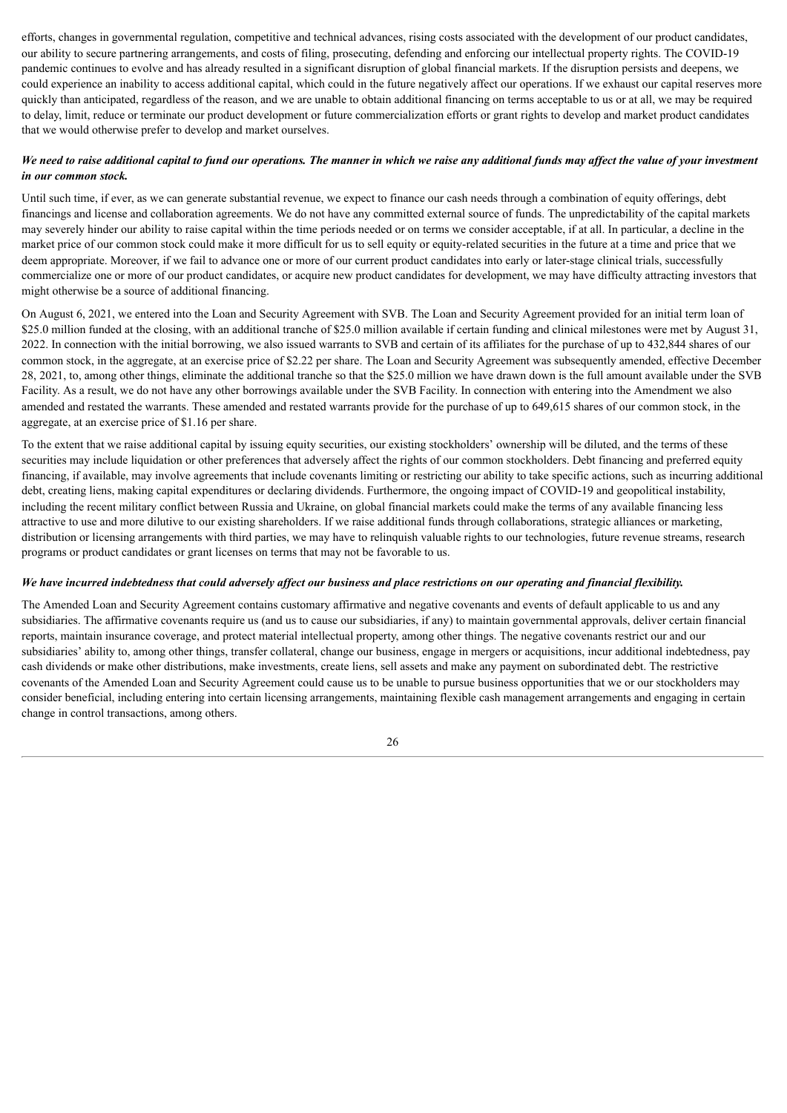efforts, changes in governmental regulation, competitive and technical advances, rising costs associated with the development of our product candidates, our ability to secure partnering arrangements, and costs of filing, prosecuting, defending and enforcing our intellectual property rights. The COVID-19 pandemic continues to evolve and has already resulted in a significant disruption of global financial markets. If the disruption persists and deepens, we could experience an inability to access additional capital, which could in the future negatively affect our operations. If we exhaust our capital reserves more quickly than anticipated, regardless of the reason, and we are unable to obtain additional financing on terms acceptable to us or at all, we may be required to delay, limit, reduce or terminate our product development or future commercialization efforts or grant rights to develop and market product candidates that we would otherwise prefer to develop and market ourselves.

# We need to raise additional capital to fund our operations. The manner in which we raise any additional funds may affect the value of your investment *in our common stock.*

Until such time, if ever, as we can generate substantial revenue, we expect to finance our cash needs through a combination of equity offerings, debt financings and license and collaboration agreements. We do not have any committed external source of funds. The unpredictability of the capital markets may severely hinder our ability to raise capital within the time periods needed or on terms we consider acceptable, if at all. In particular, a decline in the market price of our common stock could make it more difficult for us to sell equity or equity-related securities in the future at a time and price that we deem appropriate. Moreover, if we fail to advance one or more of our current product candidates into early or later-stage clinical trials, successfully commercialize one or more of our product candidates, or acquire new product candidates for development, we may have difficulty attracting investors that might otherwise be a source of additional financing.

On August 6, 2021, we entered into the Loan and Security Agreement with SVB. The Loan and Security Agreement provided for an initial term loan of \$25.0 million funded at the closing, with an additional tranche of \$25.0 million available if certain funding and clinical milestones were met by August 31, 2022. In connection with the initial borrowing, we also issued warrants to SVB and certain of its affiliates for the purchase of up to 432,844 shares of our common stock, in the aggregate, at an exercise price of \$2.22 per share. The Loan and Security Agreement was subsequently amended, effective December 28, 2021, to, among other things, eliminate the additional tranche so that the \$25.0 million we have drawn down is the full amount available under the SVB Facility. As a result, we do not have any other borrowings available under the SVB Facility. In connection with entering into the Amendment we also amended and restated the warrants. These amended and restated warrants provide for the purchase of up to 649,615 shares of our common stock, in the aggregate, at an exercise price of \$1.16 per share.

To the extent that we raise additional capital by issuing equity securities, our existing stockholders' ownership will be diluted, and the terms of these securities may include liquidation or other preferences that adversely affect the rights of our common stockholders. Debt financing and preferred equity financing, if available, may involve agreements that include covenants limiting or restricting our ability to take specific actions, such as incurring additional debt, creating liens, making capital expenditures or declaring dividends. Furthermore, the ongoing impact of COVID-19 and geopolitical instability, including the recent military conflict between Russia and Ukraine, on global financial markets could make the terms of any available financing less attractive to use and more dilutive to our existing shareholders. If we raise additional funds through collaborations, strategic alliances or marketing, distribution or licensing arrangements with third parties, we may have to relinquish valuable rights to our technologies, future revenue streams, research programs or product candidates or grant licenses on terms that may not be favorable to us.

#### We have incurred indebtedness that could adversely affect our business and place restrictions on our operating and financial flexibility.

The Amended Loan and Security Agreement contains customary affirmative and negative covenants and events of default applicable to us and any subsidiaries. The affirmative covenants require us (and us to cause our subsidiaries, if any) to maintain governmental approvals, deliver certain financial reports, maintain insurance coverage, and protect material intellectual property, among other things. The negative covenants restrict our and our subsidiaries' ability to, among other things, transfer collateral, change our business, engage in mergers or acquisitions, incur additional indebtedness, pay cash dividends or make other distributions, make investments, create liens, sell assets and make any payment on subordinated debt. The restrictive covenants of the Amended Loan and Security Agreement could cause us to be unable to pursue business opportunities that we or our stockholders may consider beneficial, including entering into certain licensing arrangements, maintaining flexible cash management arrangements and engaging in certain change in control transactions, among others.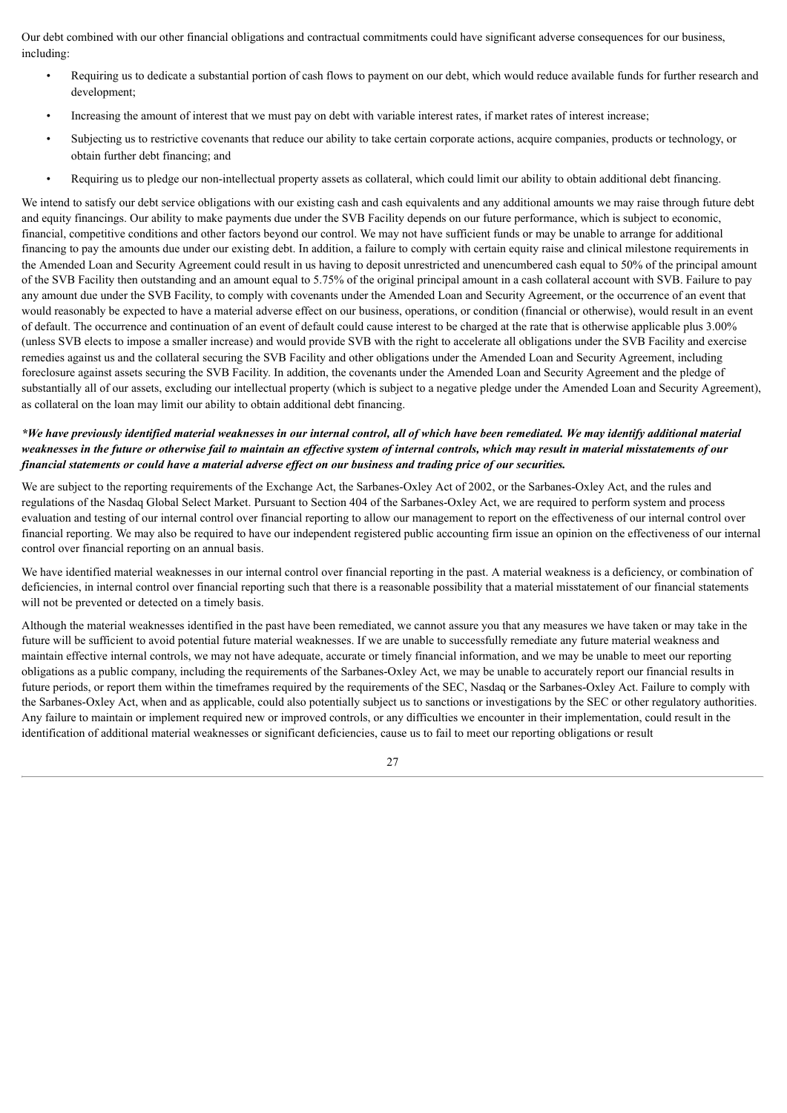Our debt combined with our other financial obligations and contractual commitments could have significant adverse consequences for our business, including:

- Requiring us to dedicate a substantial portion of cash flows to payment on our debt, which would reduce available funds for further research and development;
- Increasing the amount of interest that we must pay on debt with variable interest rates, if market rates of interest increase;
- Subjecting us to restrictive covenants that reduce our ability to take certain corporate actions, acquire companies, products or technology, or obtain further debt financing; and
- Requiring us to pledge our non-intellectual property assets as collateral, which could limit our ability to obtain additional debt financing.

We intend to satisfy our debt service obligations with our existing cash and cash equivalents and any additional amounts we may raise through future debt and equity financings. Our ability to make payments due under the SVB Facility depends on our future performance, which is subject to economic, financial, competitive conditions and other factors beyond our control. We may not have sufficient funds or may be unable to arrange for additional financing to pay the amounts due under our existing debt. In addition, a failure to comply with certain equity raise and clinical milestone requirements in the Amended Loan and Security Agreement could result in us having to deposit unrestricted and unencumbered cash equal to 50% of the principal amount of the SVB Facility then outstanding and an amount equal to 5.75% of the original principal amount in a cash collateral account with SVB. Failure to pay any amount due under the SVB Facility, to comply with covenants under the Amended Loan and Security Agreement, or the occurrence of an event that would reasonably be expected to have a material adverse effect on our business, operations, or condition (financial or otherwise), would result in an event of default. The occurrence and continuation of an event of default could cause interest to be charged at the rate that is otherwise applicable plus 3.00% (unless SVB elects to impose a smaller increase) and would provide SVB with the right to accelerate all obligations under the SVB Facility and exercise remedies against us and the collateral securing the SVB Facility and other obligations under the Amended Loan and Security Agreement, including foreclosure against assets securing the SVB Facility. In addition, the covenants under the Amended Loan and Security Agreement and the pledge of substantially all of our assets, excluding our intellectual property (which is subject to a negative pledge under the Amended Loan and Security Agreement), as collateral on the loan may limit our ability to obtain additional debt financing.

# \*We have previously identified material weaknesses in our internal control, all of which have been remediated. We may identify additional material weaknesses in the future or otherwise fail to maintain an effective system of internal controls, which may result in material misstatements of our financial statements or could have a material adverse effect on our business and trading price of our securities.

We are subject to the reporting requirements of the Exchange Act, the Sarbanes-Oxley Act of 2002, or the Sarbanes-Oxley Act, and the rules and regulations of the Nasdaq Global Select Market. Pursuant to Section 404 of the Sarbanes-Oxley Act, we are required to perform system and process evaluation and testing of our internal control over financial reporting to allow our management to report on the effectiveness of our internal control over financial reporting. We may also be required to have our independent registered public accounting firm issue an opinion on the effectiveness of our internal control over financial reporting on an annual basis.

We have identified material weaknesses in our internal control over financial reporting in the past. A material weakness is a deficiency, or combination of deficiencies, in internal control over financial reporting such that there is a reasonable possibility that a material misstatement of our financial statements will not be prevented or detected on a timely basis.

Although the material weaknesses identified in the past have been remediated, we cannot assure you that any measures we have taken or may take in the future will be sufficient to avoid potential future material weaknesses. If we are unable to successfully remediate any future material weakness and maintain effective internal controls, we may not have adequate, accurate or timely financial information, and we may be unable to meet our reporting obligations as a public company, including the requirements of the Sarbanes-Oxley Act, we may be unable to accurately report our financial results in future periods, or report them within the timeframes required by the requirements of the SEC, Nasdaq or the Sarbanes-Oxley Act. Failure to comply with the Sarbanes-Oxley Act, when and as applicable, could also potentially subject us to sanctions or investigations by the SEC or other regulatory authorities. Any failure to maintain or implement required new or improved controls, or any difficulties we encounter in their implementation, could result in the identification of additional material weaknesses or significant deficiencies, cause us to fail to meet our reporting obligations or result

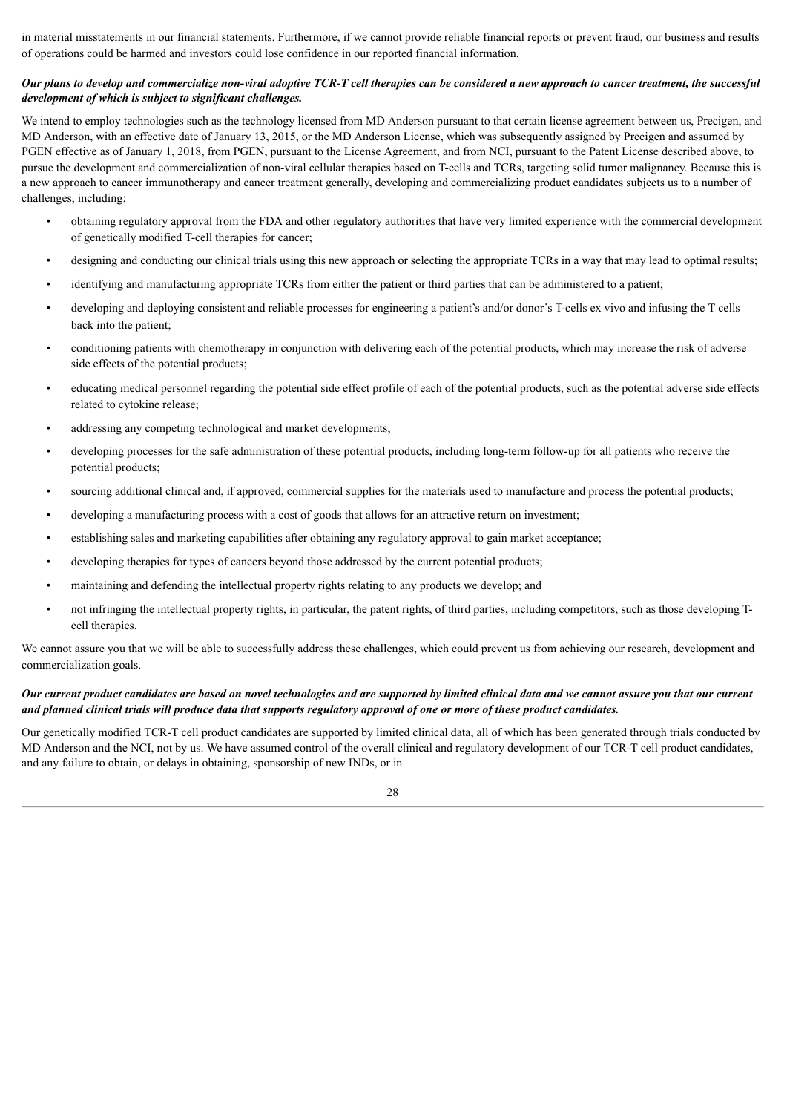in material misstatements in our financial statements. Furthermore, if we cannot provide reliable financial reports or prevent fraud, our business and results of operations could be harmed and investors could lose confidence in our reported financial information.

# Our plans to develop and commercialize non-viral adoptive TCR-T cell therapies can be considered a new approach to cancer treatment, the successful *development of which is subject to significant challenges.*

We intend to employ technologies such as the technology licensed from MD Anderson pursuant to that certain license agreement between us, Precigen, and MD Anderson, with an effective date of January 13, 2015, or the MD Anderson License, which was subsequently assigned by Precigen and assumed by PGEN effective as of January 1, 2018, from PGEN, pursuant to the License Agreement, and from NCI, pursuant to the Patent License described above, to pursue the development and commercialization of non-viral cellular therapies based on T-cells and TCRs, targeting solid tumor malignancy. Because this is a new approach to cancer immunotherapy and cancer treatment generally, developing and commercializing product candidates subjects us to a number of challenges, including:

- obtaining regulatory approval from the FDA and other regulatory authorities that have very limited experience with the commercial development of genetically modified T-cell therapies for cancer;
- designing and conducting our clinical trials using this new approach or selecting the appropriate TCRs in a way that may lead to optimal results;
- identifying and manufacturing appropriate TCRs from either the patient or third parties that can be administered to a patient;
- developing and deploying consistent and reliable processes for engineering a patient's and/or donor's T-cells ex vivo and infusing the T cells back into the patient;
- conditioning patients with chemotherapy in conjunction with delivering each of the potential products, which may increase the risk of adverse side effects of the potential products;
- educating medical personnel regarding the potential side effect profile of each of the potential products, such as the potential adverse side effects related to cytokine release;
- addressing any competing technological and market developments;
- developing processes for the safe administration of these potential products, including long-term follow-up for all patients who receive the potential products;
- sourcing additional clinical and, if approved, commercial supplies for the materials used to manufacture and process the potential products;
- developing a manufacturing process with a cost of goods that allows for an attractive return on investment;
- establishing sales and marketing capabilities after obtaining any regulatory approval to gain market acceptance;
- developing therapies for types of cancers beyond those addressed by the current potential products;
- maintaining and defending the intellectual property rights relating to any products we develop; and
- not infringing the intellectual property rights, in particular, the patent rights, of third parties, including competitors, such as those developing Tcell therapies.

We cannot assure you that we will be able to successfully address these challenges, which could prevent us from achieving our research, development and commercialization goals.

# Our current product candidates are based on novel technologies and are supported by limited clinical data and we cannot assure you that our current and planned clinical trials will produce data that supports regulatory approval of one or more of these product candidates.

Our genetically modified TCR-T cell product candidates are supported by limited clinical data, all of which has been generated through trials conducted by MD Anderson and the NCI, not by us. We have assumed control of the overall clinical and regulatory development of our TCR-T cell product candidates, and any failure to obtain, or delays in obtaining, sponsorship of new INDs, or in

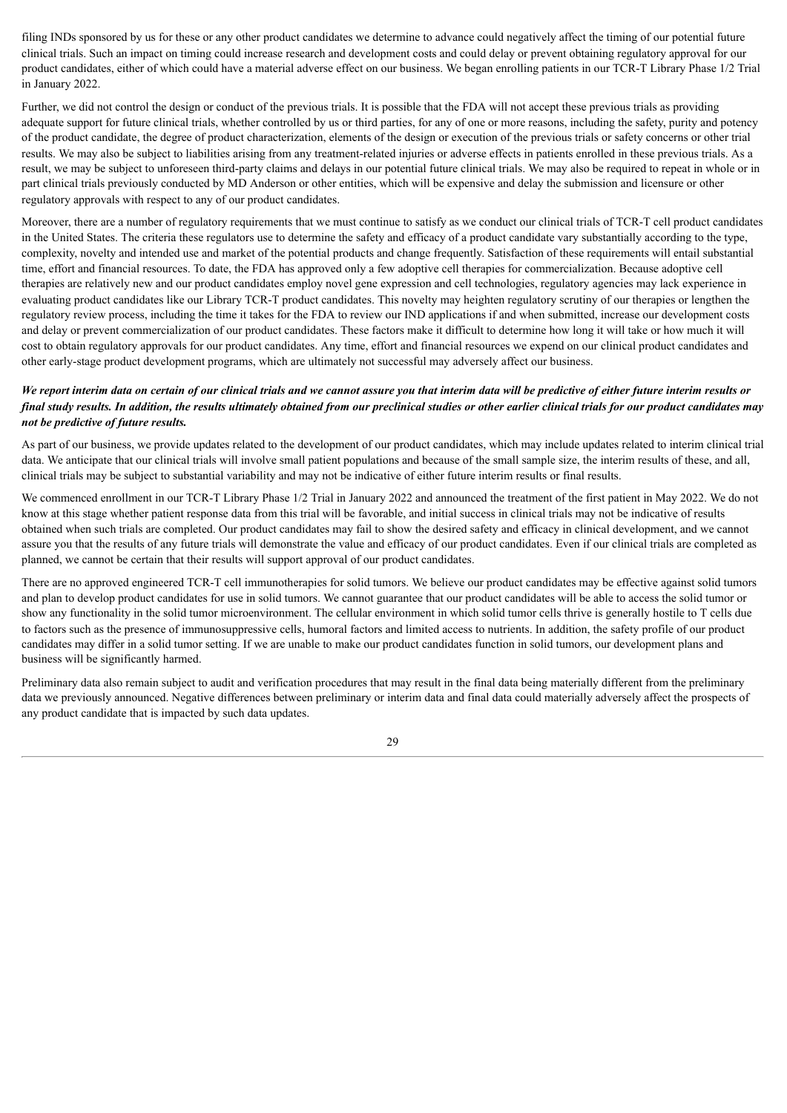filing INDs sponsored by us for these or any other product candidates we determine to advance could negatively affect the timing of our potential future clinical trials. Such an impact on timing could increase research and development costs and could delay or prevent obtaining regulatory approval for our product candidates, either of which could have a material adverse effect on our business. We began enrolling patients in our TCR-T Library Phase 1/2 Trial in January 2022.

Further, we did not control the design or conduct of the previous trials. It is possible that the FDA will not accept these previous trials as providing adequate support for future clinical trials, whether controlled by us or third parties, for any of one or more reasons, including the safety, purity and potency of the product candidate, the degree of product characterization, elements of the design or execution of the previous trials or safety concerns or other trial results. We may also be subject to liabilities arising from any treatment-related injuries or adverse effects in patients enrolled in these previous trials. As a result, we may be subject to unforeseen third-party claims and delays in our potential future clinical trials. We may also be required to repeat in whole or in part clinical trials previously conducted by MD Anderson or other entities, which will be expensive and delay the submission and licensure or other regulatory approvals with respect to any of our product candidates.

Moreover, there are a number of regulatory requirements that we must continue to satisfy as we conduct our clinical trials of TCR-T cell product candidates in the United States. The criteria these regulators use to determine the safety and efficacy of a product candidate vary substantially according to the type, complexity, novelty and intended use and market of the potential products and change frequently. Satisfaction of these requirements will entail substantial time, effort and financial resources. To date, the FDA has approved only a few adoptive cell therapies for commercialization. Because adoptive cell therapies are relatively new and our product candidates employ novel gene expression and cell technologies, regulatory agencies may lack experience in evaluating product candidates like our Library TCR-T product candidates. This novelty may heighten regulatory scrutiny of our therapies or lengthen the regulatory review process, including the time it takes for the FDA to review our IND applications if and when submitted, increase our development costs and delay or prevent commercialization of our product candidates. These factors make it difficult to determine how long it will take or how much it will cost to obtain regulatory approvals for our product candidates. Any time, effort and financial resources we expend on our clinical product candidates and other early-stage product development programs, which are ultimately not successful may adversely affect our business.

# We report interim data on certain of our clinical trials and we cannot assure you that interim data will be predictive of either future interim results or final study results. In addition, the results ultimately obtained from our preclinical studies or other earlier clinical trials for our product candidates may *not be predictive of future results.*

As part of our business, we provide updates related to the development of our product candidates, which may include updates related to interim clinical trial data. We anticipate that our clinical trials will involve small patient populations and because of the small sample size, the interim results of these, and all, clinical trials may be subject to substantial variability and may not be indicative of either future interim results or final results.

We commenced enrollment in our TCR-T Library Phase 1/2 Trial in January 2022 and announced the treatment of the first patient in May 2022. We do not know at this stage whether patient response data from this trial will be favorable, and initial success in clinical trials may not be indicative of results obtained when such trials are completed. Our product candidates may fail to show the desired safety and efficacy in clinical development, and we cannot assure you that the results of any future trials will demonstrate the value and efficacy of our product candidates. Even if our clinical trials are completed as planned, we cannot be certain that their results will support approval of our product candidates.

There are no approved engineered TCR-T cell immunotherapies for solid tumors. We believe our product candidates may be effective against solid tumors and plan to develop product candidates for use in solid tumors. We cannot guarantee that our product candidates will be able to access the solid tumor or show any functionality in the solid tumor microenvironment. The cellular environment in which solid tumor cells thrive is generally hostile to T cells due to factors such as the presence of immunosuppressive cells, humoral factors and limited access to nutrients. In addition, the safety profile of our product candidates may differ in a solid tumor setting. If we are unable to make our product candidates function in solid tumors, our development plans and business will be significantly harmed.

Preliminary data also remain subject to audit and verification procedures that may result in the final data being materially different from the preliminary data we previously announced. Negative differences between preliminary or interim data and final data could materially adversely affect the prospects of any product candidate that is impacted by such data updates.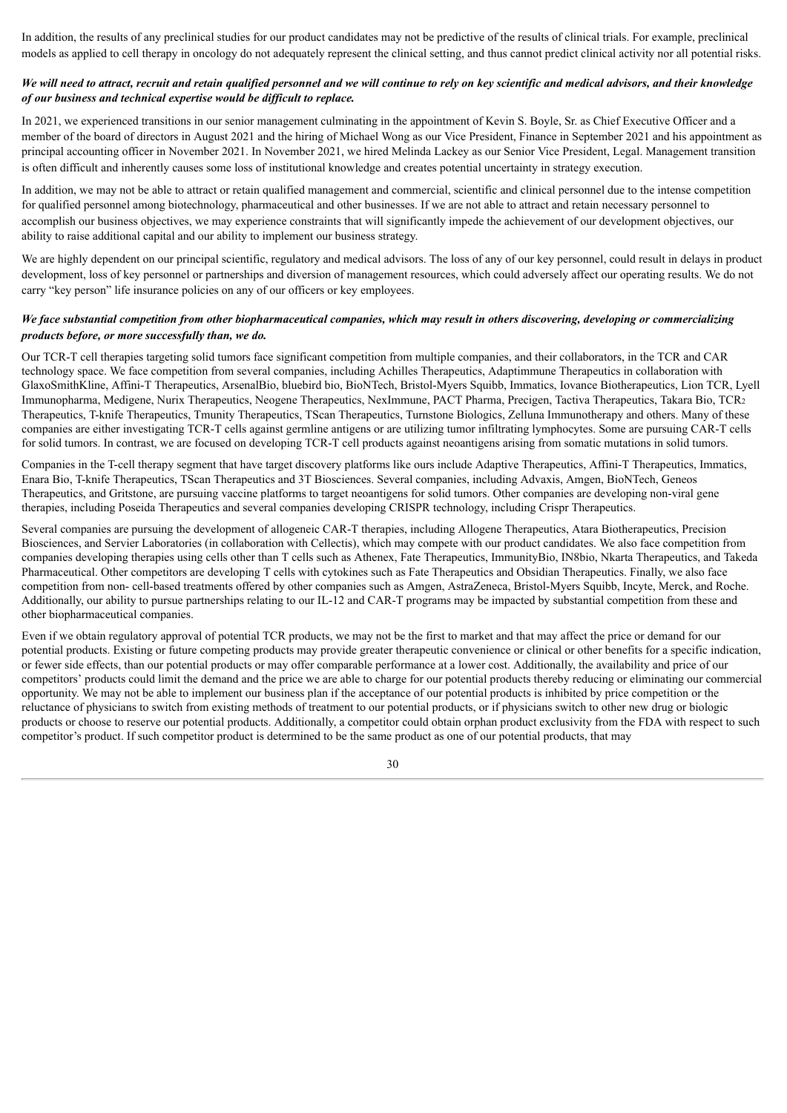In addition, the results of any preclinical studies for our product candidates may not be predictive of the results of clinical trials. For example, preclinical models as applied to cell therapy in oncology do not adequately represent the clinical setting, and thus cannot predict clinical activity nor all potential risks.

### We will need to attract, recruit and retain qualified personnel and we will continue to rely on key scientific and medical advisors, and their knowledge *of our business and technical expertise would be dif icult to replace.*

In 2021, we experienced transitions in our senior management culminating in the appointment of Kevin S. Boyle, Sr. as Chief Executive Officer and a member of the board of directors in August 2021 and the hiring of Michael Wong as our Vice President, Finance in September 2021 and his appointment as principal accounting officer in November 2021. In November 2021, we hired Melinda Lackey as our Senior Vice President, Legal. Management transition is often difficult and inherently causes some loss of institutional knowledge and creates potential uncertainty in strategy execution.

In addition, we may not be able to attract or retain qualified management and commercial, scientific and clinical personnel due to the intense competition for qualified personnel among biotechnology, pharmaceutical and other businesses. If we are not able to attract and retain necessary personnel to accomplish our business objectives, we may experience constraints that will significantly impede the achievement of our development objectives, our ability to raise additional capital and our ability to implement our business strategy.

We are highly dependent on our principal scientific, regulatory and medical advisors. The loss of any of our key personnel, could result in delays in product development, loss of key personnel or partnerships and diversion of management resources, which could adversely affect our operating results. We do not carry "key person" life insurance policies on any of our officers or key employees.

# We face substantial competition from other biopharmaceutical companies, which may result in others discovering, developing or commercializing *products before, or more successfully than, we do.*

Our TCR-T cell therapies targeting solid tumors face significant competition from multiple companies, and their collaborators, in the TCR and CAR technology space. We face competition from several companies, including Achilles Therapeutics, Adaptimmune Therapeutics in collaboration with GlaxoSmithKline, Affini-T Therapeutics, ArsenalBio, bluebird bio, BioNTech, Bristol-Myers Squibb, Immatics, Iovance Biotherapeutics, Lion TCR, Lyell Immunopharma, Medigene, Nurix Therapeutics, Neogene Therapeutics, NexImmune, PACT Pharma, Precigen, Tactiva Therapeutics, Takara Bio, TCR<sup>2</sup> Therapeutics, T-knife Therapeutics, Tmunity Therapeutics, TScan Therapeutics, Turnstone Biologics, Zelluna Immunotherapy and others. Many of these companies are either investigating TCR-T cells against germline antigens or are utilizing tumor infiltrating lymphocytes. Some are pursuing CAR-T cells for solid tumors. In contrast, we are focused on developing TCR-T cell products against neoantigens arising from somatic mutations in solid tumors.

Companies in the T-cell therapy segment that have target discovery platforms like ours include Adaptive Therapeutics, Affini-T Therapeutics, Immatics, Enara Bio, T-knife Therapeutics, TScan Therapeutics and 3T Biosciences. Several companies, including Advaxis, Amgen, BioNTech, Geneos Therapeutics, and Gritstone, are pursuing vaccine platforms to target neoantigens for solid tumors. Other companies are developing non-viral gene therapies, including Poseida Therapeutics and several companies developing CRISPR technology, including Crispr Therapeutics.

Several companies are pursuing the development of allogeneic CAR-T therapies, including Allogene Therapeutics, Atara Biotherapeutics, Precision Biosciences, and Servier Laboratories (in collaboration with Cellectis), which may compete with our product candidates. We also face competition from companies developing therapies using cells other than T cells such as Athenex, Fate Therapeutics, ImmunityBio, IN8bio, Nkarta Therapeutics, and Takeda Pharmaceutical. Other competitors are developing T cells with cytokines such as Fate Therapeutics and Obsidian Therapeutics. Finally, we also face competition from non- cell-based treatments offered by other companies such as Amgen, AstraZeneca, Bristol-Myers Squibb, Incyte, Merck, and Roche. Additionally, our ability to pursue partnerships relating to our IL-12 and CAR-T programs may be impacted by substantial competition from these and other biopharmaceutical companies.

Even if we obtain regulatory approval of potential TCR products, we may not be the first to market and that may affect the price or demand for our potential products. Existing or future competing products may provide greater therapeutic convenience or clinical or other benefits for a specific indication, or fewer side effects, than our potential products or may offer comparable performance at a lower cost. Additionally, the availability and price of our competitors' products could limit the demand and the price we are able to charge for our potential products thereby reducing or eliminating our commercial opportunity. We may not be able to implement our business plan if the acceptance of our potential products is inhibited by price competition or the reluctance of physicians to switch from existing methods of treatment to our potential products, or if physicians switch to other new drug or biologic products or choose to reserve our potential products. Additionally, a competitor could obtain orphan product exclusivity from the FDA with respect to such competitor's product. If such competitor product is determined to be the same product as one of our potential products, that may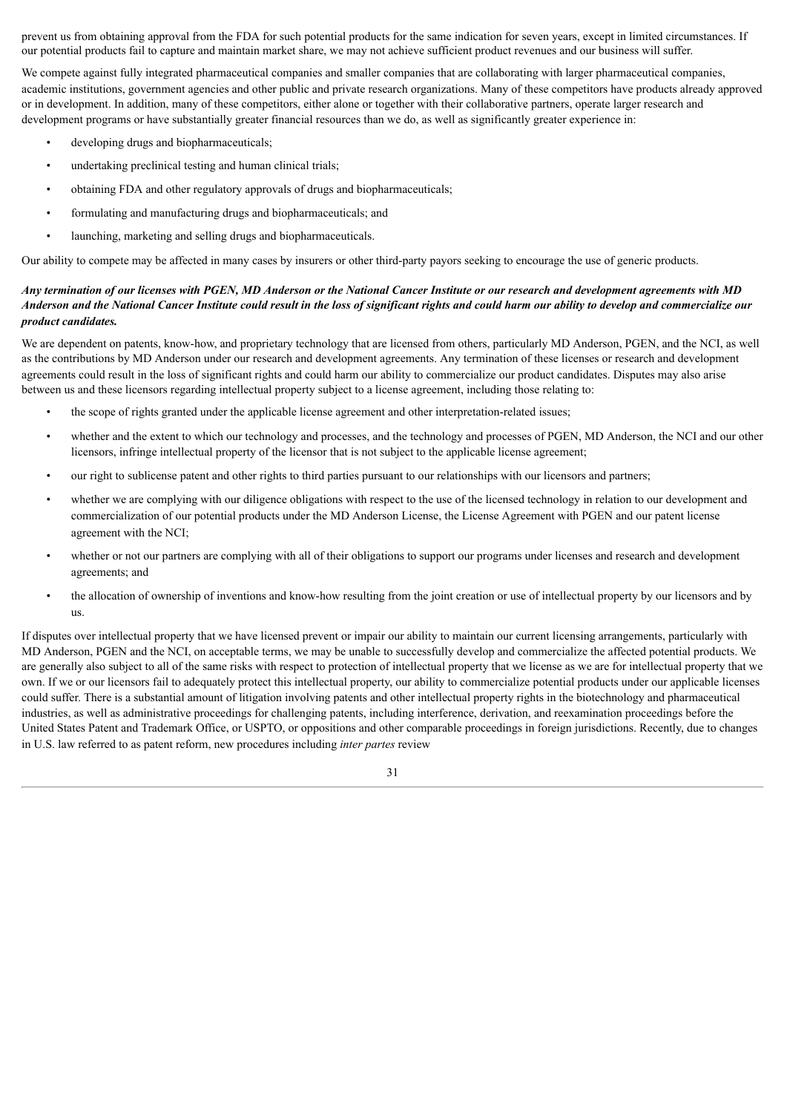prevent us from obtaining approval from the FDA for such potential products for the same indication for seven years, except in limited circumstances. If our potential products fail to capture and maintain market share, we may not achieve sufficient product revenues and our business will suffer.

We compete against fully integrated pharmaceutical companies and smaller companies that are collaborating with larger pharmaceutical companies, academic institutions, government agencies and other public and private research organizations. Many of these competitors have products already approved or in development. In addition, many of these competitors, either alone or together with their collaborative partners, operate larger research and development programs or have substantially greater financial resources than we do, as well as significantly greater experience in:

- developing drugs and biopharmaceuticals;
- undertaking preclinical testing and human clinical trials;
- obtaining FDA and other regulatory approvals of drugs and biopharmaceuticals;
- formulating and manufacturing drugs and biopharmaceuticals; and
- launching, marketing and selling drugs and biopharmaceuticals.

Our ability to compete may be affected in many cases by insurers or other third-party payors seeking to encourage the use of generic products.

# Any termination of our licenses with PGEN, MD Anderson or the National Cancer Institute or our research and development agreements with MD Anderson and the National Cancer Institute could result in the loss of significant rights and could harm our ability to develop and commercialize our *product candidates.*

We are dependent on patents, know-how, and proprietary technology that are licensed from others, particularly MD Anderson, PGEN, and the NCI, as well as the contributions by MD Anderson under our research and development agreements. Any termination of these licenses or research and development agreements could result in the loss of significant rights and could harm our ability to commercialize our product candidates. Disputes may also arise between us and these licensors regarding intellectual property subject to a license agreement, including those relating to:

- the scope of rights granted under the applicable license agreement and other interpretation-related issues;
- whether and the extent to which our technology and processes, and the technology and processes of PGEN, MD Anderson, the NCI and our other licensors, infringe intellectual property of the licensor that is not subject to the applicable license agreement;
- our right to sublicense patent and other rights to third parties pursuant to our relationships with our licensors and partners;
- whether we are complying with our diligence obligations with respect to the use of the licensed technology in relation to our development and commercialization of our potential products under the MD Anderson License, the License Agreement with PGEN and our patent license agreement with the NCI;
- whether or not our partners are complying with all of their obligations to support our programs under licenses and research and development agreements; and
- the allocation of ownership of inventions and know-how resulting from the joint creation or use of intellectual property by our licensors and by us.

If disputes over intellectual property that we have licensed prevent or impair our ability to maintain our current licensing arrangements, particularly with MD Anderson, PGEN and the NCI, on acceptable terms, we may be unable to successfully develop and commercialize the affected potential products. We are generally also subject to all of the same risks with respect to protection of intellectual property that we license as we are for intellectual property that we own. If we or our licensors fail to adequately protect this intellectual property, our ability to commercialize potential products under our applicable licenses could suffer. There is a substantial amount of litigation involving patents and other intellectual property rights in the biotechnology and pharmaceutical industries, as well as administrative proceedings for challenging patents, including interference, derivation, and reexamination proceedings before the United States Patent and Trademark Office, or USPTO, or oppositions and other comparable proceedings in foreign jurisdictions. Recently, due to changes in U.S. law referred to as patent reform, new procedures including *inter partes* review

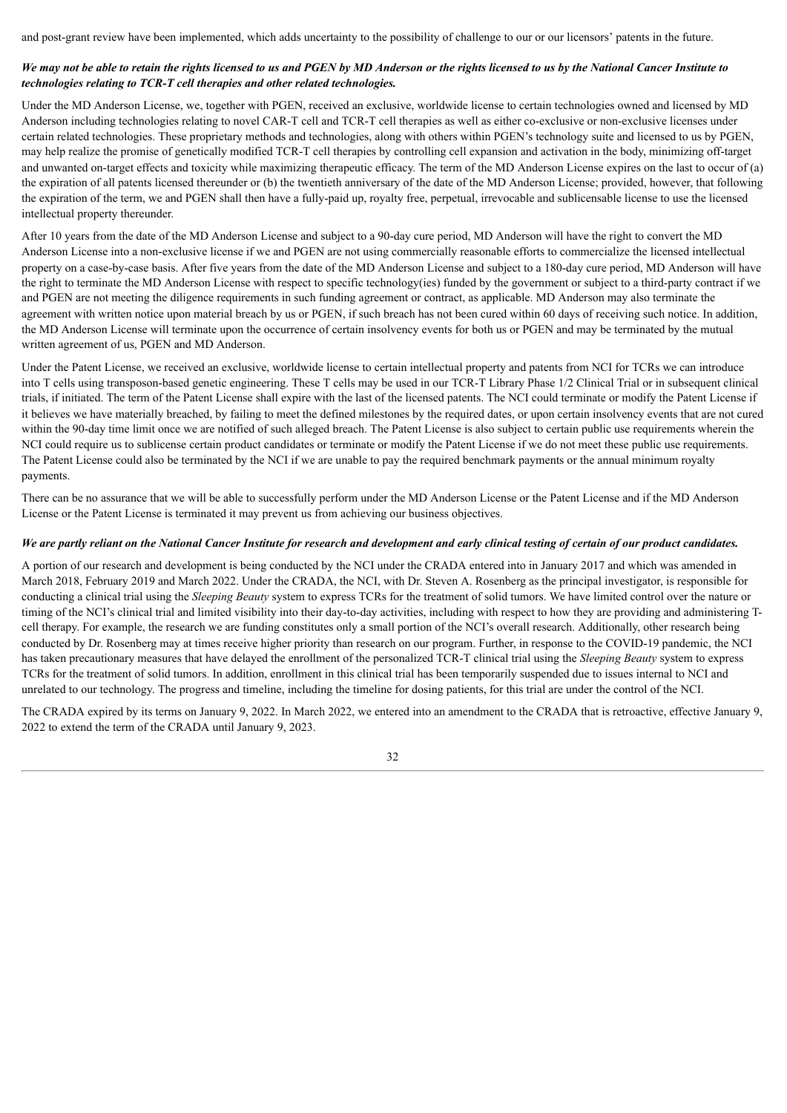and post-grant review have been implemented, which adds uncertainty to the possibility of challenge to our or our licensors' patents in the future.

# We may not be able to retain the rights licensed to us and PGEN by MD Anderson or the rights licensed to us by the National Cancer Institute to *technologies relating to TCR-T cell therapies and other related technologies.*

Under the MD Anderson License, we, together with PGEN, received an exclusive, worldwide license to certain technologies owned and licensed by MD Anderson including technologies relating to novel CAR-T cell and TCR-T cell therapies as well as either co-exclusive or non-exclusive licenses under certain related technologies. These proprietary methods and technologies, along with others within PGEN's technology suite and licensed to us by PGEN, may help realize the promise of genetically modified TCR-T cell therapies by controlling cell expansion and activation in the body, minimizing off-target and unwanted on-target effects and toxicity while maximizing therapeutic efficacy. The term of the MD Anderson License expires on the last to occur of (a) the expiration of all patents licensed thereunder or (b) the twentieth anniversary of the date of the MD Anderson License; provided, however, that following the expiration of the term, we and PGEN shall then have a fully-paid up, royalty free, perpetual, irrevocable and sublicensable license to use the licensed intellectual property thereunder.

After 10 years from the date of the MD Anderson License and subject to a 90-day cure period, MD Anderson will have the right to convert the MD Anderson License into a non-exclusive license if we and PGEN are not using commercially reasonable efforts to commercialize the licensed intellectual property on a case-by-case basis. After five years from the date of the MD Anderson License and subject to a 180-day cure period, MD Anderson will have the right to terminate the MD Anderson License with respect to specific technology(ies) funded by the government or subject to a third-party contract if we and PGEN are not meeting the diligence requirements in such funding agreement or contract, as applicable. MD Anderson may also terminate the agreement with written notice upon material breach by us or PGEN, if such breach has not been cured within 60 days of receiving such notice. In addition, the MD Anderson License will terminate upon the occurrence of certain insolvency events for both us or PGEN and may be terminated by the mutual written agreement of us, PGEN and MD Anderson.

Under the Patent License, we received an exclusive, worldwide license to certain intellectual property and patents from NCI for TCRs we can introduce into T cells using transposon-based genetic engineering. These T cells may be used in our TCR-T Library Phase 1/2 Clinical Trial or in subsequent clinical trials, if initiated. The term of the Patent License shall expire with the last of the licensed patents. The NCI could terminate or modify the Patent License if it believes we have materially breached, by failing to meet the defined milestones by the required dates, or upon certain insolvency events that are not cured within the 90-day time limit once we are notified of such alleged breach. The Patent License is also subject to certain public use requirements wherein the NCI could require us to sublicense certain product candidates or terminate or modify the Patent License if we do not meet these public use requirements. The Patent License could also be terminated by the NCI if we are unable to pay the required benchmark payments or the annual minimum royalty payments.

There can be no assurance that we will be able to successfully perform under the MD Anderson License or the Patent License and if the MD Anderson License or the Patent License is terminated it may prevent us from achieving our business objectives.

#### We are partly reliant on the National Cancer Institute for research and development and early clinical testing of certain of our product candidates.

A portion of our research and development is being conducted by the NCI under the CRADA entered into in January 2017 and which was amended in March 2018, February 2019 and March 2022. Under the CRADA, the NCI, with Dr. Steven A. Rosenberg as the principal investigator, is responsible for conducting a clinical trial using the *Sleeping Beauty* system to express TCRs for the treatment of solid tumors. We have limited control over the nature or timing of the NCI's clinical trial and limited visibility into their day-to-day activities, including with respect to how they are providing and administering Tcell therapy. For example, the research we are funding constitutes only a small portion of the NCI's overall research. Additionally, other research being conducted by Dr. Rosenberg may at times receive higher priority than research on our program. Further, in response to the COVID-19 pandemic, the NCI has taken precautionary measures that have delayed the enrollment of the personalized TCR-T clinical trial using the *Sleeping Beauty* system to express TCRs for the treatment of solid tumors. In addition, enrollment in this clinical trial has been temporarily suspended due to issues internal to NCI and unrelated to our technology. The progress and timeline, including the timeline for dosing patients, for this trial are under the control of the NCI.

The CRADA expired by its terms on January 9, 2022. In March 2022, we entered into an amendment to the CRADA that is retroactive, effective January 9, 2022 to extend the term of the CRADA until January 9, 2023.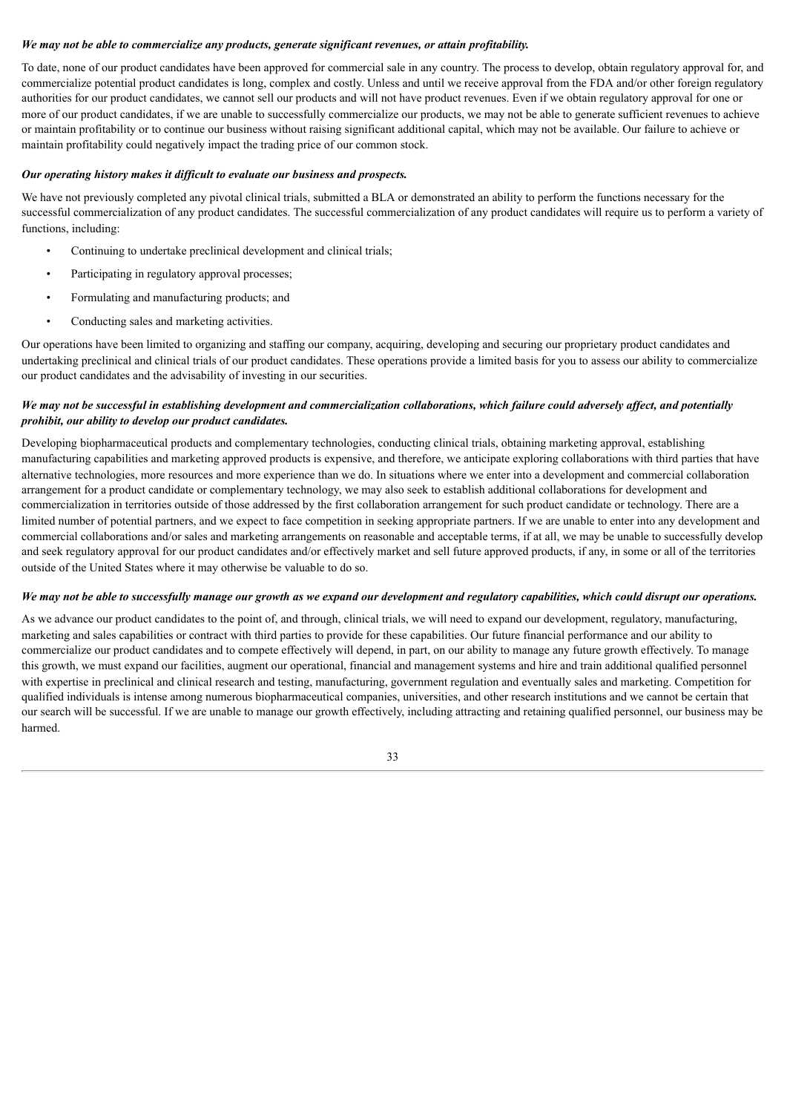#### *We may not be able to commercialize any products, generate significant revenues, or attain profitability.*

To date, none of our product candidates have been approved for commercial sale in any country. The process to develop, obtain regulatory approval for, and commercialize potential product candidates is long, complex and costly. Unless and until we receive approval from the FDA and/or other foreign regulatory authorities for our product candidates, we cannot sell our products and will not have product revenues. Even if we obtain regulatory approval for one or more of our product candidates, if we are unable to successfully commercialize our products, we may not be able to generate sufficient revenues to achieve or maintain profitability or to continue our business without raising significant additional capital, which may not be available. Our failure to achieve or maintain profitability could negatively impact the trading price of our common stock.

#### *Our operating history makes it dif icult to evaluate our business and prospects.*

We have not previously completed any pivotal clinical trials, submitted a BLA or demonstrated an ability to perform the functions necessary for the successful commercialization of any product candidates. The successful commercialization of any product candidates will require us to perform a variety of functions, including:

- Continuing to undertake preclinical development and clinical trials;
- Participating in regulatory approval processes:
- Formulating and manufacturing products; and
- Conducting sales and marketing activities.

Our operations have been limited to organizing and staffing our company, acquiring, developing and securing our proprietary product candidates and undertaking preclinical and clinical trials of our product candidates. These operations provide a limited basis for you to assess our ability to commercialize our product candidates and the advisability of investing in our securities.

# We may not be successful in establishing development and commercialization collaborations, which failure could adversely affect, and potentially *prohibit, our ability to develop our product candidates.*

Developing biopharmaceutical products and complementary technologies, conducting clinical trials, obtaining marketing approval, establishing manufacturing capabilities and marketing approved products is expensive, and therefore, we anticipate exploring collaborations with third parties that have alternative technologies, more resources and more experience than we do. In situations where we enter into a development and commercial collaboration arrangement for a product candidate or complementary technology, we may also seek to establish additional collaborations for development and commercialization in territories outside of those addressed by the first collaboration arrangement for such product candidate or technology. There are a limited number of potential partners, and we expect to face competition in seeking appropriate partners. If we are unable to enter into any development and commercial collaborations and/or sales and marketing arrangements on reasonable and acceptable terms, if at all, we may be unable to successfully develop and seek regulatory approval for our product candidates and/or effectively market and sell future approved products, if any, in some or all of the territories outside of the United States where it may otherwise be valuable to do so.

#### We may not be able to successfully manage our growth as we expand our development and regulatory capabilities, which could disrupt our operations.

As we advance our product candidates to the point of, and through, clinical trials, we will need to expand our development, regulatory, manufacturing, marketing and sales capabilities or contract with third parties to provide for these capabilities. Our future financial performance and our ability to commercialize our product candidates and to compete effectively will depend, in part, on our ability to manage any future growth effectively. To manage this growth, we must expand our facilities, augment our operational, financial and management systems and hire and train additional qualified personnel with expertise in preclinical and clinical research and testing, manufacturing, government regulation and eventually sales and marketing. Competition for qualified individuals is intense among numerous biopharmaceutical companies, universities, and other research institutions and we cannot be certain that our search will be successful. If we are unable to manage our growth effectively, including attracting and retaining qualified personnel, our business may be harmed.

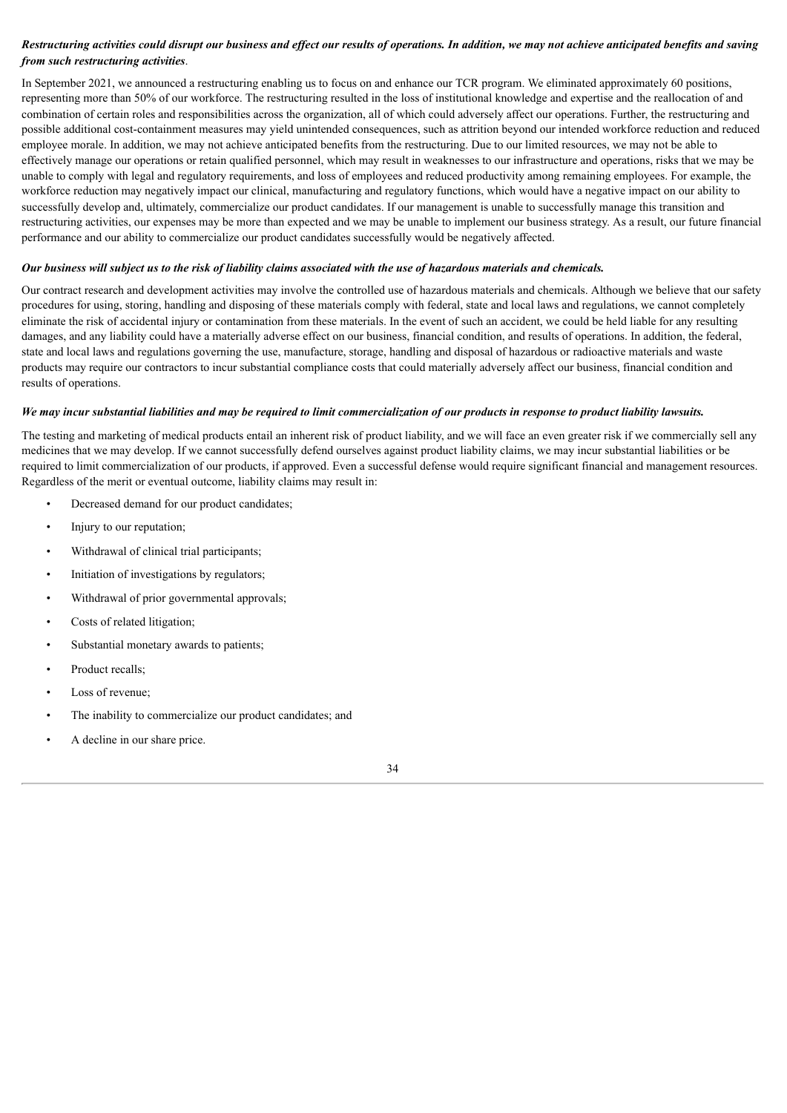# Restructuring activities could disrupt our business and effect our results of operations. In addition, we may not achieve anticipated benefits and saving *from such restructuring activities*.

In September 2021, we announced a restructuring enabling us to focus on and enhance our TCR program. We eliminated approximately 60 positions, representing more than 50% of our workforce. The restructuring resulted in the loss of institutional knowledge and expertise and the reallocation of and combination of certain roles and responsibilities across the organization, all of which could adversely affect our operations. Further, the restructuring and possible additional cost-containment measures may yield unintended consequences, such as attrition beyond our intended workforce reduction and reduced employee morale. In addition, we may not achieve anticipated benefits from the restructuring. Due to our limited resources, we may not be able to effectively manage our operations or retain qualified personnel, which may result in weaknesses to our infrastructure and operations, risks that we may be unable to comply with legal and regulatory requirements, and loss of employees and reduced productivity among remaining employees. For example, the workforce reduction may negatively impact our clinical, manufacturing and regulatory functions, which would have a negative impact on our ability to successfully develop and, ultimately, commercialize our product candidates. If our management is unable to successfully manage this transition and restructuring activities, our expenses may be more than expected and we may be unable to implement our business strategy. As a result, our future financial performance and our ability to commercialize our product candidates successfully would be negatively affected.

#### Our business will subject us to the risk of liability claims associated with the use of hazardous materials and chemicals.

Our contract research and development activities may involve the controlled use of hazardous materials and chemicals. Although we believe that our safety procedures for using, storing, handling and disposing of these materials comply with federal, state and local laws and regulations, we cannot completely eliminate the risk of accidental injury or contamination from these materials. In the event of such an accident, we could be held liable for any resulting damages, and any liability could have a materially adverse effect on our business, financial condition, and results of operations. In addition, the federal, state and local laws and regulations governing the use, manufacture, storage, handling and disposal of hazardous or radioactive materials and waste products may require our contractors to incur substantial compliance costs that could materially adversely affect our business, financial condition and results of operations.

#### We may incur substantial liabilities and may be required to limit commercialization of our products in response to product liability lawsuits.

The testing and marketing of medical products entail an inherent risk of product liability, and we will face an even greater risk if we commercially sell any medicines that we may develop. If we cannot successfully defend ourselves against product liability claims, we may incur substantial liabilities or be required to limit commercialization of our products, if approved. Even a successful defense would require significant financial and management resources. Regardless of the merit or eventual outcome, liability claims may result in:

- Decreased demand for our product candidates;
- Injury to our reputation;
- Withdrawal of clinical trial participants;
- Initiation of investigations by regulators;
- Withdrawal of prior governmental approvals;
- Costs of related litigation;
- Substantial monetary awards to patients;
- Product recalls;
- Loss of revenue;
- The inability to commercialize our product candidates; and
- A decline in our share price.

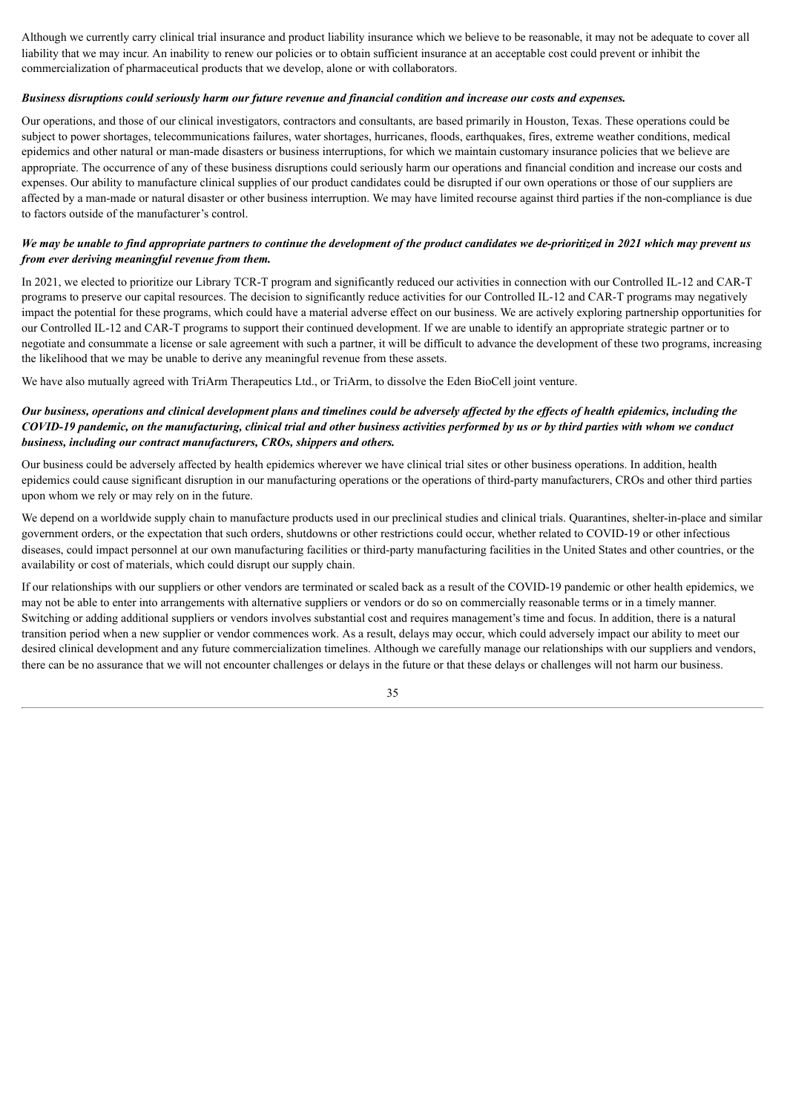Although we currently carry clinical trial insurance and product liability insurance which we believe to be reasonable, it may not be adequate to cover all liability that we may incur. An inability to renew our policies or to obtain sufficient insurance at an acceptable cost could prevent or inhibit the commercialization of pharmaceutical products that we develop, alone or with collaborators.

#### Business disruptions could seriously harm our future revenue and financial condition and increase our costs and expenses.

Our operations, and those of our clinical investigators, contractors and consultants, are based primarily in Houston, Texas. These operations could be subject to power shortages, telecommunications failures, water shortages, hurricanes, floods, earthquakes, fires, extreme weather conditions, medical epidemics and other natural or man-made disasters or business interruptions, for which we maintain customary insurance policies that we believe are appropriate. The occurrence of any of these business disruptions could seriously harm our operations and financial condition and increase our costs and expenses. Our ability to manufacture clinical supplies of our product candidates could be disrupted if our own operations or those of our suppliers are affected by a man-made or natural disaster or other business interruption. We may have limited recourse against third parties if the non-compliance is due to factors outside of the manufacturer's control.

# We may be unable to find appropriate partners to continue the development of the product candidates we de-prioritized in 2021 which may prevent us *from ever deriving meaningful revenue from them.*

In 2021, we elected to prioritize our Library TCR-T program and significantly reduced our activities in connection with our Controlled IL-12 and CAR-T programs to preserve our capital resources. The decision to significantly reduce activities for our Controlled IL-12 and CAR-T programs may negatively impact the potential for these programs, which could have a material adverse effect on our business. We are actively exploring partnership opportunities for our Controlled IL-12 and CAR-T programs to support their continued development. If we are unable to identify an appropriate strategic partner or to negotiate and consummate a license or sale agreement with such a partner, it will be difficult to advance the development of these two programs, increasing the likelihood that we may be unable to derive any meaningful revenue from these assets.

We have also mutually agreed with TriArm Therapeutics Ltd., or TriArm, to dissolve the Eden BioCell joint venture.

# Our business, operations and clinical development plans and timelines could be adversely affected by the effects of health epidemics, including the COVID-19 pandemic, on the manufacturing, clinical trial and other business activities performed by us or by third parties with whom we conduct *business, including our contract manufacturers, CROs, shippers and others.*

Our business could be adversely affected by health epidemics wherever we have clinical trial sites or other business operations. In addition, health epidemics could cause significant disruption in our manufacturing operations or the operations of third-party manufacturers, CROs and other third parties upon whom we rely or may rely on in the future.

We depend on a worldwide supply chain to manufacture products used in our preclinical studies and clinical trials. Quarantines, shelter-in-place and similar government orders, or the expectation that such orders, shutdowns or other restrictions could occur, whether related to COVID-19 or other infectious diseases, could impact personnel at our own manufacturing facilities or third-party manufacturing facilities in the United States and other countries, or the availability or cost of materials, which could disrupt our supply chain.

If our relationships with our suppliers or other vendors are terminated or scaled back as a result of the COVID-19 pandemic or other health epidemics, we may not be able to enter into arrangements with alternative suppliers or vendors or do so on commercially reasonable terms or in a timely manner. Switching or adding additional suppliers or vendors involves substantial cost and requires management's time and focus. In addition, there is a natural transition period when a new supplier or vendor commences work. As a result, delays may occur, which could adversely impact our ability to meet our desired clinical development and any future commercialization timelines. Although we carefully manage our relationships with our suppliers and vendors, there can be no assurance that we will not encounter challenges or delays in the future or that these delays or challenges will not harm our business.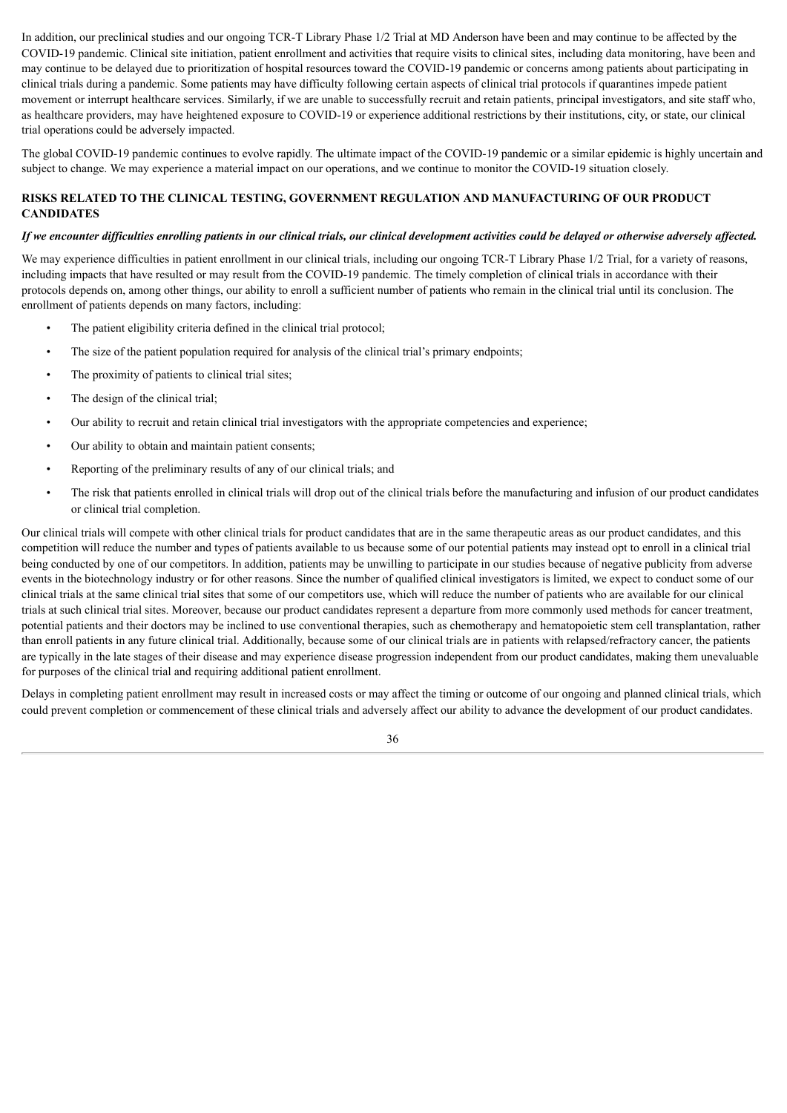In addition, our preclinical studies and our ongoing TCR-T Library Phase 1/2 Trial at MD Anderson have been and may continue to be affected by the COVID-19 pandemic. Clinical site initiation, patient enrollment and activities that require visits to clinical sites, including data monitoring, have been and may continue to be delayed due to prioritization of hospital resources toward the COVID-19 pandemic or concerns among patients about participating in clinical trials during a pandemic. Some patients may have difficulty following certain aspects of clinical trial protocols if quarantines impede patient movement or interrupt healthcare services. Similarly, if we are unable to successfully recruit and retain patients, principal investigators, and site staff who, as healthcare providers, may have heightened exposure to COVID-19 or experience additional restrictions by their institutions, city, or state, our clinical trial operations could be adversely impacted.

The global COVID-19 pandemic continues to evolve rapidly. The ultimate impact of the COVID-19 pandemic or a similar epidemic is highly uncertain and subject to change. We may experience a material impact on our operations, and we continue to monitor the COVID-19 situation closely.

# **RISKS RELATED TO THE CLINICAL TESTING, GOVERNMENT REGULATION AND MANUFACTURING OF OUR PRODUCT CANDIDATES**

#### If we encounter difficulties enrolling patients in our clinical trials, our clinical development activities could be delayed or otherwise adversely affected.

We may experience difficulties in patient enrollment in our clinical trials, including our ongoing TCR-T Library Phase  $1/2$  Trial, for a variety of reasons, including impacts that have resulted or may result from the COVID-19 pandemic. The timely completion of clinical trials in accordance with their protocols depends on, among other things, our ability to enroll a sufficient number of patients who remain in the clinical trial until its conclusion. The enrollment of patients depends on many factors, including:

- The patient eligibility criteria defined in the clinical trial protocol;
- The size of the patient population required for analysis of the clinical trial's primary endpoints;
- The proximity of patients to clinical trial sites;
- The design of the clinical trial;
- Our ability to recruit and retain clinical trial investigators with the appropriate competencies and experience;
- Our ability to obtain and maintain patient consents;
- Reporting of the preliminary results of any of our clinical trials; and
- The risk that patients enrolled in clinical trials will drop out of the clinical trials before the manufacturing and infusion of our product candidates or clinical trial completion.

Our clinical trials will compete with other clinical trials for product candidates that are in the same therapeutic areas as our product candidates, and this competition will reduce the number and types of patients available to us because some of our potential patients may instead opt to enroll in a clinical trial being conducted by one of our competitors. In addition, patients may be unwilling to participate in our studies because of negative publicity from adverse events in the biotechnology industry or for other reasons. Since the number of qualified clinical investigators is limited, we expect to conduct some of our clinical trials at the same clinical trial sites that some of our competitors use, which will reduce the number of patients who are available for our clinical trials at such clinical trial sites. Moreover, because our product candidates represent a departure from more commonly used methods for cancer treatment, potential patients and their doctors may be inclined to use conventional therapies, such as chemotherapy and hematopoietic stem cell transplantation, rather than enroll patients in any future clinical trial. Additionally, because some of our clinical trials are in patients with relapsed/refractory cancer, the patients are typically in the late stages of their disease and may experience disease progression independent from our product candidates, making them unevaluable for purposes of the clinical trial and requiring additional patient enrollment.

Delays in completing patient enrollment may result in increased costs or may affect the timing or outcome of our ongoing and planned clinical trials, which could prevent completion or commencement of these clinical trials and adversely affect our ability to advance the development of our product candidates.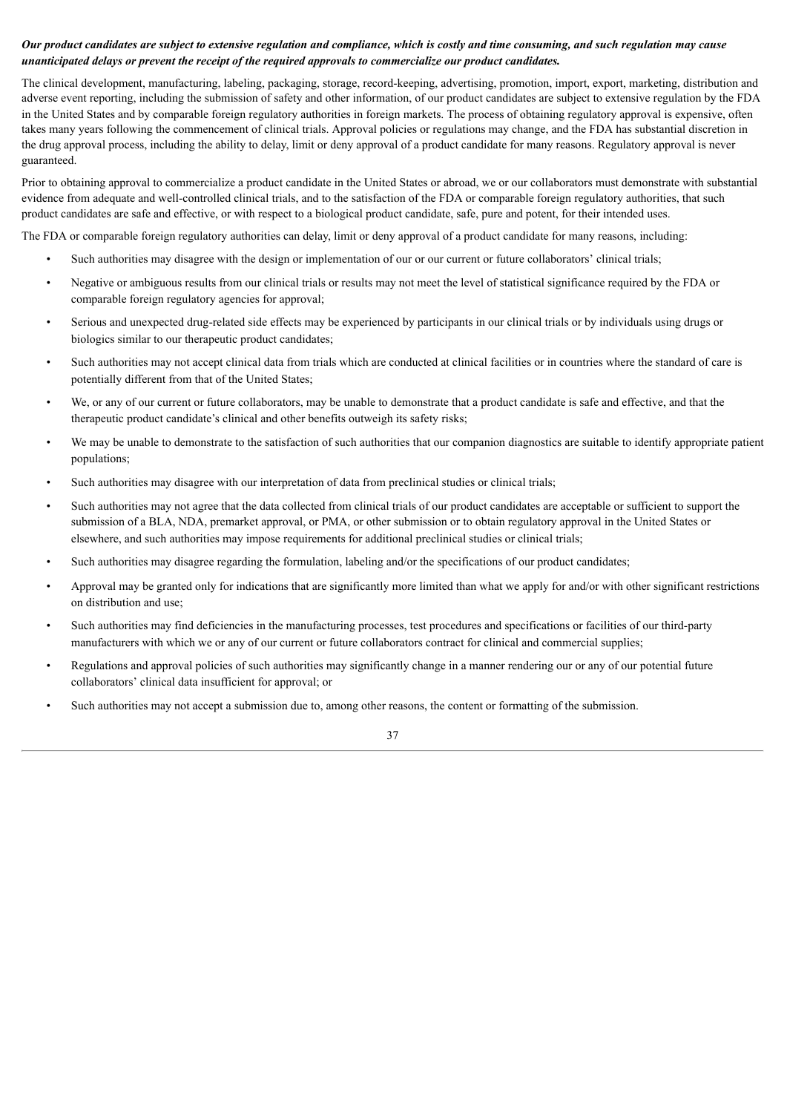# Our product candidates are subject to extensive regulation and compliance, which is costly and time consuming, and such regulation may cause *unanticipated delays or prevent the receipt of the required approvals to commercialize our product candidates.*

The clinical development, manufacturing, labeling, packaging, storage, record-keeping, advertising, promotion, import, export, marketing, distribution and adverse event reporting, including the submission of safety and other information, of our product candidates are subject to extensive regulation by the FDA in the United States and by comparable foreign regulatory authorities in foreign markets. The process of obtaining regulatory approval is expensive, often takes many years following the commencement of clinical trials. Approval policies or regulations may change, and the FDA has substantial discretion in the drug approval process, including the ability to delay, limit or deny approval of a product candidate for many reasons. Regulatory approval is never guaranteed.

Prior to obtaining approval to commercialize a product candidate in the United States or abroad, we or our collaborators must demonstrate with substantial evidence from adequate and well-controlled clinical trials, and to the satisfaction of the FDA or comparable foreign regulatory authorities, that such product candidates are safe and effective, or with respect to a biological product candidate, safe, pure and potent, for their intended uses.

The FDA or comparable foreign regulatory authorities can delay, limit or deny approval of a product candidate for many reasons, including:

- Such authorities may disagree with the design or implementation of our or our current or future collaborators' clinical trials;
- Negative or ambiguous results from our clinical trials or results may not meet the level of statistical significance required by the FDA or comparable foreign regulatory agencies for approval;
- Serious and unexpected drug-related side effects may be experienced by participants in our clinical trials or by individuals using drugs or biologics similar to our therapeutic product candidates;
- Such authorities may not accept clinical data from trials which are conducted at clinical facilities or in countries where the standard of care is potentially different from that of the United States;
- We, or any of our current or future collaborators, may be unable to demonstrate that a product candidate is safe and effective, and that the therapeutic product candidate's clinical and other benefits outweigh its safety risks;
- We may be unable to demonstrate to the satisfaction of such authorities that our companion diagnostics are suitable to identify appropriate patient populations;
- Such authorities may disagree with our interpretation of data from preclinical studies or clinical trials;
- Such authorities may not agree that the data collected from clinical trials of our product candidates are acceptable or sufficient to support the submission of a BLA, NDA, premarket approval, or PMA, or other submission or to obtain regulatory approval in the United States or elsewhere, and such authorities may impose requirements for additional preclinical studies or clinical trials;
- Such authorities may disagree regarding the formulation, labeling and/or the specifications of our product candidates;
- Approval may be granted only for indications that are significantly more limited than what we apply for and/or with other significant restrictions on distribution and use;
- Such authorities may find deficiencies in the manufacturing processes, test procedures and specifications or facilities of our third-party manufacturers with which we or any of our current or future collaborators contract for clinical and commercial supplies;
- Regulations and approval policies of such authorities may significantly change in a manner rendering our or any of our potential future collaborators' clinical data insufficient for approval; or
- Such authorities may not accept a submission due to, among other reasons, the content or formatting of the submission.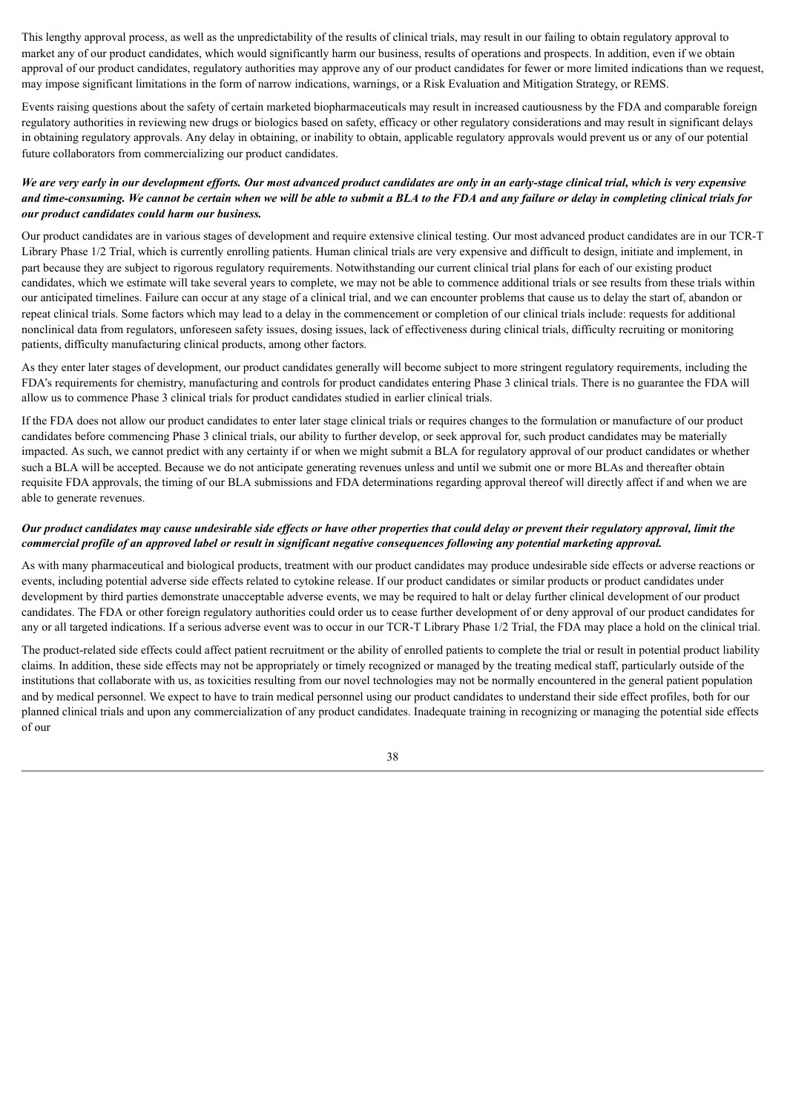This lengthy approval process, as well as the unpredictability of the results of clinical trials, may result in our failing to obtain regulatory approval to market any of our product candidates, which would significantly harm our business, results of operations and prospects. In addition, even if we obtain approval of our product candidates, regulatory authorities may approve any of our product candidates for fewer or more limited indications than we request, may impose significant limitations in the form of narrow indications, warnings, or a Risk Evaluation and Mitigation Strategy, or REMS.

Events raising questions about the safety of certain marketed biopharmaceuticals may result in increased cautiousness by the FDA and comparable foreign regulatory authorities in reviewing new drugs or biologics based on safety, efficacy or other regulatory considerations and may result in significant delays in obtaining regulatory approvals. Any delay in obtaining, or inability to obtain, applicable regulatory approvals would prevent us or any of our potential future collaborators from commercializing our product candidates.

# We are very early in our development efforts. Our most advanced product candidates are only in an early-stage clinical trial, which is very expensive and time-consuming. We cannot be certain when we will be able to submit a BLA to the FDA and any failure or delay in completing clinical trials for *our product candidates could harm our business.*

Our product candidates are in various stages of development and require extensive clinical testing. Our most advanced product candidates are in our TCR-T Library Phase 1/2 Trial, which is currently enrolling patients. Human clinical trials are very expensive and difficult to design, initiate and implement, in part because they are subject to rigorous regulatory requirements. Notwithstanding our current clinical trial plans for each of our existing product candidates, which we estimate will take several years to complete, we may not be able to commence additional trials or see results from these trials within our anticipated timelines. Failure can occur at any stage of a clinical trial, and we can encounter problems that cause us to delay the start of, abandon or repeat clinical trials. Some factors which may lead to a delay in the commencement or completion of our clinical trials include: requests for additional nonclinical data from regulators, unforeseen safety issues, dosing issues, lack of effectiveness during clinical trials, difficulty recruiting or monitoring patients, difficulty manufacturing clinical products, among other factors.

As they enter later stages of development, our product candidates generally will become subject to more stringent regulatory requirements, including the FDA's requirements for chemistry, manufacturing and controls for product candidates entering Phase 3 clinical trials. There is no guarantee the FDA will allow us to commence Phase 3 clinical trials for product candidates studied in earlier clinical trials.

If the FDA does not allow our product candidates to enter later stage clinical trials or requires changes to the formulation or manufacture of our product candidates before commencing Phase 3 clinical trials, our ability to further develop, or seek approval for, such product candidates may be materially impacted. As such, we cannot predict with any certainty if or when we might submit a BLA for regulatory approval of our product candidates or whether such a BLA will be accepted. Because we do not anticipate generating revenues unless and until we submit one or more BLAs and thereafter obtain requisite FDA approvals, the timing of our BLA submissions and FDA determinations regarding approval thereof will directly affect if and when we are able to generate revenues.

# Our product candidates may cause undesirable side effects or have other properties that could delay or prevent their regulatory approval, limit the commercial profile of an approved label or result in significant negative consequences following any potential marketing approval.

As with many pharmaceutical and biological products, treatment with our product candidates may produce undesirable side effects or adverse reactions or events, including potential adverse side effects related to cytokine release. If our product candidates or similar products or product candidates under development by third parties demonstrate unacceptable adverse events, we may be required to halt or delay further clinical development of our product candidates. The FDA or other foreign regulatory authorities could order us to cease further development of or deny approval of our product candidates for any or all targeted indications. If a serious adverse event was to occur in our TCR-T Library Phase 1/2 Trial, the FDA may place a hold on the clinical trial.

The product-related side effects could affect patient recruitment or the ability of enrolled patients to complete the trial or result in potential product liability claims. In addition, these side effects may not be appropriately or timely recognized or managed by the treating medical staff, particularly outside of the institutions that collaborate with us, as toxicities resulting from our novel technologies may not be normally encountered in the general patient population and by medical personnel. We expect to have to train medical personnel using our product candidates to understand their side effect profiles, both for our planned clinical trials and upon any commercialization of any product candidates. Inadequate training in recognizing or managing the potential side effects of our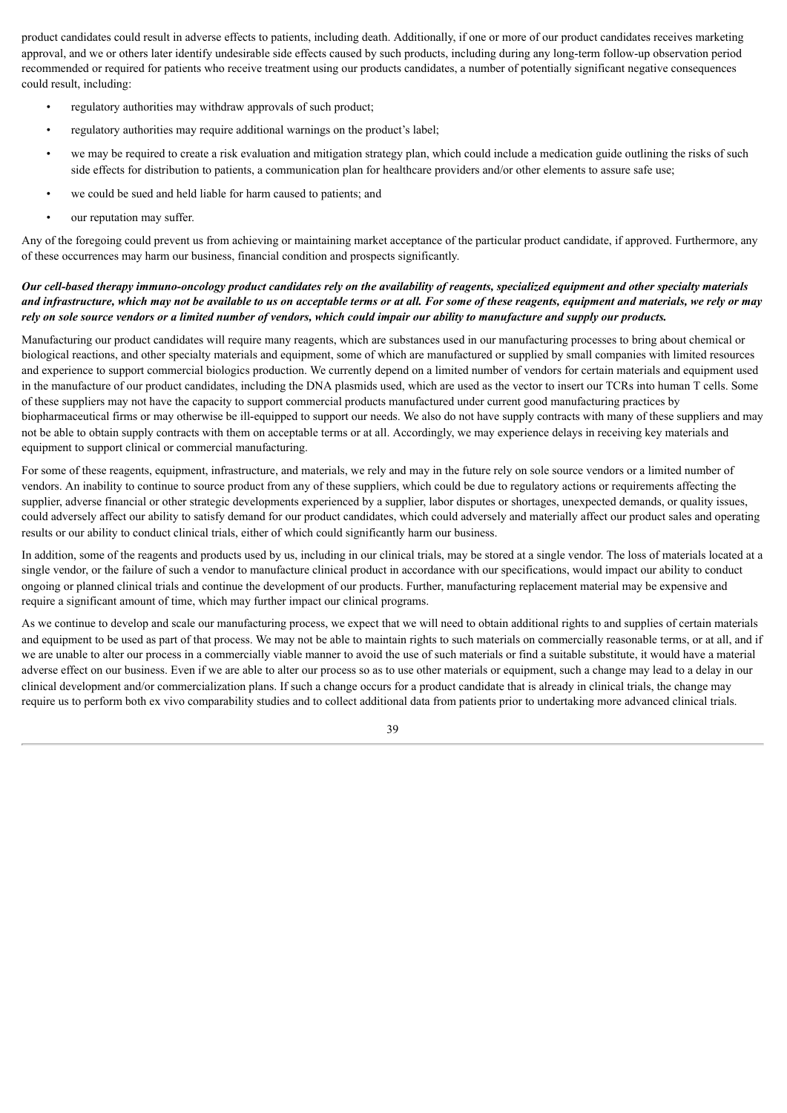product candidates could result in adverse effects to patients, including death. Additionally, if one or more of our product candidates receives marketing approval, and we or others later identify undesirable side effects caused by such products, including during any long-term follow-up observation period recommended or required for patients who receive treatment using our products candidates, a number of potentially significant negative consequences could result, including:

- regulatory authorities may withdraw approvals of such product;
- regulatory authorities may require additional warnings on the product's label:
- we may be required to create a risk evaluation and mitigation strategy plan, which could include a medication guide outlining the risks of such side effects for distribution to patients, a communication plan for healthcare providers and/or other elements to assure safe use;
- we could be sued and held liable for harm caused to patients; and
- our reputation may suffer.

Any of the foregoing could prevent us from achieving or maintaining market acceptance of the particular product candidate, if approved. Furthermore, any of these occurrences may harm our business, financial condition and prospects significantly.

# Our cell-based therapy immuno-oncology product candidates rely on the availability of reagents, specialized equipment and other specialty materials and infrastructure, which may not be available to us on acceptable terms or at all. For some of these reagents, equipment and materials, we rely or may rely on sole source vendors or a limited number of vendors, which could impair our ability to manufacture and supply our products.

Manufacturing our product candidates will require many reagents, which are substances used in our manufacturing processes to bring about chemical or biological reactions, and other specialty materials and equipment, some of which are manufactured or supplied by small companies with limited resources and experience to support commercial biologics production. We currently depend on a limited number of vendors for certain materials and equipment used in the manufacture of our product candidates, including the DNA plasmids used, which are used as the vector to insert our TCRs into human T cells. Some of these suppliers may not have the capacity to support commercial products manufactured under current good manufacturing practices by biopharmaceutical firms or may otherwise be ill-equipped to support our needs. We also do not have supply contracts with many of these suppliers and may not be able to obtain supply contracts with them on acceptable terms or at all. Accordingly, we may experience delays in receiving key materials and equipment to support clinical or commercial manufacturing.

For some of these reagents, equipment, infrastructure, and materials, we rely and may in the future rely on sole source vendors or a limited number of vendors. An inability to continue to source product from any of these suppliers, which could be due to regulatory actions or requirements affecting the supplier, adverse financial or other strategic developments experienced by a supplier, labor disputes or shortages, unexpected demands, or quality issues, could adversely affect our ability to satisfy demand for our product candidates, which could adversely and materially affect our product sales and operating results or our ability to conduct clinical trials, either of which could significantly harm our business.

In addition, some of the reagents and products used by us, including in our clinical trials, may be stored at a single vendor. The loss of materials located at a single vendor, or the failure of such a vendor to manufacture clinical product in accordance with our specifications, would impact our ability to conduct ongoing or planned clinical trials and continue the development of our products. Further, manufacturing replacement material may be expensive and require a significant amount of time, which may further impact our clinical programs.

As we continue to develop and scale our manufacturing process, we expect that we will need to obtain additional rights to and supplies of certain materials and equipment to be used as part of that process. We may not be able to maintain rights to such materials on commercially reasonable terms, or at all, and if we are unable to alter our process in a commercially viable manner to avoid the use of such materials or find a suitable substitute, it would have a material adverse effect on our business. Even if we are able to alter our process so as to use other materials or equipment, such a change may lead to a delay in our clinical development and/or commercialization plans. If such a change occurs for a product candidate that is already in clinical trials, the change may require us to perform both ex vivo comparability studies and to collect additional data from patients prior to undertaking more advanced clinical trials.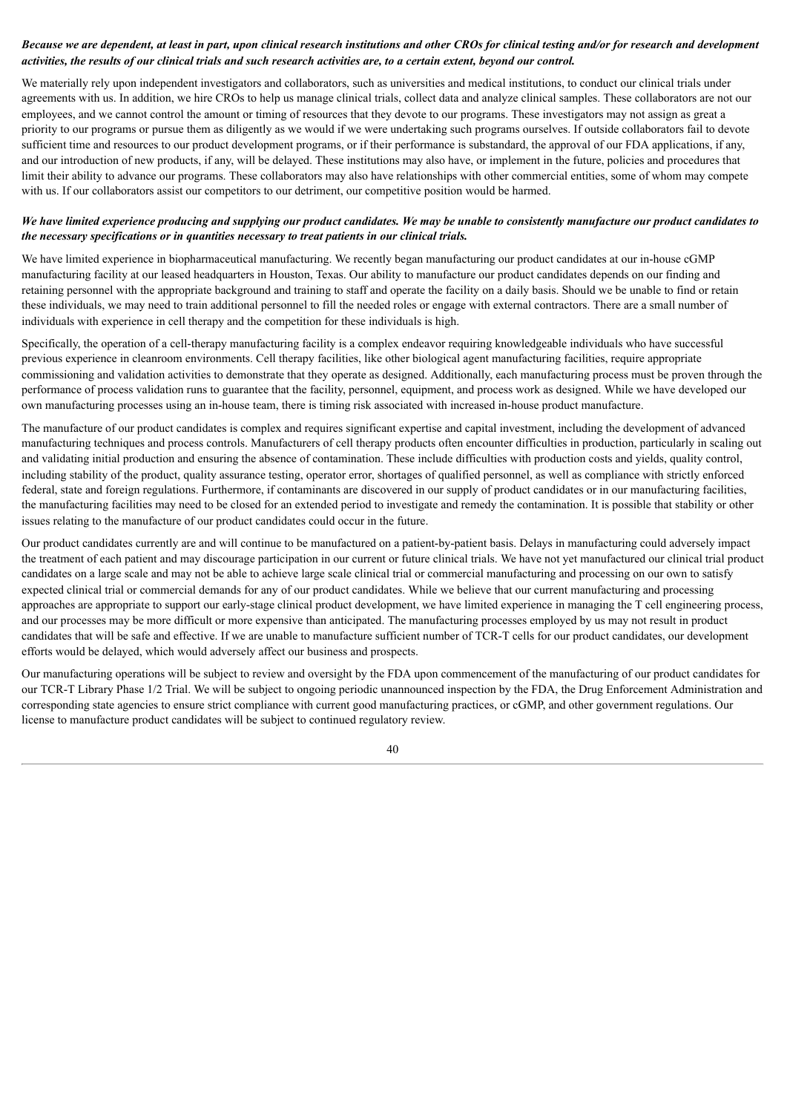# Because we are dependent, at least in part, upon clinical research institutions and other CROs for clinical testing and/or for research and development activities, the results of our clinical trials and such research activities are, to a certain extent, beyond our control.

We materially rely upon independent investigators and collaborators, such as universities and medical institutions, to conduct our clinical trials under agreements with us. In addition, we hire CROs to help us manage clinical trials, collect data and analyze clinical samples. These collaborators are not our employees, and we cannot control the amount or timing of resources that they devote to our programs. These investigators may not assign as great a priority to our programs or pursue them as diligently as we would if we were undertaking such programs ourselves. If outside collaborators fail to devote sufficient time and resources to our product development programs, or if their performance is substandard, the approval of our FDA applications, if any, and our introduction of new products, if any, will be delayed. These institutions may also have, or implement in the future, policies and procedures that limit their ability to advance our programs. These collaborators may also have relationships with other commercial entities, some of whom may compete with us. If our collaborators assist our competitors to our detriment, our competitive position would be harmed.

# We have limited experience producing and supplying our product candidates. We may be unable to consistently manufacture our product candidates to *the necessary specifications or in quantities necessary to treat patients in our clinical trials.*

We have limited experience in biopharmaceutical manufacturing. We recently began manufacturing our product candidates at our in-house cGMP manufacturing facility at our leased headquarters in Houston, Texas. Our ability to manufacture our product candidates depends on our finding and retaining personnel with the appropriate background and training to staff and operate the facility on a daily basis. Should we be unable to find or retain these individuals, we may need to train additional personnel to fill the needed roles or engage with external contractors. There are a small number of individuals with experience in cell therapy and the competition for these individuals is high.

Specifically, the operation of a cell-therapy manufacturing facility is a complex endeavor requiring knowledgeable individuals who have successful previous experience in cleanroom environments. Cell therapy facilities, like other biological agent manufacturing facilities, require appropriate commissioning and validation activities to demonstrate that they operate as designed. Additionally, each manufacturing process must be proven through the performance of process validation runs to guarantee that the facility, personnel, equipment, and process work as designed. While we have developed our own manufacturing processes using an in-house team, there is timing risk associated with increased in-house product manufacture.

The manufacture of our product candidates is complex and requires significant expertise and capital investment, including the development of advanced manufacturing techniques and process controls. Manufacturers of cell therapy products often encounter difficulties in production, particularly in scaling out and validating initial production and ensuring the absence of contamination. These include difficulties with production costs and yields, quality control, including stability of the product, quality assurance testing, operator error, shortages of qualified personnel, as well as compliance with strictly enforced federal, state and foreign regulations. Furthermore, if contaminants are discovered in our supply of product candidates or in our manufacturing facilities, the manufacturing facilities may need to be closed for an extended period to investigate and remedy the contamination. It is possible that stability or other issues relating to the manufacture of our product candidates could occur in the future.

Our product candidates currently are and will continue to be manufactured on a patient-by-patient basis. Delays in manufacturing could adversely impact the treatment of each patient and may discourage participation in our current or future clinical trials. We have not yet manufactured our clinical trial product candidates on a large scale and may not be able to achieve large scale clinical trial or commercial manufacturing and processing on our own to satisfy expected clinical trial or commercial demands for any of our product candidates. While we believe that our current manufacturing and processing approaches are appropriate to support our early-stage clinical product development, we have limited experience in managing the T cell engineering process, and our processes may be more difficult or more expensive than anticipated. The manufacturing processes employed by us may not result in product candidates that will be safe and effective. If we are unable to manufacture sufficient number of TCR-T cells for our product candidates, our development efforts would be delayed, which would adversely affect our business and prospects.

Our manufacturing operations will be subject to review and oversight by the FDA upon commencement of the manufacturing of our product candidates for our TCR-T Library Phase 1/2 Trial. We will be subject to ongoing periodic unannounced inspection by the FDA, the Drug Enforcement Administration and corresponding state agencies to ensure strict compliance with current good manufacturing practices, or cGMP, and other government regulations. Our license to manufacture product candidates will be subject to continued regulatory review.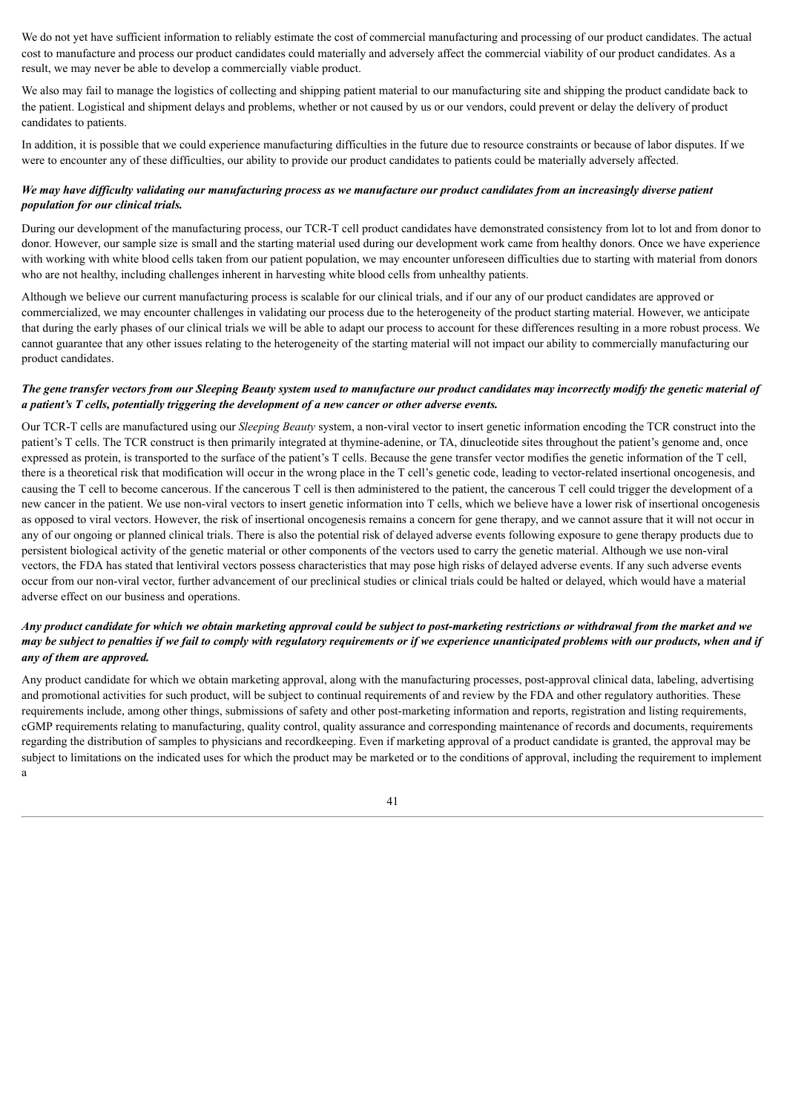We do not yet have sufficient information to reliably estimate the cost of commercial manufacturing and processing of our product candidates. The actual cost to manufacture and process our product candidates could materially and adversely affect the commercial viability of our product candidates. As a result, we may never be able to develop a commercially viable product.

We also may fail to manage the logistics of collecting and shipping patient material to our manufacturing site and shipping the product candidate back to the patient. Logistical and shipment delays and problems, whether or not caused by us or our vendors, could prevent or delay the delivery of product candidates to patients.

In addition, it is possible that we could experience manufacturing difficulties in the future due to resource constraints or because of labor disputes. If we were to encounter any of these difficulties, our ability to provide our product candidates to patients could be materially adversely affected.

# We may have difficulty validating our manufacturing process as we manufacture our product candidates from an increasingly diverse patient *population for our clinical trials.*

During our development of the manufacturing process, our TCR-T cell product candidates have demonstrated consistency from lot to lot and from donor to donor. However, our sample size is small and the starting material used during our development work came from healthy donors. Once we have experience with working with white blood cells taken from our patient population, we may encounter unforeseen difficulties due to starting with material from donors who are not healthy, including challenges inherent in harvesting white blood cells from unhealthy patients.

Although we believe our current manufacturing process is scalable for our clinical trials, and if our any of our product candidates are approved or commercialized, we may encounter challenges in validating our process due to the heterogeneity of the product starting material. However, we anticipate that during the early phases of our clinical trials we will be able to adapt our process to account for these differences resulting in a more robust process. We cannot guarantee that any other issues relating to the heterogeneity of the starting material will not impact our ability to commercially manufacturing our product candidates.

# The gene transfer vectors from our Sleeping Beauty system used to manufacture our product candidates may incorrectly modify the genetic material of *a patient's T cells, potentially triggering the development of a new cancer or other adverse events.*

Our TCR-T cells are manufactured using our *Sleeping Beauty* system, a non-viral vector to insert genetic information encoding the TCR construct into the patient's T cells. The TCR construct is then primarily integrated at thymine-adenine, or TA, dinucleotide sites throughout the patient's genome and, once expressed as protein, is transported to the surface of the patient's T cells. Because the gene transfer vector modifies the genetic information of the T cell, there is a theoretical risk that modification will occur in the wrong place in the T cell's genetic code, leading to vector-related insertional oncogenesis, and causing the T cell to become cancerous. If the cancerous T cell is then administered to the patient, the cancerous T cell could trigger the development of a new cancer in the patient. We use non-viral vectors to insert genetic information into T cells, which we believe have a lower risk of insertional oncogenesis as opposed to viral vectors. However, the risk of insertional oncogenesis remains a concern for gene therapy, and we cannot assure that it will not occur in any of our ongoing or planned clinical trials. There is also the potential risk of delayed adverse events following exposure to gene therapy products due to persistent biological activity of the genetic material or other components of the vectors used to carry the genetic material. Although we use non-viral vectors, the FDA has stated that lentiviral vectors possess characteristics that may pose high risks of delayed adverse events. If any such adverse events occur from our non-viral vector, further advancement of our preclinical studies or clinical trials could be halted or delayed, which would have a material adverse effect on our business and operations.

# Any product candidate for which we obtain marketing approval could be subject to post-marketing restrictions or withdrawal from the market and we may be subject to penalties if we fail to comply with regulatory requirements or if we experience unanticipated problems with our products, when and if *any of them are approved.*

Any product candidate for which we obtain marketing approval, along with the manufacturing processes, post-approval clinical data, labeling, advertising and promotional activities for such product, will be subject to continual requirements of and review by the FDA and other regulatory authorities. These requirements include, among other things, submissions of safety and other post-marketing information and reports, registration and listing requirements, cGMP requirements relating to manufacturing, quality control, quality assurance and corresponding maintenance of records and documents, requirements regarding the distribution of samples to physicians and recordkeeping. Even if marketing approval of a product candidate is granted, the approval may be subject to limitations on the indicated uses for which the product may be marketed or to the conditions of approval, including the requirement to implement a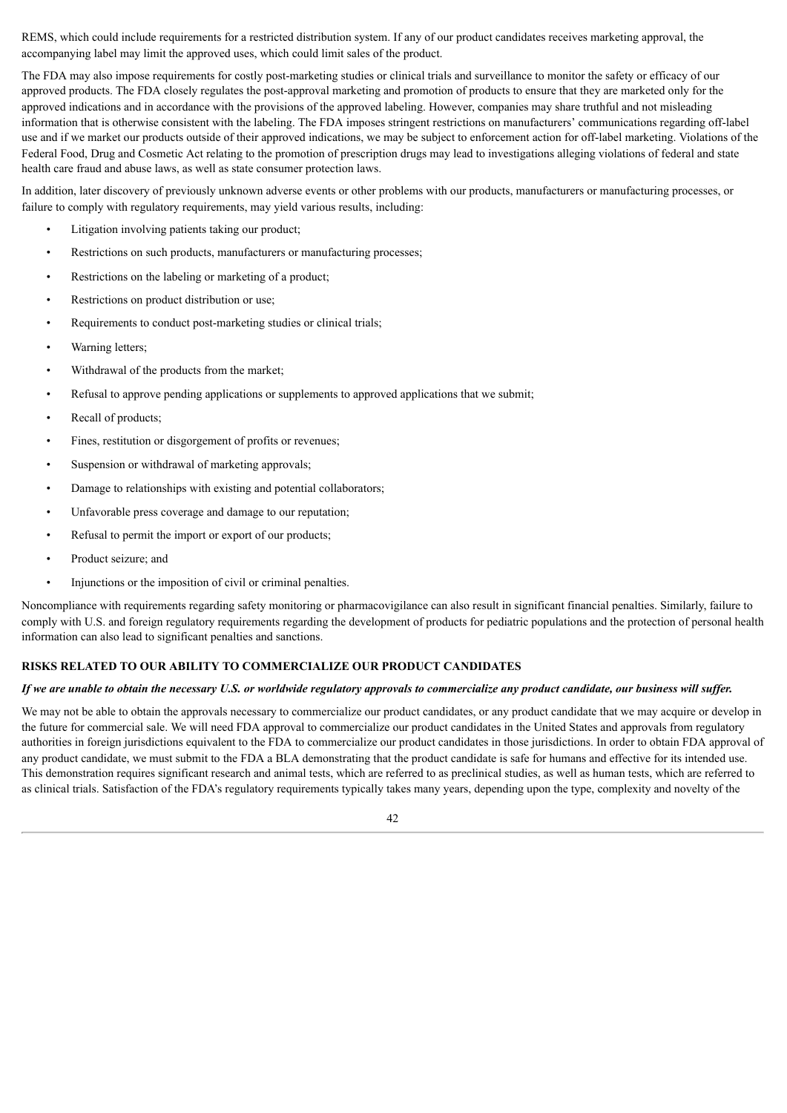REMS, which could include requirements for a restricted distribution system. If any of our product candidates receives marketing approval, the accompanying label may limit the approved uses, which could limit sales of the product.

The FDA may also impose requirements for costly post-marketing studies or clinical trials and surveillance to monitor the safety or efficacy of our approved products. The FDA closely regulates the post-approval marketing and promotion of products to ensure that they are marketed only for the approved indications and in accordance with the provisions of the approved labeling. However, companies may share truthful and not misleading information that is otherwise consistent with the labeling. The FDA imposes stringent restrictions on manufacturers' communications regarding off-label use and if we market our products outside of their approved indications, we may be subject to enforcement action for off-label marketing. Violations of the Federal Food, Drug and Cosmetic Act relating to the promotion of prescription drugs may lead to investigations alleging violations of federal and state health care fraud and abuse laws, as well as state consumer protection laws.

In addition, later discovery of previously unknown adverse events or other problems with our products, manufacturers or manufacturing processes, or failure to comply with regulatory requirements, may yield various results, including:

- Litigation involving patients taking our product:
- Restrictions on such products, manufacturers or manufacturing processes;
- Restrictions on the labeling or marketing of a product;
- Restrictions on product distribution or use:
- Requirements to conduct post-marketing studies or clinical trials;
- Warning letters;
- Withdrawal of the products from the market;
- Refusal to approve pending applications or supplements to approved applications that we submit;
- Recall of products;
- Fines, restitution or disgorgement of profits or revenues;
- Suspension or withdrawal of marketing approvals;
- Damage to relationships with existing and potential collaborators;
- Unfavorable press coverage and damage to our reputation;
- Refusal to permit the import or export of our products;
- Product seizure; and
- Injunctions or the imposition of civil or criminal penalties.

Noncompliance with requirements regarding safety monitoring or pharmacovigilance can also result in significant financial penalties. Similarly, failure to comply with U.S. and foreign regulatory requirements regarding the development of products for pediatric populations and the protection of personal health information can also lead to significant penalties and sanctions.

#### **RISKS RELATED TO OUR ABILITY TO COMMERCIALIZE OUR PRODUCT CANDIDATES**

#### If we are unable to obtain the necessary U.S. or worldwide regulatory approvals to commercialize any product candidate, our business will suffer.

We may not be able to obtain the approvals necessary to commercialize our product candidates, or any product candidate that we may acquire or develop in the future for commercial sale. We will need FDA approval to commercialize our product candidates in the United States and approvals from regulatory authorities in foreign jurisdictions equivalent to the FDA to commercialize our product candidates in those jurisdictions. In order to obtain FDA approval of any product candidate, we must submit to the FDA a BLA demonstrating that the product candidate is safe for humans and effective for its intended use. This demonstration requires significant research and animal tests, which are referred to as preclinical studies, as well as human tests, which are referred to as clinical trials. Satisfaction of the FDA's regulatory requirements typically takes many years, depending upon the type, complexity and novelty of the

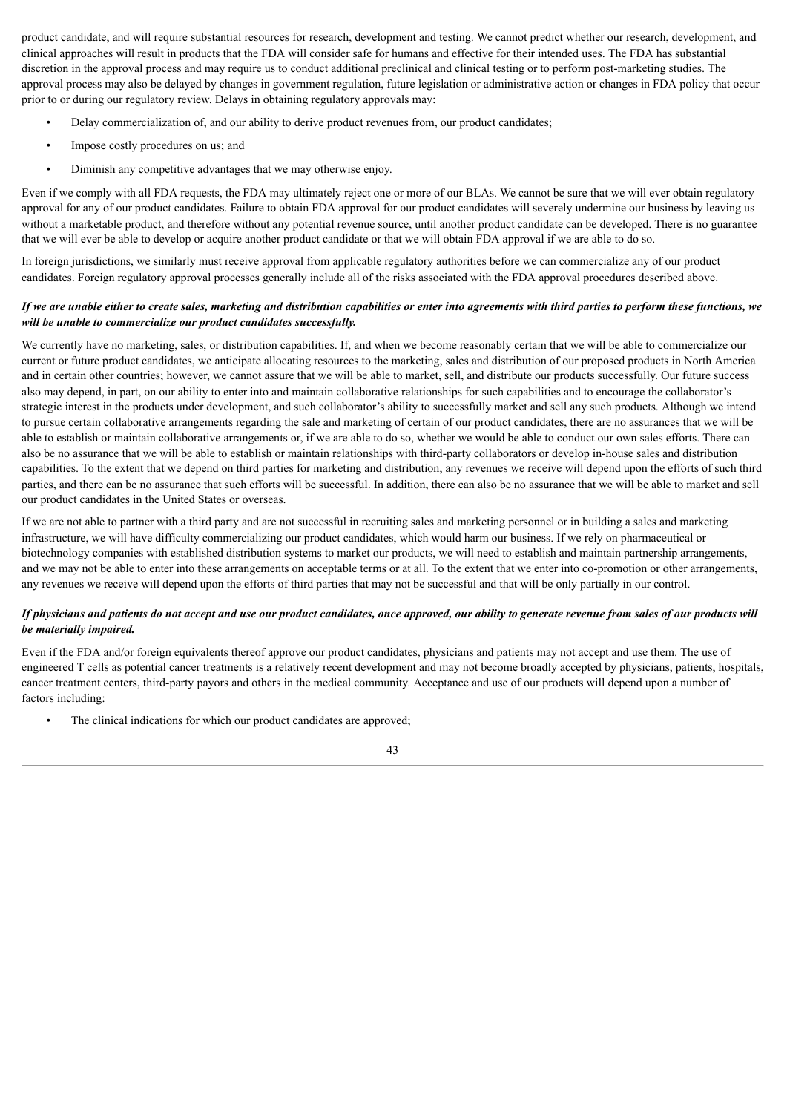product candidate, and will require substantial resources for research, development and testing. We cannot predict whether our research, development, and clinical approaches will result in products that the FDA will consider safe for humans and effective for their intended uses. The FDA has substantial discretion in the approval process and may require us to conduct additional preclinical and clinical testing or to perform post-marketing studies. The approval process may also be delayed by changes in government regulation, future legislation or administrative action or changes in FDA policy that occur prior to or during our regulatory review. Delays in obtaining regulatory approvals may:

- Delay commercialization of, and our ability to derive product revenues from, our product candidates;
- Impose costly procedures on us; and
- Diminish any competitive advantages that we may otherwise enjoy.

Even if we comply with all FDA requests, the FDA may ultimately reject one or more of our BLAs. We cannot be sure that we will ever obtain regulatory approval for any of our product candidates. Failure to obtain FDA approval for our product candidates will severely undermine our business by leaving us without a marketable product, and therefore without any potential revenue source, until another product candidate can be developed. There is no guarantee that we will ever be able to develop or acquire another product candidate or that we will obtain FDA approval if we are able to do so.

In foreign jurisdictions, we similarly must receive approval from applicable regulatory authorities before we can commercialize any of our product candidates. Foreign regulatory approval processes generally include all of the risks associated with the FDA approval procedures described above.

# If we are unable either to create sales, marketing and distribution capabilities or enter into agreements with third parties to perform these functions, we *will be unable to commercialize our product candidates successfully.*

We currently have no marketing, sales, or distribution capabilities. If, and when we become reasonably certain that we will be able to commercialize our current or future product candidates, we anticipate allocating resources to the marketing, sales and distribution of our proposed products in North America and in certain other countries; however, we cannot assure that we will be able to market, sell, and distribute our products successfully. Our future success also may depend, in part, on our ability to enter into and maintain collaborative relationships for such capabilities and to encourage the collaborator's strategic interest in the products under development, and such collaborator's ability to successfully market and sell any such products. Although we intend to pursue certain collaborative arrangements regarding the sale and marketing of certain of our product candidates, there are no assurances that we will be able to establish or maintain collaborative arrangements or, if we are able to do so, whether we would be able to conduct our own sales efforts. There can also be no assurance that we will be able to establish or maintain relationships with third-party collaborators or develop in-house sales and distribution capabilities. To the extent that we depend on third parties for marketing and distribution, any revenues we receive will depend upon the efforts of such third parties, and there can be no assurance that such efforts will be successful. In addition, there can also be no assurance that we will be able to market and sell our product candidates in the United States or overseas.

If we are not able to partner with a third party and are not successful in recruiting sales and marketing personnel or in building a sales and marketing infrastructure, we will have difficulty commercializing our product candidates, which would harm our business. If we rely on pharmaceutical or biotechnology companies with established distribution systems to market our products, we will need to establish and maintain partnership arrangements, and we may not be able to enter into these arrangements on acceptable terms or at all. To the extent that we enter into co-promotion or other arrangements, any revenues we receive will depend upon the efforts of third parties that may not be successful and that will be only partially in our control.

# If physicians and patients do not accept and use our product candidates, once approved, our ability to generate revenue from sales of our products will *be materially impaired.*

Even if the FDA and/or foreign equivalents thereof approve our product candidates, physicians and patients may not accept and use them. The use of engineered T cells as potential cancer treatments is a relatively recent development and may not become broadly accepted by physicians, patients, hospitals, cancer treatment centers, third-party payors and others in the medical community. Acceptance and use of our products will depend upon a number of factors including:

The clinical indications for which our product candidates are approved: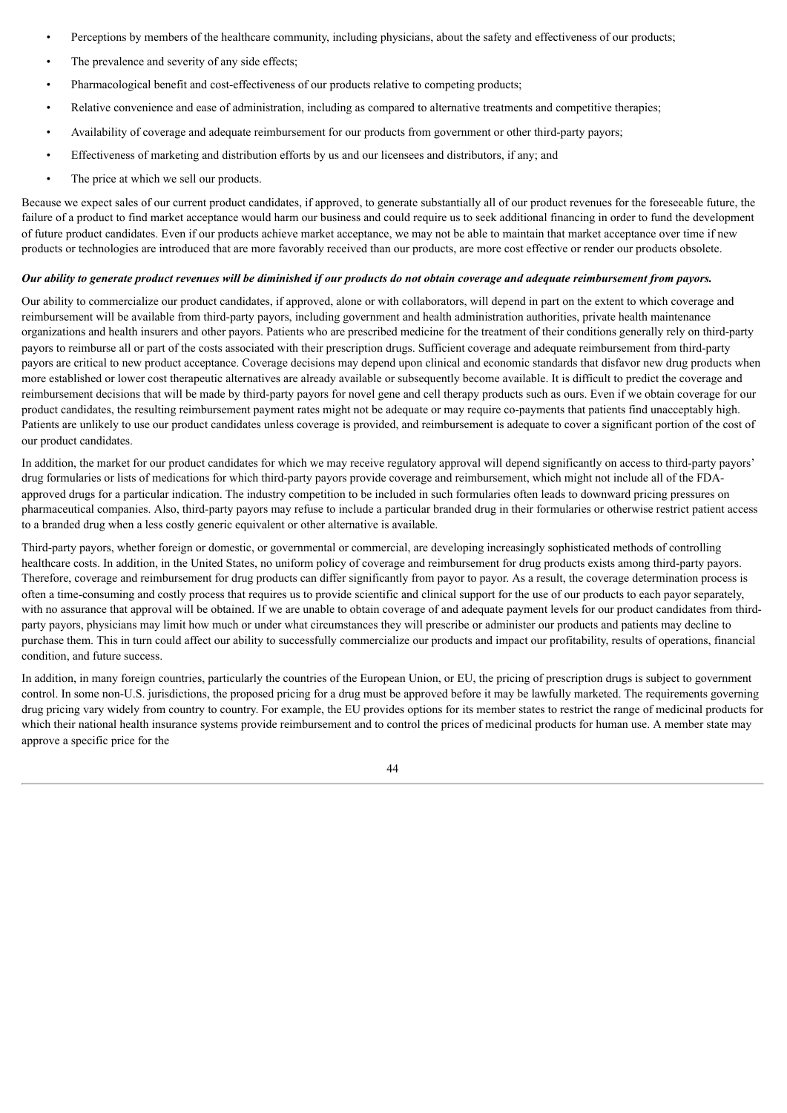- Perceptions by members of the healthcare community, including physicians, about the safety and effectiveness of our products;
- The prevalence and severity of any side effects;
- Pharmacological benefit and cost-effectiveness of our products relative to competing products;
- Relative convenience and ease of administration, including as compared to alternative treatments and competitive therapies;
- Availability of coverage and adequate reimbursement for our products from government or other third-party payors;
- Effectiveness of marketing and distribution efforts by us and our licensees and distributors, if any; and
- The price at which we sell our products.

Because we expect sales of our current product candidates, if approved, to generate substantially all of our product revenues for the foreseeable future, the failure of a product to find market acceptance would harm our business and could require us to seek additional financing in order to fund the development of future product candidates. Even if our products achieve market acceptance, we may not be able to maintain that market acceptance over time if new products or technologies are introduced that are more favorably received than our products, are more cost effective or render our products obsolete.

#### Our ability to generate product revenues will be diminished if our products do not obtain coverage and adequate reimbursement from payors.

Our ability to commercialize our product candidates, if approved, alone or with collaborators, will depend in part on the extent to which coverage and reimbursement will be available from third-party payors, including government and health administration authorities, private health maintenance organizations and health insurers and other payors. Patients who are prescribed medicine for the treatment of their conditions generally rely on third-party payors to reimburse all or part of the costs associated with their prescription drugs. Sufficient coverage and adequate reimbursement from third-party payors are critical to new product acceptance. Coverage decisions may depend upon clinical and economic standards that disfavor new drug products when more established or lower cost therapeutic alternatives are already available or subsequently become available. It is difficult to predict the coverage and reimbursement decisions that will be made by third-party payors for novel gene and cell therapy products such as ours. Even if we obtain coverage for our product candidates, the resulting reimbursement payment rates might not be adequate or may require co-payments that patients find unacceptably high. Patients are unlikely to use our product candidates unless coverage is provided, and reimbursement is adequate to cover a significant portion of the cost of our product candidates.

In addition, the market for our product candidates for which we may receive regulatory approval will depend significantly on access to third-party payors' drug formularies or lists of medications for which third-party payors provide coverage and reimbursement, which might not include all of the FDAapproved drugs for a particular indication. The industry competition to be included in such formularies often leads to downward pricing pressures on pharmaceutical companies. Also, third-party payors may refuse to include a particular branded drug in their formularies or otherwise restrict patient access to a branded drug when a less costly generic equivalent or other alternative is available.

Third-party payors, whether foreign or domestic, or governmental or commercial, are developing increasingly sophisticated methods of controlling healthcare costs. In addition, in the United States, no uniform policy of coverage and reimbursement for drug products exists among third-party payors. Therefore, coverage and reimbursement for drug products can differ significantly from payor to payor. As a result, the coverage determination process is often a time-consuming and costly process that requires us to provide scientific and clinical support for the use of our products to each payor separately, with no assurance that approval will be obtained. If we are unable to obtain coverage of and adequate payment levels for our product candidates from thirdparty payors, physicians may limit how much or under what circumstances they will prescribe or administer our products and patients may decline to purchase them. This in turn could affect our ability to successfully commercialize our products and impact our profitability, results of operations, financial condition, and future success.

In addition, in many foreign countries, particularly the countries of the European Union, or EU, the pricing of prescription drugs is subject to government control. In some non-U.S. jurisdictions, the proposed pricing for a drug must be approved before it may be lawfully marketed. The requirements governing drug pricing vary widely from country to country. For example, the EU provides options for its member states to restrict the range of medicinal products for which their national health insurance systems provide reimbursement and to control the prices of medicinal products for human use. A member state may approve a specific price for the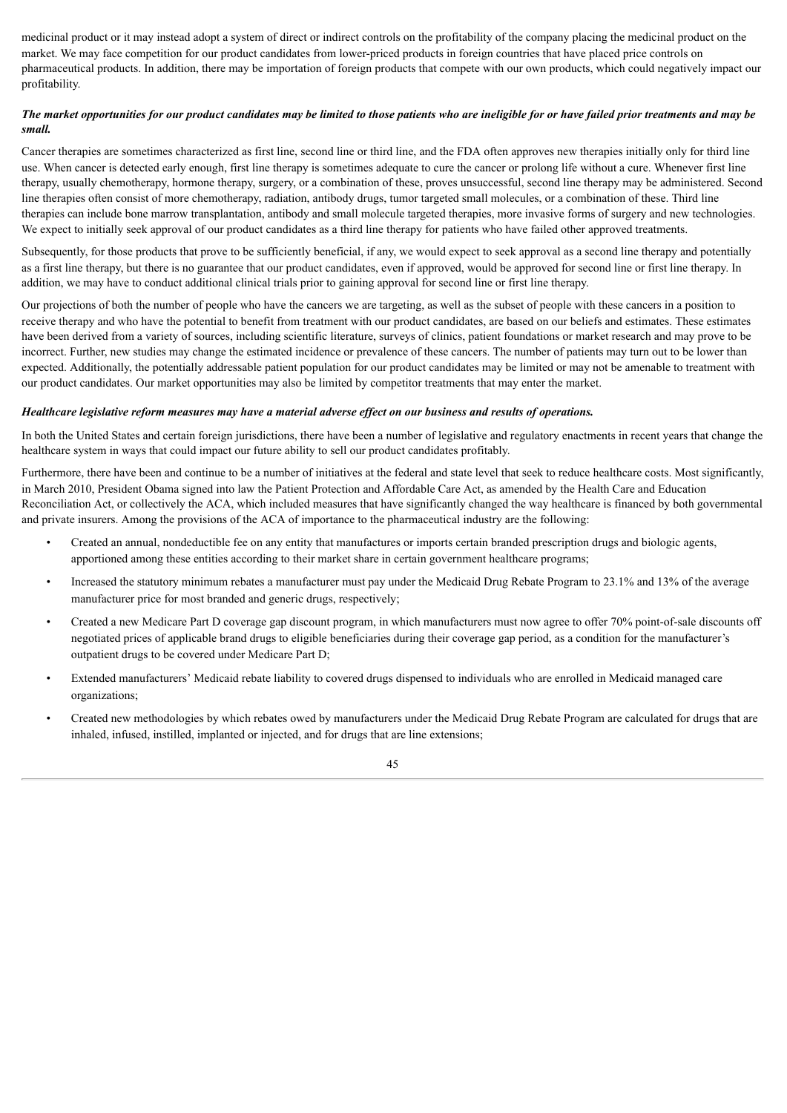medicinal product or it may instead adopt a system of direct or indirect controls on the profitability of the company placing the medicinal product on the market. We may face competition for our product candidates from lower-priced products in foreign countries that have placed price controls on pharmaceutical products. In addition, there may be importation of foreign products that compete with our own products, which could negatively impact our profitability.

# The market opportunities for our product candidates may be limited to those patients who are ineligible for or have failed prior treatments and may be *small.*

Cancer therapies are sometimes characterized as first line, second line or third line, and the FDA often approves new therapies initially only for third line use. When cancer is detected early enough, first line therapy is sometimes adequate to cure the cancer or prolong life without a cure. Whenever first line therapy, usually chemotherapy, hormone therapy, surgery, or a combination of these, proves unsuccessful, second line therapy may be administered. Second line therapies often consist of more chemotherapy, radiation, antibody drugs, tumor targeted small molecules, or a combination of these. Third line therapies can include bone marrow transplantation, antibody and small molecule targeted therapies, more invasive forms of surgery and new technologies. We expect to initially seek approval of our product candidates as a third line therapy for patients who have failed other approved treatments.

Subsequently, for those products that prove to be sufficiently beneficial, if any, we would expect to seek approval as a second line therapy and potentially as a first line therapy, but there is no guarantee that our product candidates, even if approved, would be approved for second line or first line therapy. In addition, we may have to conduct additional clinical trials prior to gaining approval for second line or first line therapy.

Our projections of both the number of people who have the cancers we are targeting, as well as the subset of people with these cancers in a position to receive therapy and who have the potential to benefit from treatment with our product candidates, are based on our beliefs and estimates. These estimates have been derived from a variety of sources, including scientific literature, surveys of clinics, patient foundations or market research and may prove to be incorrect. Further, new studies may change the estimated incidence or prevalence of these cancers. The number of patients may turn out to be lower than expected. Additionally, the potentially addressable patient population for our product candidates may be limited or may not be amenable to treatment with our product candidates. Our market opportunities may also be limited by competitor treatments that may enter the market.

# Healthcare legislative reform measures may have a material adverse effect on our business and results of operations.

In both the United States and certain foreign jurisdictions, there have been a number of legislative and regulatory enactments in recent years that change the healthcare system in ways that could impact our future ability to sell our product candidates profitably.

Furthermore, there have been and continue to be a number of initiatives at the federal and state level that seek to reduce healthcare costs. Most significantly, in March 2010, President Obama signed into law the Patient Protection and Affordable Care Act, as amended by the Health Care and Education Reconciliation Act, or collectively the ACA, which included measures that have significantly changed the way healthcare is financed by both governmental and private insurers. Among the provisions of the ACA of importance to the pharmaceutical industry are the following:

- Created an annual, nondeductible fee on any entity that manufactures or imports certain branded prescription drugs and biologic agents, apportioned among these entities according to their market share in certain government healthcare programs;
- Increased the statutory minimum rebates a manufacturer must pay under the Medicaid Drug Rebate Program to 23.1% and 13% of the average manufacturer price for most branded and generic drugs, respectively;
- Created a new Medicare Part D coverage gap discount program, in which manufacturers must now agree to offer 70% point-of-sale discounts off negotiated prices of applicable brand drugs to eligible beneficiaries during their coverage gap period, as a condition for the manufacturer's outpatient drugs to be covered under Medicare Part D;
- Extended manufacturers' Medicaid rebate liability to covered drugs dispensed to individuals who are enrolled in Medicaid managed care organizations;
- Created new methodologies by which rebates owed by manufacturers under the Medicaid Drug Rebate Program are calculated for drugs that are inhaled, infused, instilled, implanted or injected, and for drugs that are line extensions;

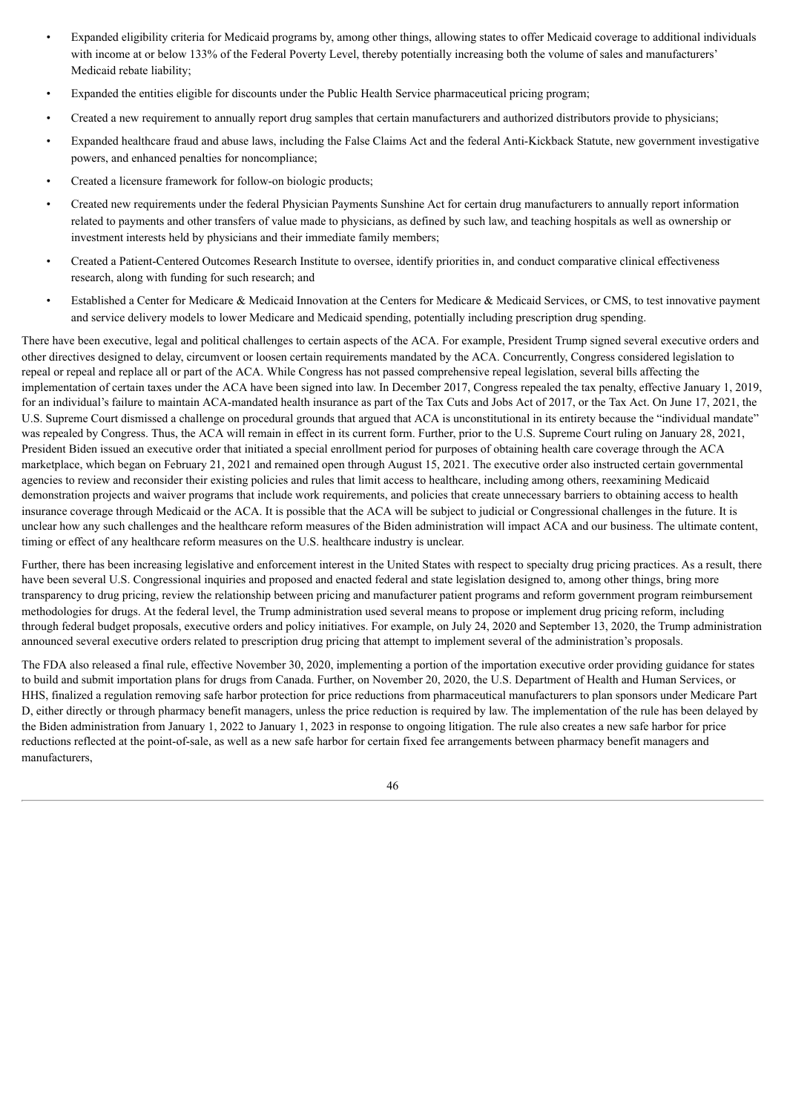- Expanded eligibility criteria for Medicaid programs by, among other things, allowing states to offer Medicaid coverage to additional individuals with income at or below 133% of the Federal Poverty Level, thereby potentially increasing both the volume of sales and manufacturers' Medicaid rebate liability;
- Expanded the entities eligible for discounts under the Public Health Service pharmaceutical pricing program;
- Created a new requirement to annually report drug samples that certain manufacturers and authorized distributors provide to physicians;
- Expanded healthcare fraud and abuse laws, including the False Claims Act and the federal Anti-Kickback Statute, new government investigative powers, and enhanced penalties for noncompliance;
- Created a licensure framework for follow-on biologic products;
- Created new requirements under the federal Physician Payments Sunshine Act for certain drug manufacturers to annually report information related to payments and other transfers of value made to physicians, as defined by such law, and teaching hospitals as well as ownership or investment interests held by physicians and their immediate family members;
- Created a Patient-Centered Outcomes Research Institute to oversee, identify priorities in, and conduct comparative clinical effectiveness research, along with funding for such research; and
- Established a Center for Medicare & Medicaid Innovation at the Centers for Medicare & Medicaid Services, or CMS, to test innovative payment and service delivery models to lower Medicare and Medicaid spending, potentially including prescription drug spending.

There have been executive, legal and political challenges to certain aspects of the ACA. For example, President Trump signed several executive orders and other directives designed to delay, circumvent or loosen certain requirements mandated by the ACA. Concurrently, Congress considered legislation to repeal or repeal and replace all or part of the ACA. While Congress has not passed comprehensive repeal legislation, several bills affecting the implementation of certain taxes under the ACA have been signed into law. In December 2017, Congress repealed the tax penalty, effective January 1, 2019, for an individual's failure to maintain ACA-mandated health insurance as part of the Tax Cuts and Jobs Act of 2017, or the Tax Act. On June 17, 2021, the U.S. Supreme Court dismissed a challenge on procedural grounds that argued that ACA is unconstitutional in its entirety because the "individual mandate" was repealed by Congress. Thus, the ACA will remain in effect in its current form. Further, prior to the U.S. Supreme Court ruling on January 28, 2021, President Biden issued an executive order that initiated a special enrollment period for purposes of obtaining health care coverage through the ACA marketplace, which began on February 21, 2021 and remained open through August 15, 2021. The executive order also instructed certain governmental agencies to review and reconsider their existing policies and rules that limit access to healthcare, including among others, reexamining Medicaid demonstration projects and waiver programs that include work requirements, and policies that create unnecessary barriers to obtaining access to health insurance coverage through Medicaid or the ACA. It is possible that the ACA will be subject to judicial or Congressional challenges in the future. It is unclear how any such challenges and the healthcare reform measures of the Biden administration will impact ACA and our business. The ultimate content, timing or effect of any healthcare reform measures on the U.S. healthcare industry is unclear.

Further, there has been increasing legislative and enforcement interest in the United States with respect to specialty drug pricing practices. As a result, there have been several U.S. Congressional inquiries and proposed and enacted federal and state legislation designed to, among other things, bring more transparency to drug pricing, review the relationship between pricing and manufacturer patient programs and reform government program reimbursement methodologies for drugs. At the federal level, the Trump administration used several means to propose or implement drug pricing reform, including through federal budget proposals, executive orders and policy initiatives. For example, on July 24, 2020 and September 13, 2020, the Trump administration announced several executive orders related to prescription drug pricing that attempt to implement several of the administration's proposals.

The FDA also released a final rule, effective November 30, 2020, implementing a portion of the importation executive order providing guidance for states to build and submit importation plans for drugs from Canada. Further, on November 20, 2020, the U.S. Department of Health and Human Services, or HHS, finalized a regulation removing safe harbor protection for price reductions from pharmaceutical manufacturers to plan sponsors under Medicare Part D, either directly or through pharmacy benefit managers, unless the price reduction is required by law. The implementation of the rule has been delayed by the Biden administration from January 1, 2022 to January 1, 2023 in response to ongoing litigation. The rule also creates a new safe harbor for price reductions reflected at the point-of-sale, as well as a new safe harbor for certain fixed fee arrangements between pharmacy benefit managers and manufacturers,

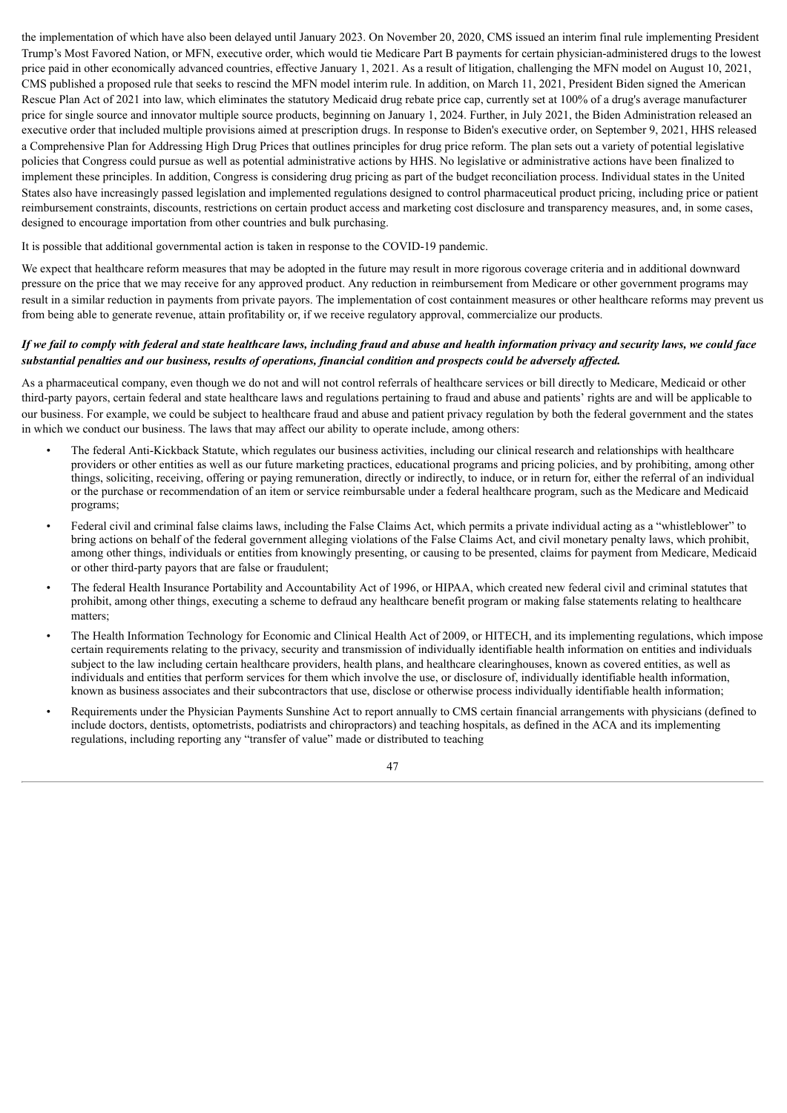the implementation of which have also been delayed until January 2023. On November 20, 2020, CMS issued an interim final rule implementing President Trump's Most Favored Nation, or MFN, executive order, which would tie Medicare Part B payments for certain physician-administered drugs to the lowest price paid in other economically advanced countries, effective January 1, 2021. As a result of litigation, challenging the MFN model on August 10, 2021, CMS published a proposed rule that seeks to rescind the MFN model interim rule. In addition, on March 11, 2021, President Biden signed the American Rescue Plan Act of 2021 into law, which eliminates the statutory Medicaid drug rebate price cap, currently set at 100% of a drug's average manufacturer price for single source and innovator multiple source products, beginning on January 1, 2024. Further, in July 2021, the Biden Administration released an executive order that included multiple provisions aimed at prescription drugs. In response to Biden's executive order, on September 9, 2021, HHS released a Comprehensive Plan for Addressing High Drug Prices that outlines principles for drug price reform. The plan sets out a variety of potential legislative policies that Congress could pursue as well as potential administrative actions by HHS. No legislative or administrative actions have been finalized to implement these principles. In addition, Congress is considering drug pricing as part of the budget reconciliation process. Individual states in the United States also have increasingly passed legislation and implemented regulations designed to control pharmaceutical product pricing, including price or patient reimbursement constraints, discounts, restrictions on certain product access and marketing cost disclosure and transparency measures, and, in some cases, designed to encourage importation from other countries and bulk purchasing.

It is possible that additional governmental action is taken in response to the COVID-19 pandemic.

We expect that healthcare reform measures that may be adopted in the future may result in more rigorous coverage criteria and in additional downward pressure on the price that we may receive for any approved product. Any reduction in reimbursement from Medicare or other government programs may result in a similar reduction in payments from private payors. The implementation of cost containment measures or other healthcare reforms may prevent us from being able to generate revenue, attain profitability or, if we receive regulatory approval, commercialize our products.

# If we fail to comply with federal and state healthcare laws, including fraud and abuse and health information privacy and security laws, we could face substantial penalties and our business, results of operations, financial condition and prospects could be adversely affected.

As a pharmaceutical company, even though we do not and will not control referrals of healthcare services or bill directly to Medicare, Medicaid or other third-party payors, certain federal and state healthcare laws and regulations pertaining to fraud and abuse and patients' rights are and will be applicable to our business. For example, we could be subject to healthcare fraud and abuse and patient privacy regulation by both the federal government and the states in which we conduct our business. The laws that may affect our ability to operate include, among others:

- The federal Anti-Kickback Statute, which regulates our business activities, including our clinical research and relationships with healthcare providers or other entities as well as our future marketing practices, educational programs and pricing policies, and by prohibiting, among other things, soliciting, receiving, offering or paying remuneration, directly or indirectly, to induce, or in return for, either the referral of an individual or the purchase or recommendation of an item or service reimbursable under a federal healthcare program, such as the Medicare and Medicaid programs;
- Federal civil and criminal false claims laws, including the False Claims Act, which permits a private individual acting as a "whistleblower" to bring actions on behalf of the federal government alleging violations of the False Claims Act, and civil monetary penalty laws, which prohibit, among other things, individuals or entities from knowingly presenting, or causing to be presented, claims for payment from Medicare, Medicaid or other third-party payors that are false or fraudulent;
- The federal Health Insurance Portability and Accountability Act of 1996, or HIPAA, which created new federal civil and criminal statutes that prohibit, among other things, executing a scheme to defraud any healthcare benefit program or making false statements relating to healthcare matters;
- The Health Information Technology for Economic and Clinical Health Act of 2009, or HITECH, and its implementing regulations, which impose certain requirements relating to the privacy, security and transmission of individually identifiable health information on entities and individuals subject to the law including certain healthcare providers, health plans, and healthcare clearinghouses, known as covered entities, as well as individuals and entities that perform services for them which involve the use, or disclosure of, individually identifiable health information, known as business associates and their subcontractors that use, disclose or otherwise process individually identifiable health information;
- Requirements under the Physician Payments Sunshine Act to report annually to CMS certain financial arrangements with physicians (defined to include doctors, dentists, optometrists, podiatrists and chiropractors) and teaching hospitals, as defined in the ACA and its implementing regulations, including reporting any "transfer of value" made or distributed to teaching

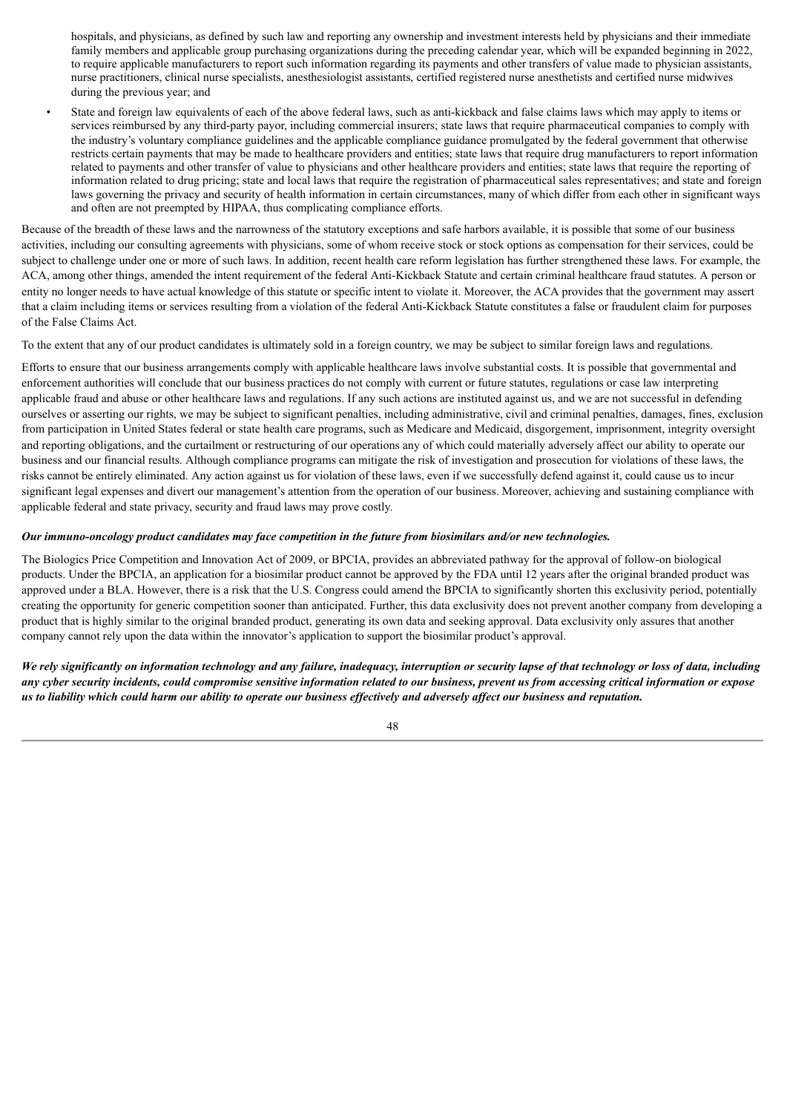hospitals, and physicians, as defined by such law and reporting any ownership and investment interests held by physicians and their immediate family members and applicable group purchasing organizations during the preceding calendar year, which will be expanded beginning in 2022, to require applicable manufacturers to report such information regarding its payments and other transfers of value made to physician assistants, nurse practitioners, clinical nurse specialists, anesthesiologist assistants, certified registered nurse anesthetists and certified nurse midwives during the previous year; and

State and foreign law equivalents of each of the above federal laws, such as anti-kickback and false claims laws which may apply to items or services reimbursed by any third-party payor, including commercial insurers; state laws that require pharmaceutical companies to comply with the industry's voluntary compliance guidelines and the applicable compliance guidance promulgated by the federal government that otherwise restricts certain payments that may be made to healthcare providers and entities; state laws that require drug manufacturers to report information related to payments and other transfer of value to physicians and other healthcare providers and entities; state laws that require the reporting of information related to drug pricing; state and local laws that require the registration of pharmaceutical sales representatives; and state and foreign laws governing the privacy and security of health information in certain circumstances, many of which differ from each other in significant ways and often are not preempted by HIPAA, thus complicating compliance efforts.

Because of the breadth of these laws and the narrowness of the statutory exceptions and safe harbors available, it is possible that some of our business activities, including our consulting agreements with physicians, some of whom receive stock or stock options as compensation for their services, could be subject to challenge under one or more of such laws. In addition, recent health care reform legislation has further strengthened these laws. For example, the ACA, among other things, amended the intent requirement of the federal Anti-Kickback Statute and certain criminal healthcare fraud statutes. A person or entity no longer needs to have actual knowledge of this statute or specific intent to violate it. Moreover, the ACA provides that the government may assert that a claim including items or services resulting from a violation of the federal Anti-Kickback Statute constitutes a false or fraudulent claim for purposes of the False Claims Act.

To the extent that any of our product candidates is ultimately sold in a foreign country, we may be subject to similar foreign laws and regulations.

Efforts to ensure that our business arrangements comply with applicable healthcare laws involve substantial costs. It is possible that governmental and enforcement authorities will conclude that our business practices do not comply with current or future statutes, regulations or case law interpreting applicable fraud and abuse or other healthcare laws and regulations. If any such actions are instituted against us, and we are not successful in defending ourselves or asserting our rights, we may be subject to significant penalties, including administrative, civil and criminal penalties, damages, fines, exclusion from participation in United States federal or state health care programs, such as Medicare and Medicaid, disgorgement, imprisonment, integrity oversight and reporting obligations, and the curtailment or restructuring of our operations any of which could materially adversely affect our ability to operate our business and our financial results. Although compliance programs can mitigate the risk of investigation and prosecution for violations of these laws, the risks cannot be entirely eliminated. Any action against us for violation of these laws, even if we successfully defend against it, could cause us to incur significant legal expenses and divert our management's attention from the operation of our business. Moreover, achieving and sustaining compliance with applicable federal and state privacy, security and fraud laws may prove costly.

#### *Our immuno-oncology product candidates may face competition in the future from biosimilars and/or new technologies.*

The Biologics Price Competition and Innovation Act of 2009, or BPCIA, provides an abbreviated pathway for the approval of follow-on biological products. Under the BPCIA, an application for a biosimilar product cannot be approved by the FDA until 12 years after the original branded product was approved under a BLA. However, there is a risk that the U.S. Congress could amend the BPCIA to significantly shorten this exclusivity period, potentially creating the opportunity for generic competition sooner than anticipated. Further, this data exclusivity does not prevent another company from developing a product that is highly similar to the original branded product, generating its own data and seeking approval. Data exclusivity only assures that another company cannot rely upon the data within the innovator's application to support the biosimilar product's approval.

We rely significantly on information technology and any failure, inadequacy, interruption or security lapse of that technology or loss of data, including any cyber security incidents, could compromise sensitive information related to our business, prevent us from accessing critical information or expose us to liability which could harm our ability to operate our business effectively and adversely affect our business and reputation.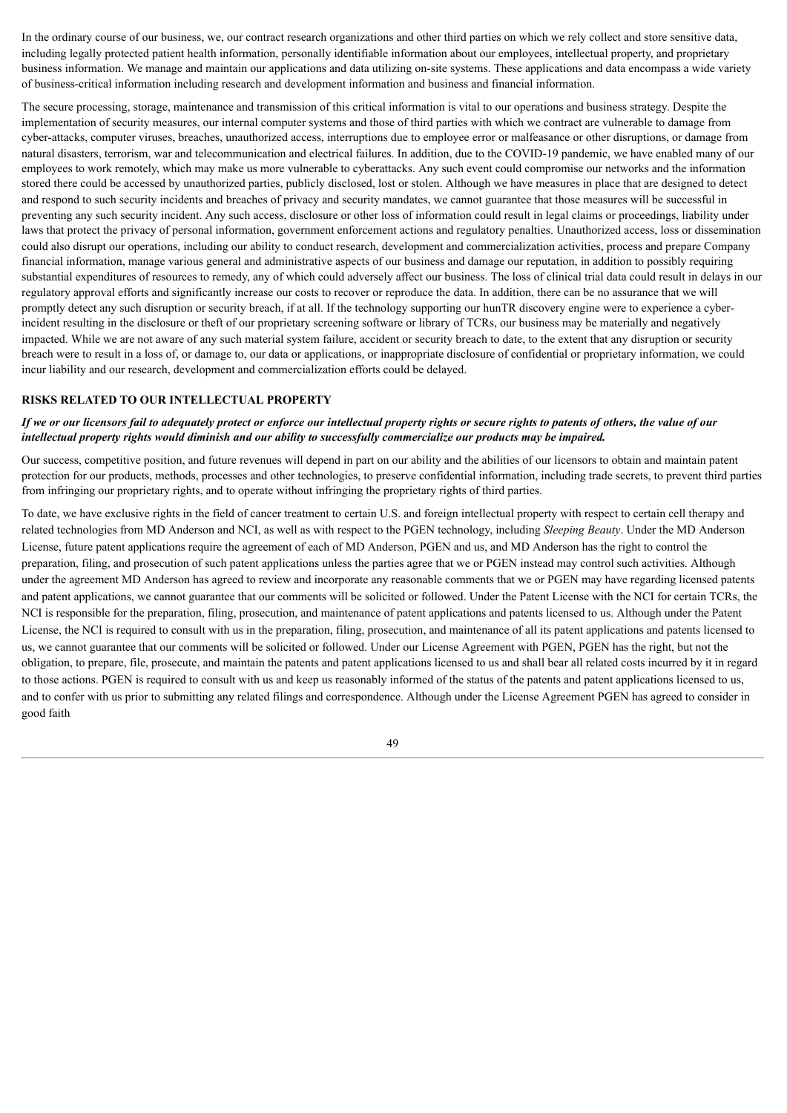In the ordinary course of our business, we, our contract research organizations and other third parties on which we rely collect and store sensitive data, including legally protected patient health information, personally identifiable information about our employees, intellectual property, and proprietary business information. We manage and maintain our applications and data utilizing on-site systems. These applications and data encompass a wide variety of business-critical information including research and development information and business and financial information.

The secure processing, storage, maintenance and transmission of this critical information is vital to our operations and business strategy. Despite the implementation of security measures, our internal computer systems and those of third parties with which we contract are vulnerable to damage from cyber-attacks, computer viruses, breaches, unauthorized access, interruptions due to employee error or malfeasance or other disruptions, or damage from natural disasters, terrorism, war and telecommunication and electrical failures. In addition, due to the COVID-19 pandemic, we have enabled many of our employees to work remotely, which may make us more vulnerable to cyberattacks. Any such event could compromise our networks and the information stored there could be accessed by unauthorized parties, publicly disclosed, lost or stolen. Although we have measures in place that are designed to detect and respond to such security incidents and breaches of privacy and security mandates, we cannot guarantee that those measures will be successful in preventing any such security incident. Any such access, disclosure or other loss of information could result in legal claims or proceedings, liability under laws that protect the privacy of personal information, government enforcement actions and regulatory penalties. Unauthorized access, loss or dissemination could also disrupt our operations, including our ability to conduct research, development and commercialization activities, process and prepare Company financial information, manage various general and administrative aspects of our business and damage our reputation, in addition to possibly requiring substantial expenditures of resources to remedy, any of which could adversely affect our business. The loss of clinical trial data could result in delays in our regulatory approval efforts and significantly increase our costs to recover or reproduce the data. In addition, there can be no assurance that we will promptly detect any such disruption or security breach, if at all. If the technology supporting our hunTR discovery engine were to experience a cyberincident resulting in the disclosure or theft of our proprietary screening software or library of TCRs, our business may be materially and negatively impacted. While we are not aware of any such material system failure, accident or security breach to date, to the extent that any disruption or security breach were to result in a loss of, or damage to, our data or applications, or inappropriate disclosure of confidential or proprietary information, we could incur liability and our research, development and commercialization efforts could be delayed.

#### **RISKS RELATED TO OUR INTELLECTUAL PROPERTY**

### If we or our licensors fail to adequately protect or enforce our intellectual property rights or secure rights to patents of others, the value of our intellectual property rights would diminish and our ability to successfully commercialize our products may be impaired.

Our success, competitive position, and future revenues will depend in part on our ability and the abilities of our licensors to obtain and maintain patent protection for our products, methods, processes and other technologies, to preserve confidential information, including trade secrets, to prevent third parties from infringing our proprietary rights, and to operate without infringing the proprietary rights of third parties.

To date, we have exclusive rights in the field of cancer treatment to certain U.S. and foreign intellectual property with respect to certain cell therapy and related technologies from MD Anderson and NCI, as well as with respect to the PGEN technology, including *Sleeping Beauty*. Under the MD Anderson License, future patent applications require the agreement of each of MD Anderson, PGEN and us, and MD Anderson has the right to control the preparation, filing, and prosecution of such patent applications unless the parties agree that we or PGEN instead may control such activities. Although under the agreement MD Anderson has agreed to review and incorporate any reasonable comments that we or PGEN may have regarding licensed patents and patent applications, we cannot guarantee that our comments will be solicited or followed. Under the Patent License with the NCI for certain TCRs, the NCI is responsible for the preparation, filing, prosecution, and maintenance of patent applications and patents licensed to us. Although under the Patent License, the NCI is required to consult with us in the preparation, filing, prosecution, and maintenance of all its patent applications and patents licensed to us, we cannot guarantee that our comments will be solicited or followed. Under our License Agreement with PGEN, PGEN has the right, but not the obligation, to prepare, file, prosecute, and maintain the patents and patent applications licensed to us and shall bear all related costs incurred by it in regard to those actions. PGEN is required to consult with us and keep us reasonably informed of the status of the patents and patent applications licensed to us, and to confer with us prior to submitting any related filings and correspondence. Although under the License Agreement PGEN has agreed to consider in good faith

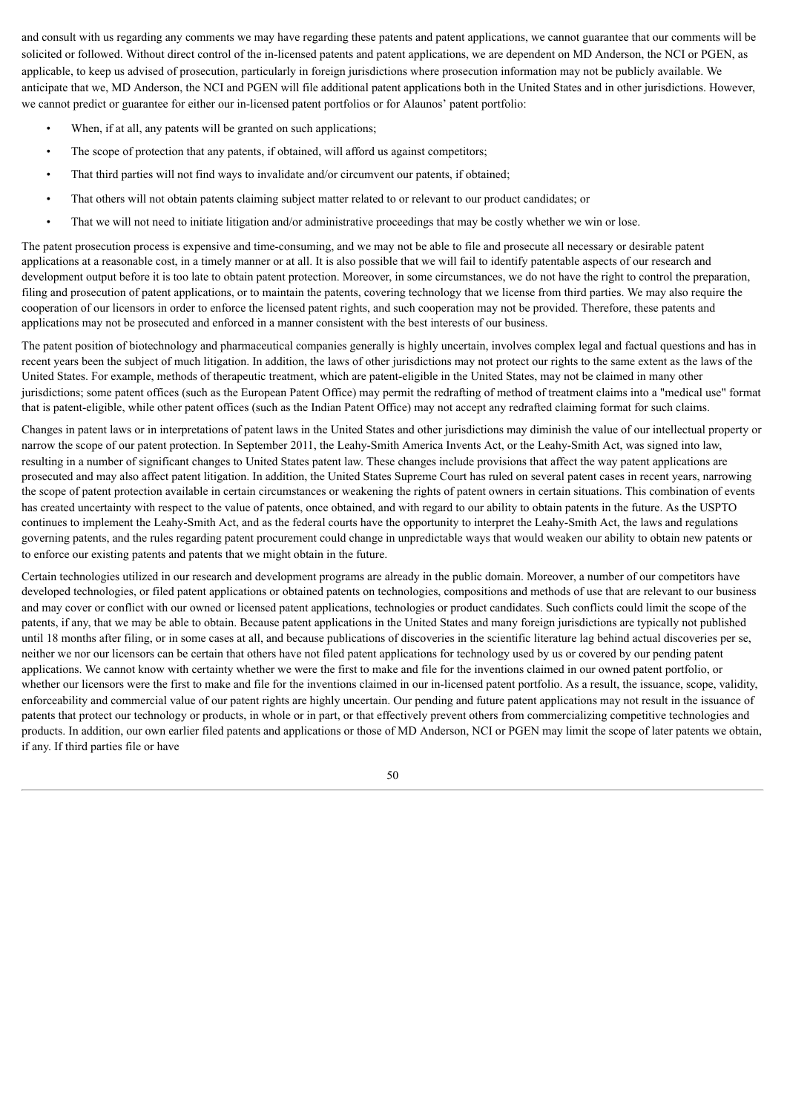and consult with us regarding any comments we may have regarding these patents and patent applications, we cannot guarantee that our comments will be solicited or followed. Without direct control of the in-licensed patents and patent applications, we are dependent on MD Anderson, the NCI or PGEN, as applicable, to keep us advised of prosecution, particularly in foreign jurisdictions where prosecution information may not be publicly available. We anticipate that we, MD Anderson, the NCI and PGEN will file additional patent applications both in the United States and in other jurisdictions. However, we cannot predict or guarantee for either our in-licensed patent portfolios or for Alaunos' patent portfolio:

- When, if at all, any patents will be granted on such applications;
- The scope of protection that any patents, if obtained, will afford us against competitors;
- That third parties will not find ways to invalidate and/or circumvent our patents, if obtained;
- That others will not obtain patents claiming subject matter related to or relevant to our product candidates; or
- That we will not need to initiate litigation and/or administrative proceedings that may be costly whether we win or lose.

The patent prosecution process is expensive and time-consuming, and we may not be able to file and prosecute all necessary or desirable patent applications at a reasonable cost, in a timely manner or at all. It is also possible that we will fail to identify patentable aspects of our research and development output before it is too late to obtain patent protection. Moreover, in some circumstances, we do not have the right to control the preparation, filing and prosecution of patent applications, or to maintain the patents, covering technology that we license from third parties. We may also require the cooperation of our licensors in order to enforce the licensed patent rights, and such cooperation may not be provided. Therefore, these patents and applications may not be prosecuted and enforced in a manner consistent with the best interests of our business.

The patent position of biotechnology and pharmaceutical companies generally is highly uncertain, involves complex legal and factual questions and has in recent years been the subject of much litigation. In addition, the laws of other jurisdictions may not protect our rights to the same extent as the laws of the United States. For example, methods of therapeutic treatment, which are patent-eligible in the United States, may not be claimed in many other jurisdictions; some patent offices (such as the European Patent Office) may permit the redrafting of method of treatment claims into a "medical use" format that is patent-eligible, while other patent offices (such as the Indian Patent Office) may not accept any redrafted claiming format for such claims.

Changes in patent laws or in interpretations of patent laws in the United States and other jurisdictions may diminish the value of our intellectual property or narrow the scope of our patent protection. In September 2011, the Leahy-Smith America Invents Act, or the Leahy-Smith Act, was signed into law, resulting in a number of significant changes to United States patent law. These changes include provisions that affect the way patent applications are prosecuted and may also affect patent litigation. In addition, the United States Supreme Court has ruled on several patent cases in recent years, narrowing the scope of patent protection available in certain circumstances or weakening the rights of patent owners in certain situations. This combination of events has created uncertainty with respect to the value of patents, once obtained, and with regard to our ability to obtain patents in the future. As the USPTO continues to implement the Leahy-Smith Act, and as the federal courts have the opportunity to interpret the Leahy-Smith Act, the laws and regulations governing patents, and the rules regarding patent procurement could change in unpredictable ways that would weaken our ability to obtain new patents or to enforce our existing patents and patents that we might obtain in the future.

Certain technologies utilized in our research and development programs are already in the public domain. Moreover, a number of our competitors have developed technologies, or filed patent applications or obtained patents on technologies, compositions and methods of use that are relevant to our business and may cover or conflict with our owned or licensed patent applications, technologies or product candidates. Such conflicts could limit the scope of the patents, if any, that we may be able to obtain. Because patent applications in the United States and many foreign jurisdictions are typically not published until 18 months after filing, or in some cases at all, and because publications of discoveries in the scientific literature lag behind actual discoveries per se, neither we nor our licensors can be certain that others have not filed patent applications for technology used by us or covered by our pending patent applications. We cannot know with certainty whether we were the first to make and file for the inventions claimed in our owned patent portfolio, or whether our licensors were the first to make and file for the inventions claimed in our in-licensed patent portfolio. As a result, the issuance, scope, validity, enforceability and commercial value of our patent rights are highly uncertain. Our pending and future patent applications may not result in the issuance of patents that protect our technology or products, in whole or in part, or that effectively prevent others from commercializing competitive technologies and products. In addition, our own earlier filed patents and applications or those of MD Anderson, NCI or PGEN may limit the scope of later patents we obtain, if any. If third parties file or have

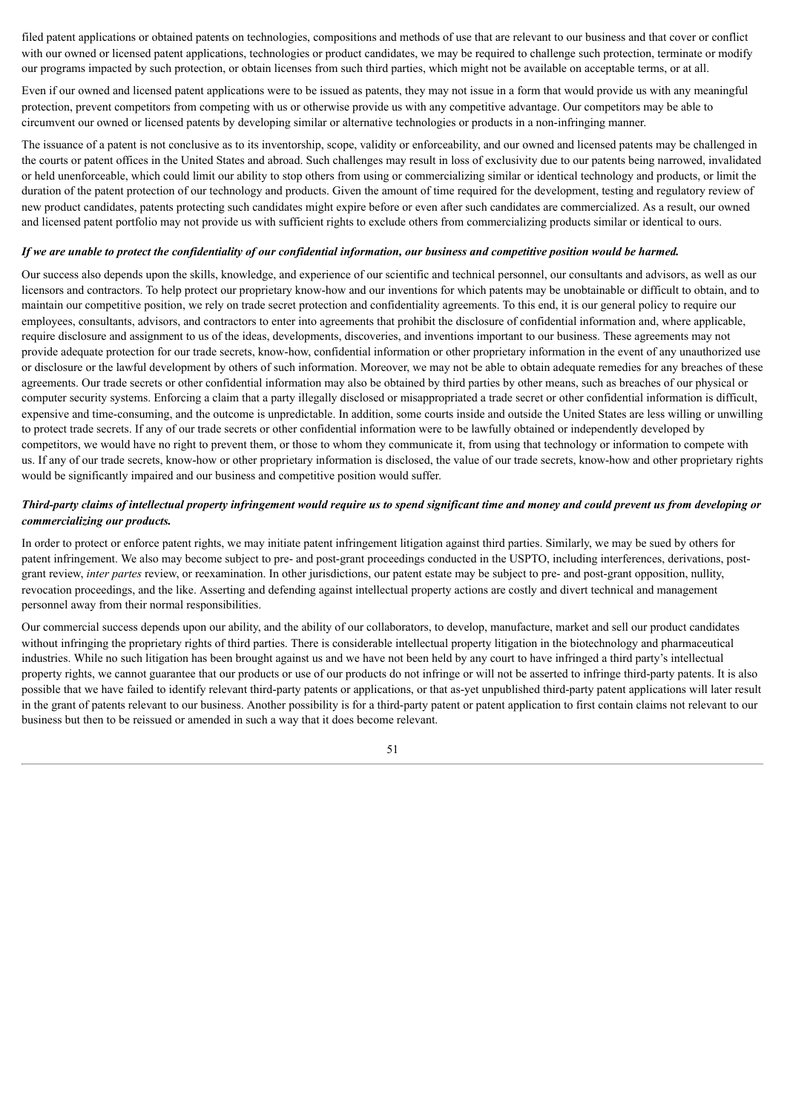filed patent applications or obtained patents on technologies, compositions and methods of use that are relevant to our business and that cover or conflict with our owned or licensed patent applications, technologies or product candidates, we may be required to challenge such protection, terminate or modify our programs impacted by such protection, or obtain licenses from such third parties, which might not be available on acceptable terms, or at all.

Even if our owned and licensed patent applications were to be issued as patents, they may not issue in a form that would provide us with any meaningful protection, prevent competitors from competing with us or otherwise provide us with any competitive advantage. Our competitors may be able to circumvent our owned or licensed patents by developing similar or alternative technologies or products in a non-infringing manner.

The issuance of a patent is not conclusive as to its inventorship, scope, validity or enforceability, and our owned and licensed patents may be challenged in the courts or patent offices in the United States and abroad. Such challenges may result in loss of exclusivity due to our patents being narrowed, invalidated or held unenforceable, which could limit our ability to stop others from using or commercializing similar or identical technology and products, or limit the duration of the patent protection of our technology and products. Given the amount of time required for the development, testing and regulatory review of new product candidates, patents protecting such candidates might expire before or even after such candidates are commercialized. As a result, our owned and licensed patent portfolio may not provide us with sufficient rights to exclude others from commercializing products similar or identical to ours.

#### If we are unable to protect the confidentiality of our confidential information, our business and competitive position would be harmed.

Our success also depends upon the skills, knowledge, and experience of our scientific and technical personnel, our consultants and advisors, as well as our licensors and contractors. To help protect our proprietary know-how and our inventions for which patents may be unobtainable or difficult to obtain, and to maintain our competitive position, we rely on trade secret protection and confidentiality agreements. To this end, it is our general policy to require our employees, consultants, advisors, and contractors to enter into agreements that prohibit the disclosure of confidential information and, where applicable, require disclosure and assignment to us of the ideas, developments, discoveries, and inventions important to our business. These agreements may not provide adequate protection for our trade secrets, know-how, confidential information or other proprietary information in the event of any unauthorized use or disclosure or the lawful development by others of such information. Moreover, we may not be able to obtain adequate remedies for any breaches of these agreements. Our trade secrets or other confidential information may also be obtained by third parties by other means, such as breaches of our physical or computer security systems. Enforcing a claim that a party illegally disclosed or misappropriated a trade secret or other confidential information is difficult, expensive and time-consuming, and the outcome is unpredictable. In addition, some courts inside and outside the United States are less willing or unwilling to protect trade secrets. If any of our trade secrets or other confidential information were to be lawfully obtained or independently developed by competitors, we would have no right to prevent them, or those to whom they communicate it, from using that technology or information to compete with us. If any of our trade secrets, know-how or other proprietary information is disclosed, the value of our trade secrets, know-how and other proprietary rights would be significantly impaired and our business and competitive position would suffer.

# Third-party claims of intellectual property infringement would require us to spend significant time and money and could prevent us from developing or *commercializing our products.*

In order to protect or enforce patent rights, we may initiate patent infringement litigation against third parties. Similarly, we may be sued by others for patent infringement. We also may become subject to pre- and post-grant proceedings conducted in the USPTO, including interferences, derivations, postgrant review, *inter partes* review, or reexamination. In other jurisdictions, our patent estate may be subject to pre- and post-grant opposition, nullity, revocation proceedings, and the like. Asserting and defending against intellectual property actions are costly and divert technical and management personnel away from their normal responsibilities.

Our commercial success depends upon our ability, and the ability of our collaborators, to develop, manufacture, market and sell our product candidates without infringing the proprietary rights of third parties. There is considerable intellectual property litigation in the biotechnology and pharmaceutical industries. While no such litigation has been brought against us and we have not been held by any court to have infringed a third party's intellectual property rights, we cannot guarantee that our products or use of our products do not infringe or will not be asserted to infringe third-party patents. It is also possible that we have failed to identify relevant third-party patents or applications, or that as-yet unpublished third-party patent applications will later result in the grant of patents relevant to our business. Another possibility is for a third-party patent or patent application to first contain claims not relevant to our business but then to be reissued or amended in such a way that it does become relevant.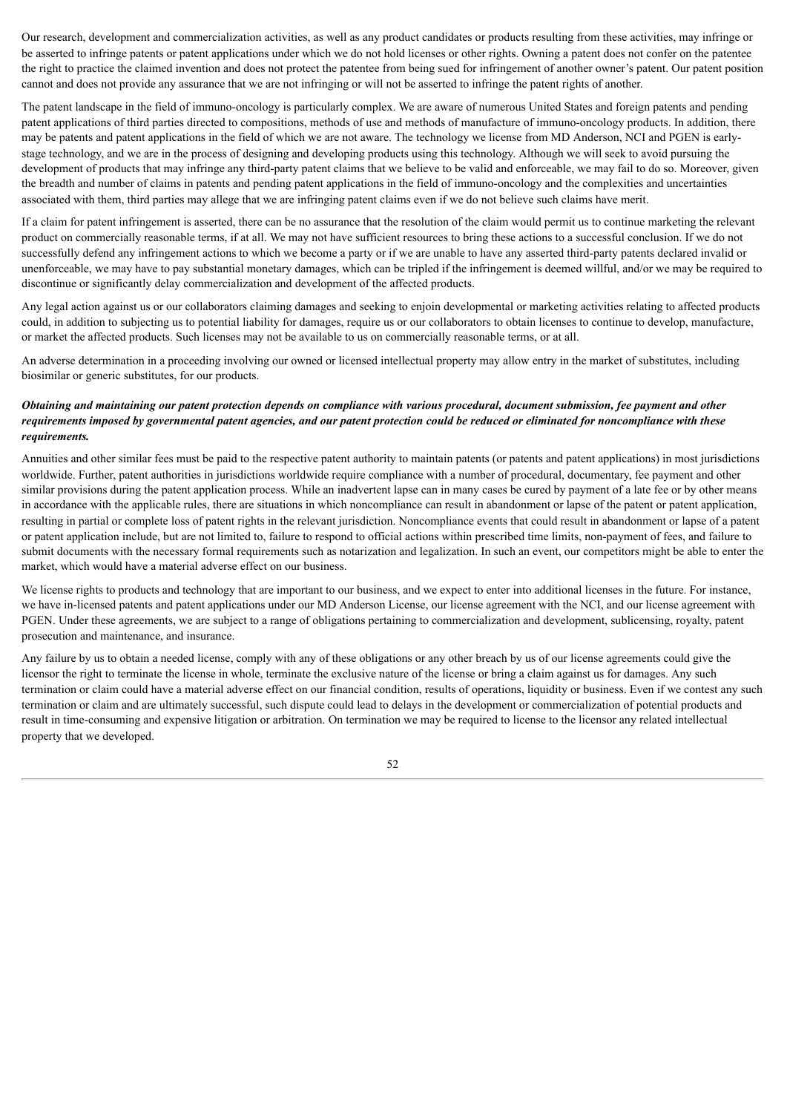Our research, development and commercialization activities, as well as any product candidates or products resulting from these activities, may infringe or be asserted to infringe patents or patent applications under which we do not hold licenses or other rights. Owning a patent does not confer on the patentee the right to practice the claimed invention and does not protect the patentee from being sued for infringement of another owner's patent. Our patent position cannot and does not provide any assurance that we are not infringing or will not be asserted to infringe the patent rights of another.

The patent landscape in the field of immuno-oncology is particularly complex. We are aware of numerous United States and foreign patents and pending patent applications of third parties directed to compositions, methods of use and methods of manufacture of immuno-oncology products. In addition, there may be patents and patent applications in the field of which we are not aware. The technology we license from MD Anderson, NCI and PGEN is earlystage technology, and we are in the process of designing and developing products using this technology. Although we will seek to avoid pursuing the development of products that may infringe any third-party patent claims that we believe to be valid and enforceable, we may fail to do so. Moreover, given the breadth and number of claims in patents and pending patent applications in the field of immuno-oncology and the complexities and uncertainties associated with them, third parties may allege that we are infringing patent claims even if we do not believe such claims have merit.

If a claim for patent infringement is asserted, there can be no assurance that the resolution of the claim would permit us to continue marketing the relevant product on commercially reasonable terms, if at all. We may not have sufficient resources to bring these actions to a successful conclusion. If we do not successfully defend any infringement actions to which we become a party or if we are unable to have any asserted third-party patents declared invalid or unenforceable, we may have to pay substantial monetary damages, which can be tripled if the infringement is deemed willful, and/or we may be required to discontinue or significantly delay commercialization and development of the affected products.

Any legal action against us or our collaborators claiming damages and seeking to enjoin developmental or marketing activities relating to affected products could, in addition to subjecting us to potential liability for damages, require us or our collaborators to obtain licenses to continue to develop, manufacture, or market the affected products. Such licenses may not be available to us on commercially reasonable terms, or at all.

An adverse determination in a proceeding involving our owned or licensed intellectual property may allow entry in the market of substitutes, including biosimilar or generic substitutes, for our products.

# Obtaining and maintaining our patent protection depends on compliance with various procedural, document submission, fee payment and other requirements imposed by governmental patent agencies, and our patent protection could be reduced or eliminated for noncompliance with these *requirements.*

Annuities and other similar fees must be paid to the respective patent authority to maintain patents (or patents and patent applications) in most jurisdictions worldwide. Further, patent authorities in jurisdictions worldwide require compliance with a number of procedural, documentary, fee payment and other similar provisions during the patent application process. While an inadvertent lapse can in many cases be cured by payment of a late fee or by other means in accordance with the applicable rules, there are situations in which noncompliance can result in abandonment or lapse of the patent or patent application, resulting in partial or complete loss of patent rights in the relevant jurisdiction. Noncompliance events that could result in abandonment or lapse of a patent or patent application include, but are not limited to, failure to respond to official actions within prescribed time limits, non-payment of fees, and failure to submit documents with the necessary formal requirements such as notarization and legalization. In such an event, our competitors might be able to enter the market, which would have a material adverse effect on our business.

We license rights to products and technology that are important to our business, and we expect to enter into additional licenses in the future. For instance, we have in-licensed patents and patent applications under our MD Anderson License, our license agreement with the NCI, and our license agreement with PGEN. Under these agreements, we are subject to a range of obligations pertaining to commercialization and development, sublicensing, royalty, patent prosecution and maintenance, and insurance.

Any failure by us to obtain a needed license, comply with any of these obligations or any other breach by us of our license agreements could give the licensor the right to terminate the license in whole, terminate the exclusive nature of the license or bring a claim against us for damages. Any such termination or claim could have a material adverse effect on our financial condition, results of operations, liquidity or business. Even if we contest any such termination or claim and are ultimately successful, such dispute could lead to delays in the development or commercialization of potential products and result in time-consuming and expensive litigation or arbitration. On termination we may be required to license to the licensor any related intellectual property that we developed.

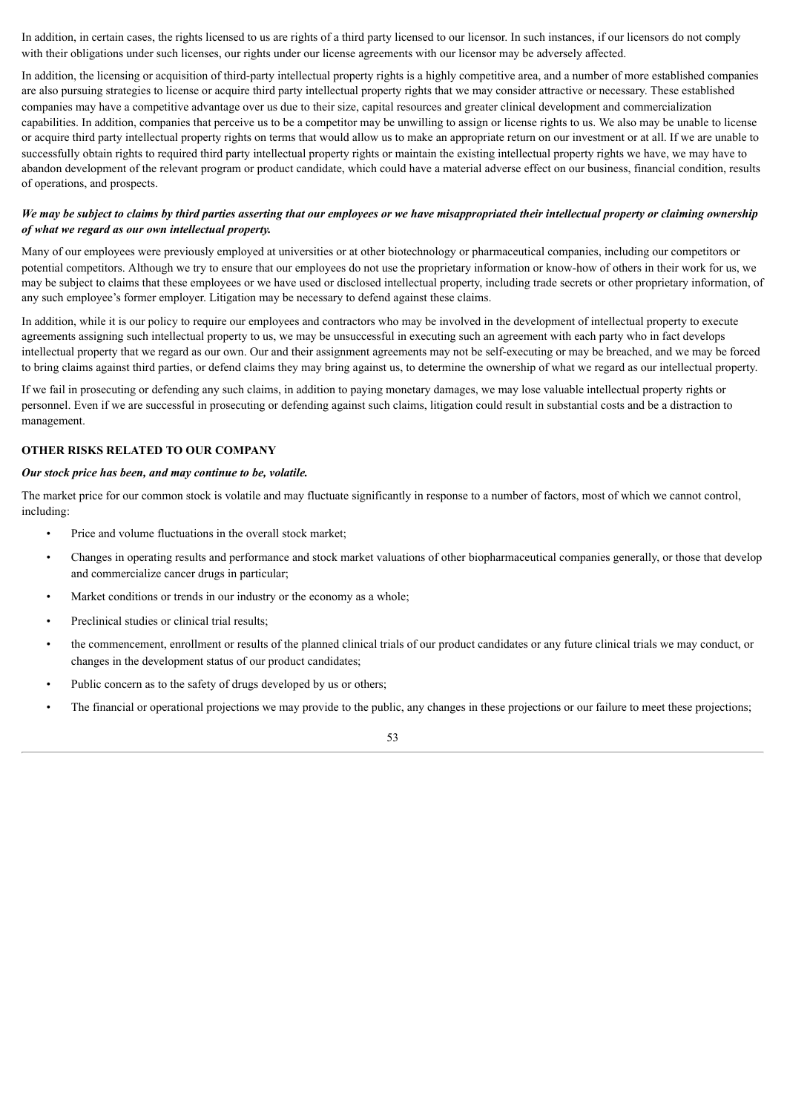In addition, in certain cases, the rights licensed to us are rights of a third party licensed to our licensor. In such instances, if our licensors do not comply with their obligations under such licenses, our rights under our license agreements with our licensor may be adversely affected.

In addition, the licensing or acquisition of third-party intellectual property rights is a highly competitive area, and a number of more established companies are also pursuing strategies to license or acquire third party intellectual property rights that we may consider attractive or necessary. These established companies may have a competitive advantage over us due to their size, capital resources and greater clinical development and commercialization capabilities. In addition, companies that perceive us to be a competitor may be unwilling to assign or license rights to us. We also may be unable to license or acquire third party intellectual property rights on terms that would allow us to make an appropriate return on our investment or at all. If we are unable to successfully obtain rights to required third party intellectual property rights or maintain the existing intellectual property rights we have, we may have to abandon development of the relevant program or product candidate, which could have a material adverse effect on our business, financial condition, results of operations, and prospects.

### We may be subject to claims by third parties asserting that our employees or we have misappropriated their intellectual property or claiming ownership *of what we regard as our own intellectual property.*

Many of our employees were previously employed at universities or at other biotechnology or pharmaceutical companies, including our competitors or potential competitors. Although we try to ensure that our employees do not use the proprietary information or know-how of others in their work for us, we may be subject to claims that these employees or we have used or disclosed intellectual property, including trade secrets or other proprietary information, of any such employee's former employer. Litigation may be necessary to defend against these claims.

In addition, while it is our policy to require our employees and contractors who may be involved in the development of intellectual property to execute agreements assigning such intellectual property to us, we may be unsuccessful in executing such an agreement with each party who in fact develops intellectual property that we regard as our own. Our and their assignment agreements may not be self-executing or may be breached, and we may be forced to bring claims against third parties, or defend claims they may bring against us, to determine the ownership of what we regard as our intellectual property.

If we fail in prosecuting or defending any such claims, in addition to paying monetary damages, we may lose valuable intellectual property rights or personnel. Even if we are successful in prosecuting or defending against such claims, litigation could result in substantial costs and be a distraction to management.

# **OTHER RISKS RELATED TO OUR COMPANY**

#### *Our stock price has been, and may continue to be, volatile.*

The market price for our common stock is volatile and may fluctuate significantly in response to a number of factors, most of which we cannot control, including:

- Price and volume fluctuations in the overall stock market;
- Changes in operating results and performance and stock market valuations of other biopharmaceutical companies generally, or those that develop and commercialize cancer drugs in particular;
- Market conditions or trends in our industry or the economy as a whole;
- Preclinical studies or clinical trial results;
- the commencement, enrollment or results of the planned clinical trials of our product candidates or any future clinical trials we may conduct, or changes in the development status of our product candidates;
- Public concern as to the safety of drugs developed by us or others;
- The financial or operational projections we may provide to the public, any changes in these projections or our failure to meet these projections;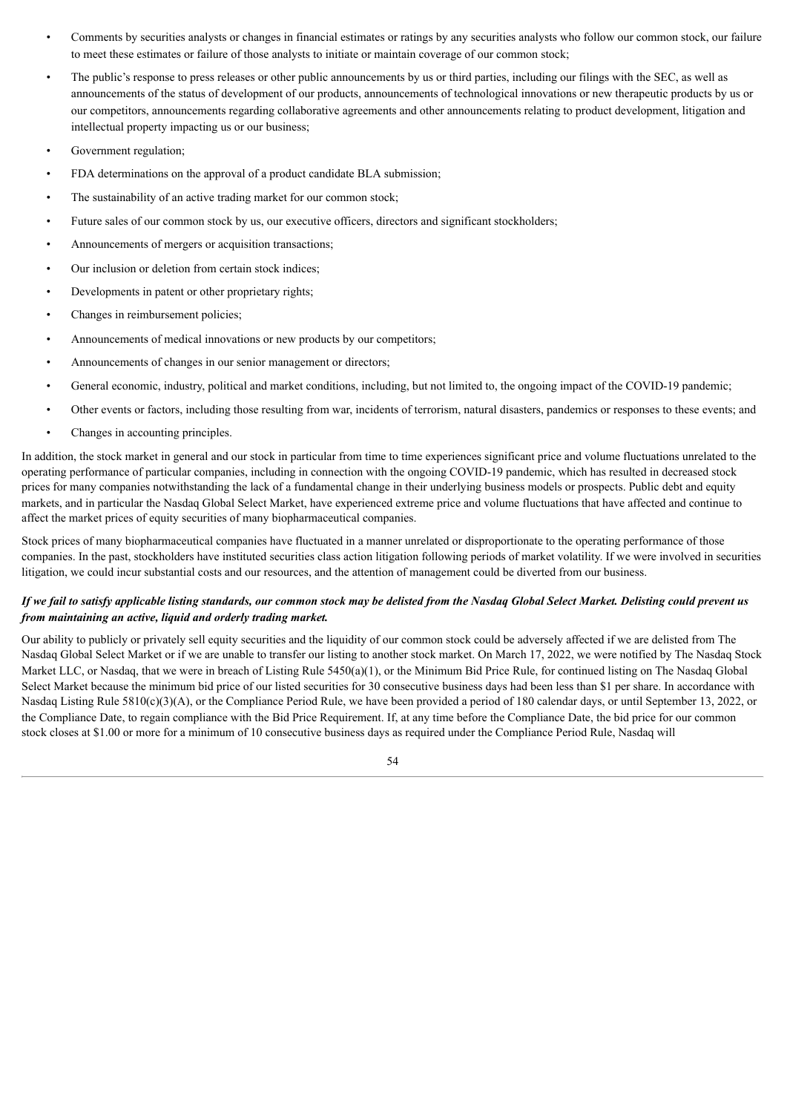- Comments by securities analysts or changes in financial estimates or ratings by any securities analysts who follow our common stock, our failure to meet these estimates or failure of those analysts to initiate or maintain coverage of our common stock;
- The public's response to press releases or other public announcements by us or third parties, including our filings with the SEC, as well as announcements of the status of development of our products, announcements of technological innovations or new therapeutic products by us or our competitors, announcements regarding collaborative agreements and other announcements relating to product development, litigation and intellectual property impacting us or our business;
- Government regulation;
- FDA determinations on the approval of a product candidate BLA submission;
- The sustainability of an active trading market for our common stock;
- Future sales of our common stock by us, our executive officers, directors and significant stockholders;
- Announcements of mergers or acquisition transactions;
- Our inclusion or deletion from certain stock indices;
- Developments in patent or other proprietary rights;
- Changes in reimbursement policies;
- Announcements of medical innovations or new products by our competitors;
- Announcements of changes in our senior management or directors;
- General economic, industry, political and market conditions, including, but not limited to, the ongoing impact of the COVID-19 pandemic;
- Other events or factors, including those resulting from war, incidents of terrorism, natural disasters, pandemics or responses to these events; and
- Changes in accounting principles.

In addition, the stock market in general and our stock in particular from time to time experiences significant price and volume fluctuations unrelated to the operating performance of particular companies, including in connection with the ongoing COVID-19 pandemic, which has resulted in decreased stock prices for many companies notwithstanding the lack of a fundamental change in their underlying business models or prospects. Public debt and equity markets, and in particular the Nasdaq Global Select Market, have experienced extreme price and volume fluctuations that have affected and continue to affect the market prices of equity securities of many biopharmaceutical companies.

Stock prices of many biopharmaceutical companies have fluctuated in a manner unrelated or disproportionate to the operating performance of those companies. In the past, stockholders have instituted securities class action litigation following periods of market volatility. If we were involved in securities litigation, we could incur substantial costs and our resources, and the attention of management could be diverted from our business.

# If we fail to satisfy applicable listing standards, our common stock may be delisted from the Nasdaq Global Select Market. Delisting could prevent us *from maintaining an active, liquid and orderly trading market.*

Our ability to publicly or privately sell equity securities and the liquidity of our common stock could be adversely affected if we are delisted from The Nasdaq Global Select Market or if we are unable to transfer our listing to another stock market. On March 17, 2022, we were notified by The Nasdaq Stock Market LLC, or Nasdaq, that we were in breach of Listing Rule 5450(a)(1), or the Minimum Bid Price Rule, for continued listing on The Nasdaq Global Select Market because the minimum bid price of our listed securities for 30 consecutive business days had been less than \$1 per share. In accordance with Nasdaq Listing Rule 5810(c)(3)(A), or the Compliance Period Rule, we have been provided a period of 180 calendar days, or until September 13, 2022, or the Compliance Date, to regain compliance with the Bid Price Requirement. If, at any time before the Compliance Date, the bid price for our common stock closes at \$1.00 or more for a minimum of 10 consecutive business days as required under the Compliance Period Rule, Nasdaq will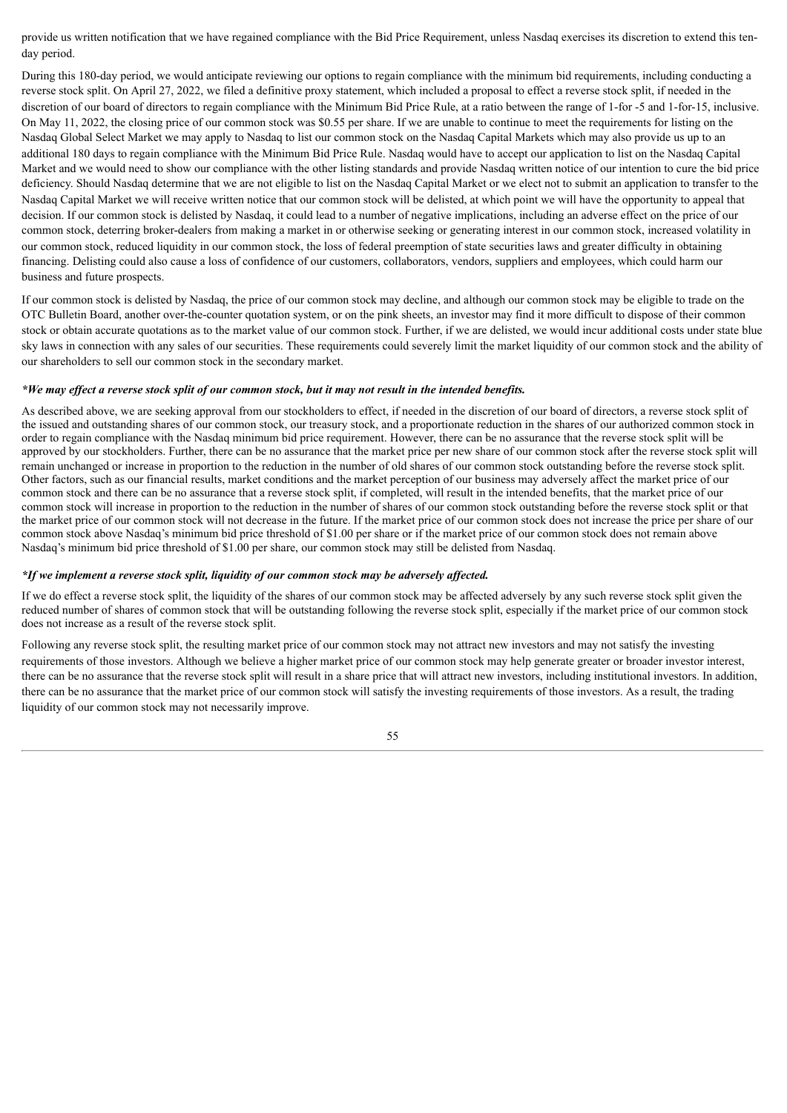provide us written notification that we have regained compliance with the Bid Price Requirement, unless Nasdaq exercises its discretion to extend this tenday period.

During this 180-day period, we would anticipate reviewing our options to regain compliance with the minimum bid requirements, including conducting a reverse stock split. On April 27, 2022, we filed a definitive proxy statement, which included a proposal to effect a reverse stock split, if needed in the discretion of our board of directors to regain compliance with the Minimum Bid Price Rule, at a ratio between the range of 1-for -5 and 1-for-15, inclusive. On May 11, 2022, the closing price of our common stock was \$0.55 per share. If we are unable to continue to meet the requirements for listing on the Nasdaq Global Select Market we may apply to Nasdaq to list our common stock on the Nasdaq Capital Markets which may also provide us up to an additional 180 days to regain compliance with the Minimum Bid Price Rule. Nasdaq would have to accept our application to list on the Nasdaq Capital Market and we would need to show our compliance with the other listing standards and provide Nasdaq written notice of our intention to cure the bid price deficiency. Should Nasdaq determine that we are not eligible to list on the Nasdaq Capital Market or we elect not to submit an application to transfer to the Nasdaq Capital Market we will receive written notice that our common stock will be delisted, at which point we will have the opportunity to appeal that decision. If our common stock is delisted by Nasdaq, it could lead to a number of negative implications, including an adverse effect on the price of our common stock, deterring broker-dealers from making a market in or otherwise seeking or generating interest in our common stock, increased volatility in our common stock, reduced liquidity in our common stock, the loss of federal preemption of state securities laws and greater difficulty in obtaining financing. Delisting could also cause a loss of confidence of our customers, collaborators, vendors, suppliers and employees, which could harm our business and future prospects.

If our common stock is delisted by Nasdaq, the price of our common stock may decline, and although our common stock may be eligible to trade on the OTC Bulletin Board, another over-the-counter quotation system, or on the pink sheets, an investor may find it more difficult to dispose of their common stock or obtain accurate quotations as to the market value of our common stock. Further, if we are delisted, we would incur additional costs under state blue sky laws in connection with any sales of our securities. These requirements could severely limit the market liquidity of our common stock and the ability of our shareholders to sell our common stock in the secondary market.

#### \*We may effect a reverse stock split of our common stock, but it may not result in the intended benefits.

As described above, we are seeking approval from our stockholders to effect, if needed in the discretion of our board of directors, a reverse stock split of the issued and outstanding shares of our common stock, our treasury stock, and a proportionate reduction in the shares of our authorized common stock in order to regain compliance with the Nasdaq minimum bid price requirement. However, there can be no assurance that the reverse stock split will be approved by our stockholders. Further, there can be no assurance that the market price per new share of our common stock after the reverse stock split will remain unchanged or increase in proportion to the reduction in the number of old shares of our common stock outstanding before the reverse stock split. Other factors, such as our financial results, market conditions and the market perception of our business may adversely affect the market price of our common stock and there can be no assurance that a reverse stock split, if completed, will result in the intended benefits, that the market price of our common stock will increase in proportion to the reduction in the number of shares of our common stock outstanding before the reverse stock split or that the market price of our common stock will not decrease in the future. If the market price of our common stock does not increase the price per share of our common stock above Nasdaq's minimum bid price threshold of \$1.00 per share or if the market price of our common stock does not remain above Nasdaq's minimum bid price threshold of \$1.00 per share, our common stock may still be delisted from Nasdaq.

#### *\*If we implement a reverse stock split, liquidity of our common stock may be adversely af ected.*

If we do effect a reverse stock split, the liquidity of the shares of our common stock may be affected adversely by any such reverse stock split given the reduced number of shares of common stock that will be outstanding following the reverse stock split, especially if the market price of our common stock does not increase as a result of the reverse stock split.

Following any reverse stock split, the resulting market price of our common stock may not attract new investors and may not satisfy the investing requirements of those investors. Although we believe a higher market price of our common stock may help generate greater or broader investor interest, there can be no assurance that the reverse stock split will result in a share price that will attract new investors, including institutional investors. In addition, there can be no assurance that the market price of our common stock will satisfy the investing requirements of those investors. As a result, the trading liquidity of our common stock may not necessarily improve.

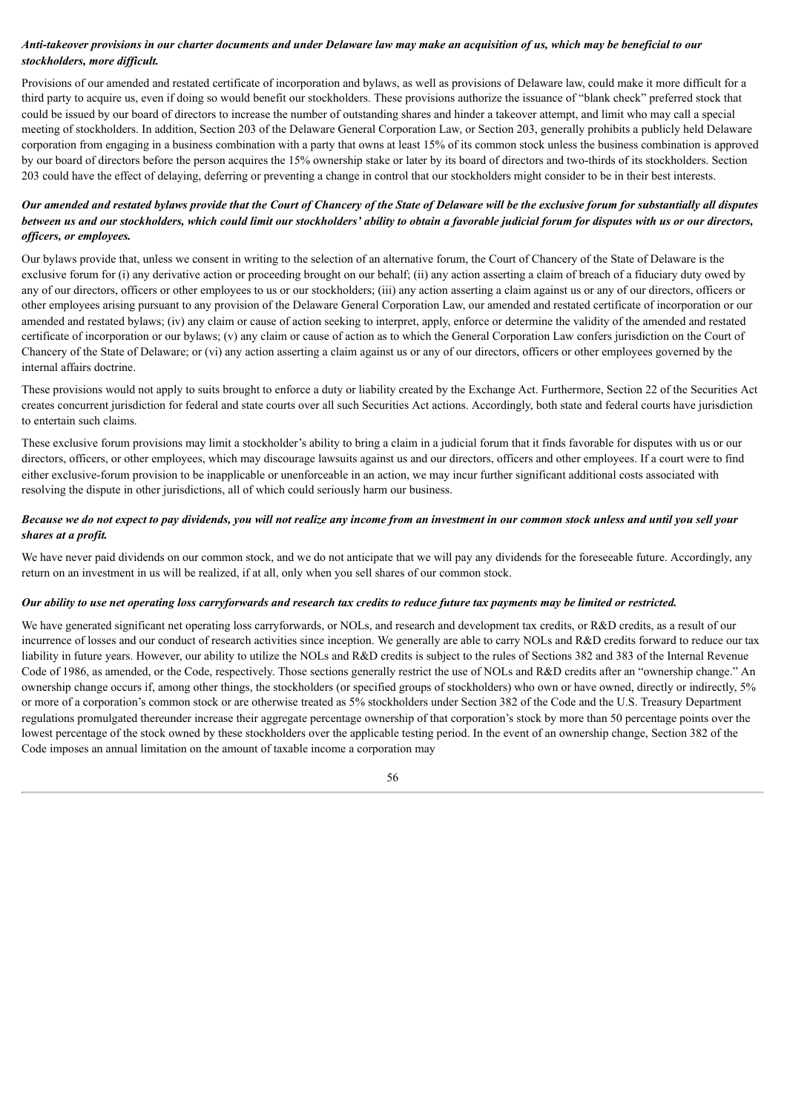# Anti-takeover provisions in our charter documents and under Delaware law may make an acquisition of us, which may be beneficial to our *stockholders, more dif icult.*

Provisions of our amended and restated certificate of incorporation and bylaws, as well as provisions of Delaware law, could make it more difficult for a third party to acquire us, even if doing so would benefit our stockholders. These provisions authorize the issuance of "blank check" preferred stock that could be issued by our board of directors to increase the number of outstanding shares and hinder a takeover attempt, and limit who may call a special meeting of stockholders. In addition, Section 203 of the Delaware General Corporation Law, or Section 203, generally prohibits a publicly held Delaware corporation from engaging in a business combination with a party that owns at least 15% of its common stock unless the business combination is approved by our board of directors before the person acquires the 15% ownership stake or later by its board of directors and two-thirds of its stockholders. Section 203 could have the effect of delaying, deferring or preventing a change in control that our stockholders might consider to be in their best interests.

# Our amended and restated bylaws provide that the Court of Chancery of the State of Delaware will be the exclusive forum for substantially all disputes between us and our stockholders, which could limit our stockholders' ability to obtain a favorable judicial forum for disputes with us or our directors, *of icers, or employees.*

Our bylaws provide that, unless we consent in writing to the selection of an alternative forum, the Court of Chancery of the State of Delaware is the exclusive forum for (i) any derivative action or proceeding brought on our behalf; (ii) any action asserting a claim of breach of a fiduciary duty owed by any of our directors, officers or other employees to us or our stockholders; (iii) any action asserting a claim against us or any of our directors, officers or other employees arising pursuant to any provision of the Delaware General Corporation Law, our amended and restated certificate of incorporation or our amended and restated bylaws; (iv) any claim or cause of action seeking to interpret, apply, enforce or determine the validity of the amended and restated certificate of incorporation or our bylaws; (v) any claim or cause of action as to which the General Corporation Law confers jurisdiction on the Court of Chancery of the State of Delaware; or (vi) any action asserting a claim against us or any of our directors, officers or other employees governed by the internal affairs doctrine.

These provisions would not apply to suits brought to enforce a duty or liability created by the Exchange Act. Furthermore, Section 22 of the Securities Act creates concurrent jurisdiction for federal and state courts over all such Securities Act actions. Accordingly, both state and federal courts have jurisdiction to entertain such claims.

These exclusive forum provisions may limit a stockholder's ability to bring a claim in a judicial forum that it finds favorable for disputes with us or our directors, officers, or other employees, which may discourage lawsuits against us and our directors, officers and other employees. If a court were to find either exclusive-forum provision to be inapplicable or unenforceable in an action, we may incur further significant additional costs associated with resolving the dispute in other jurisdictions, all of which could seriously harm our business.

# Because we do not expect to pay dividends, you will not realize any income from an investment in our common stock unless and until you sell your *shares at a profit.*

We have never paid dividends on our common stock, and we do not anticipate that we will pay any dividends for the foreseeable future. Accordingly, any return on an investment in us will be realized, if at all, only when you sell shares of our common stock.

#### Our ability to use net operating loss carryforwards and research tax credits to reduce future tax payments may be limited or restricted.

We have generated significant net operating loss carryforwards, or NOLs, and research and development tax credits, or R&D credits, as a result of our incurrence of losses and our conduct of research activities since inception. We generally are able to carry NOLs and R&D credits forward to reduce our tax liability in future years. However, our ability to utilize the NOLs and R&D credits is subject to the rules of Sections 382 and 383 of the Internal Revenue Code of 1986, as amended, or the Code, respectively. Those sections generally restrict the use of NOLs and R&D credits after an "ownership change." An ownership change occurs if, among other things, the stockholders (or specified groups of stockholders) who own or have owned, directly or indirectly, 5% or more of a corporation's common stock or are otherwise treated as 5% stockholders under Section 382 of the Code and the U.S. Treasury Department regulations promulgated thereunder increase their aggregate percentage ownership of that corporation's stock by more than 50 percentage points over the lowest percentage of the stock owned by these stockholders over the applicable testing period. In the event of an ownership change, Section 382 of the Code imposes an annual limitation on the amount of taxable income a corporation may

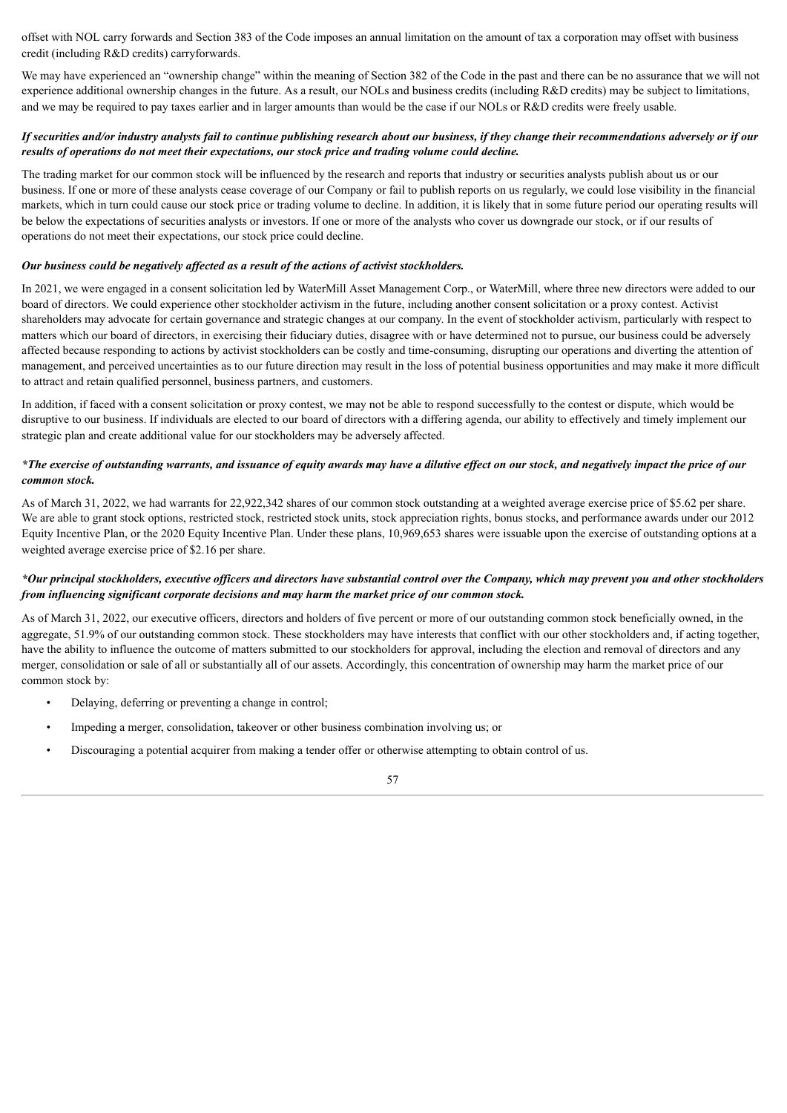offset with NOL carry forwards and Section 383 of the Code imposes an annual limitation on the amount of tax a corporation may offset with business credit (including R&D credits) carryforwards.

We may have experienced an "ownership change" within the meaning of Section 382 of the Code in the past and there can be no assurance that we will not experience additional ownership changes in the future. As a result, our NOLs and business credits (including R&D credits) may be subject to limitations, and we may be required to pay taxes earlier and in larger amounts than would be the case if our NOLs or R&D credits were freely usable.

# If securities and/or industry analysts fail to continue publishing research about our business, if they change their recommendations adversely or if our *results of operations do not meet their expectations, our stock price and trading volume could decline.*

The trading market for our common stock will be influenced by the research and reports that industry or securities analysts publish about us or our business. If one or more of these analysts cease coverage of our Company or fail to publish reports on us regularly, we could lose visibility in the financial markets, which in turn could cause our stock price or trading volume to decline. In addition, it is likely that in some future period our operating results will be below the expectations of securities analysts or investors. If one or more of the analysts who cover us downgrade our stock, or if our results of operations do not meet their expectations, our stock price could decline.

#### *Our business could be negatively af ected as a result of the actions of activist stockholders.*

In 2021, we were engaged in a consent solicitation led by WaterMill Asset Management Corp., or WaterMill, where three new directors were added to our board of directors. We could experience other stockholder activism in the future, including another consent solicitation or a proxy contest. Activist shareholders may advocate for certain governance and strategic changes at our company. In the event of stockholder activism, particularly with respect to matters which our board of directors, in exercising their fiduciary duties, disagree with or have determined not to pursue, our business could be adversely affected because responding to actions by activist stockholders can be costly and time-consuming, disrupting our operations and diverting the attention of management, and perceived uncertainties as to our future direction may result in the loss of potential business opportunities and may make it more difficult to attract and retain qualified personnel, business partners, and customers.

In addition, if faced with a consent solicitation or proxy contest, we may not be able to respond successfully to the contest or dispute, which would be disruptive to our business. If individuals are elected to our board of directors with a differing agenda, our ability to effectively and timely implement our strategic plan and create additional value for our stockholders may be adversely affected.

# \*The exercise of outstanding warrants, and issuance of equity awards may have a dilutive effect on our stock, and negatively impact the price of our *common stock.*

As of March 31, 2022, we had warrants for 22,922,342 shares of our common stock outstanding at a weighted average exercise price of \$5.62 per share. We are able to grant stock options, restricted stock, restricted stock units, stock appreciation rights, bonus stocks, and performance awards under our 2012 Equity Incentive Plan, or the 2020 Equity Incentive Plan. Under these plans, 10,969,653 shares were issuable upon the exercise of outstanding options at a weighted average exercise price of \$2.16 per share.

# \*Our principal stockholders, executive officers and directors have substantial control over the Company, which may prevent you and other stockholders *from influencing significant corporate decisions and may harm the market price of our common stock.*

As of March 31, 2022, our executive officers, directors and holders of five percent or more of our outstanding common stock beneficially owned, in the aggregate, 51.9% of our outstanding common stock. These stockholders may have interests that conflict with our other stockholders and, if acting together, have the ability to influence the outcome of matters submitted to our stockholders for approval, including the election and removal of directors and any merger, consolidation or sale of all or substantially all of our assets. Accordingly, this concentration of ownership may harm the market price of our common stock by:

- Delaying, deferring or preventing a change in control;
- Impeding a merger, consolidation, takeover or other business combination involving us; or
- Discouraging a potential acquirer from making a tender offer or otherwise attempting to obtain control of us.

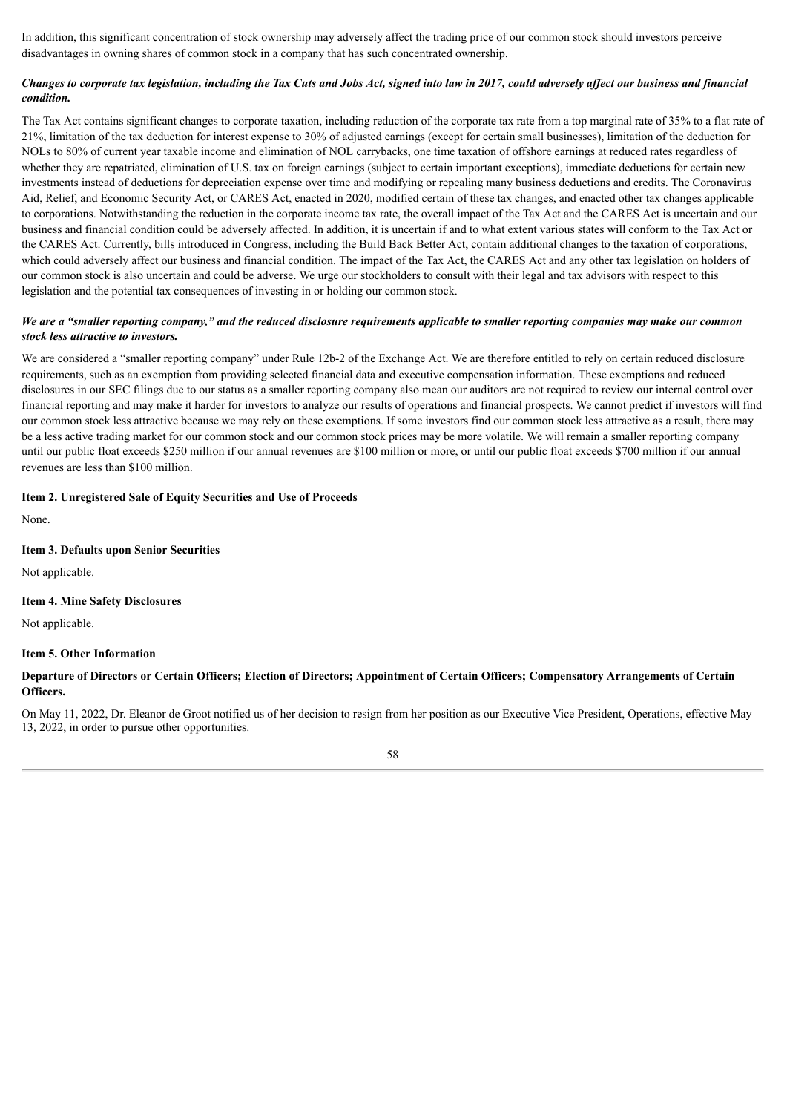In addition, this significant concentration of stock ownership may adversely affect the trading price of our common stock should investors perceive disadvantages in owning shares of common stock in a company that has such concentrated ownership.

# Changes to corporate tax legislation, including the Tax Cuts and Jobs Act, signed into law in 2017, could adversely affect our business and financial *condition.*

The Tax Act contains significant changes to corporate taxation, including reduction of the corporate tax rate from a top marginal rate of 35% to a flat rate of 21%, limitation of the tax deduction for interest expense to 30% of adjusted earnings (except for certain small businesses), limitation of the deduction for NOLs to 80% of current year taxable income and elimination of NOL carrybacks, one time taxation of offshore earnings at reduced rates regardless of whether they are repatriated, elimination of U.S. tax on foreign earnings (subject to certain important exceptions), immediate deductions for certain new investments instead of deductions for depreciation expense over time and modifying or repealing many business deductions and credits. The Coronavirus Aid, Relief, and Economic Security Act, or CARES Act, enacted in 2020, modified certain of these tax changes, and enacted other tax changes applicable to corporations. Notwithstanding the reduction in the corporate income tax rate, the overall impact of the Tax Act and the CARES Act is uncertain and our business and financial condition could be adversely affected. In addition, it is uncertain if and to what extent various states will conform to the Tax Act or the CARES Act. Currently, bills introduced in Congress, including the Build Back Better Act, contain additional changes to the taxation of corporations, which could adversely affect our business and financial condition. The impact of the Tax Act, the CARES Act and any other tax legislation on holders of our common stock is also uncertain and could be adverse. We urge our stockholders to consult with their legal and tax advisors with respect to this legislation and the potential tax consequences of investing in or holding our common stock.

# We are a "smaller reporting company," and the reduced disclosure requirements applicable to smaller reporting companies may make our common *stock less attractive to investors.*

We are considered a "smaller reporting company" under Rule 12b-2 of the Exchange Act. We are therefore entitled to rely on certain reduced disclosure requirements, such as an exemption from providing selected financial data and executive compensation information. These exemptions and reduced disclosures in our SEC filings due to our status as a smaller reporting company also mean our auditors are not required to review our internal control over financial reporting and may make it harder for investors to analyze our results of operations and financial prospects. We cannot predict if investors will find our common stock less attractive because we may rely on these exemptions. If some investors find our common stock less attractive as a result, there may be a less active trading market for our common stock and our common stock prices may be more volatile. We will remain a smaller reporting company until our public float exceeds \$250 million if our annual revenues are \$100 million or more, or until our public float exceeds \$700 million if our annual revenues are less than \$100 million.

# <span id="page-61-0"></span>**Item 2. Unregistered Sale of Equity Securities and Use of Proceeds**

None.

#### <span id="page-61-1"></span>**Item 3. Defaults upon Senior Securities**

Not applicable.

# <span id="page-61-2"></span>**Item 4. Mine Safety Disclosures**

Not applicable.

#### <span id="page-61-3"></span>**Item 5. Other Information**

# Departure of Directors or Certain Officers: Election of Directors: Appointment of Certain Officers: Compensatory Arrangements of Certain **Officers.**

On May 11, 2022, Dr. Eleanor de Groot notified us of her decision to resign from her position as our Executive Vice President, Operations, effective May 13, 2022, in order to pursue other opportunities.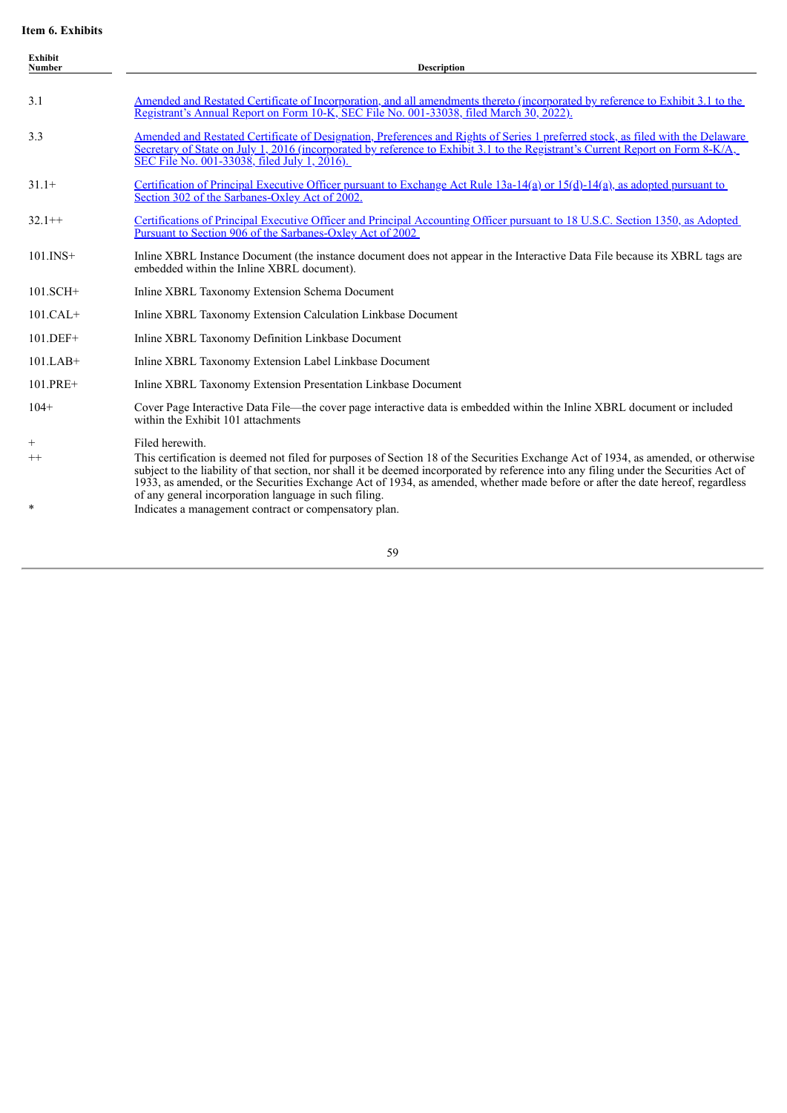# <span id="page-62-0"></span>**Item 6. Exhibits**

| <b>Exhibit</b><br>Number | <b>Description</b>                                                                                                                                                                                                                                                                                                                                                                                                                                                      |
|--------------------------|-------------------------------------------------------------------------------------------------------------------------------------------------------------------------------------------------------------------------------------------------------------------------------------------------------------------------------------------------------------------------------------------------------------------------------------------------------------------------|
| 3.1                      | <u>Amended and Restated Certificate of Incorporation, and all amendments thereto (incorporated by reference to Exhibit 3.1 to the</u><br>Registrant's Annual Report on Form 10-K, SEC File No. 001-33038, filed March 30, 2022).                                                                                                                                                                                                                                        |
| 3.3                      | Amended and Restated Certificate of Designation, Preferences and Rights of Series 1 preferred stock, as filed with the Delaware<br>Secretary of State on July 1, 2016 (incorporated by reference to Exhibit 3.1 to the Registrant's Current Report on Form 8-K/A,<br>SEC File No. 001-33038, filed July 1, 2016).                                                                                                                                                       |
| $31.1+$                  | Certification of Principal Executive Officer pursuant to Exchange Act Rule 13a-14(a) or 15(d)-14(a), as adopted pursuant to<br>Section 302 of the Sarbanes-Oxley Act of 2002.                                                                                                                                                                                                                                                                                           |
| $32.1++$                 | Certifications of Principal Executive Officer and Principal Accounting Officer pursuant to 18 U.S.C. Section 1350, as Adopted<br>Pursuant to Section 906 of the Sarbanes-Oxley Act of 2002                                                                                                                                                                                                                                                                              |
| $101$ . $INS+$           | Inline XBRL Instance Document (the instance document does not appear in the Interactive Data File because its XBRL tags are<br>embedded within the Inline XBRL document).                                                                                                                                                                                                                                                                                               |
| $101.SCH+$               | Inline XBRL Taxonomy Extension Schema Document                                                                                                                                                                                                                                                                                                                                                                                                                          |
| $101.CAI +$              | Inline XBRL Taxonomy Extension Calculation Linkbase Document                                                                                                                                                                                                                                                                                                                                                                                                            |
| $101.DEF+$               | Inline XBRL Taxonomy Definition Linkbase Document                                                                                                                                                                                                                                                                                                                                                                                                                       |
| $101.LAB+$               | Inline XBRL Taxonomy Extension Label Linkbase Document                                                                                                                                                                                                                                                                                                                                                                                                                  |
| $101.PRE+$               | Inline XBRL Taxonomy Extension Presentation Linkbase Document                                                                                                                                                                                                                                                                                                                                                                                                           |
| $104+$                   | Cover Page Interactive Data File—the cover page interactive data is embedded within the Inline XBRL document or included<br>within the Exhibit 101 attachments                                                                                                                                                                                                                                                                                                          |
| $^{+}$                   | Filed herewith.                                                                                                                                                                                                                                                                                                                                                                                                                                                         |
| $^{++}$                  | This certification is deemed not filed for purposes of Section 18 of the Securities Exchange Act of 1934, as amended, or otherwise<br>subject to the liability of that section, nor shall it be deemed incorporated by reference into any filing under the Securities Act of<br>1933, as amended, or the Securities Exchange Act of 1934, as amended, whether made before or after the date hereof, regardless<br>of any general incorporation language in such filing. |
| $\ast$                   | Indicates a management contract or compensatory plan.                                                                                                                                                                                                                                                                                                                                                                                                                   |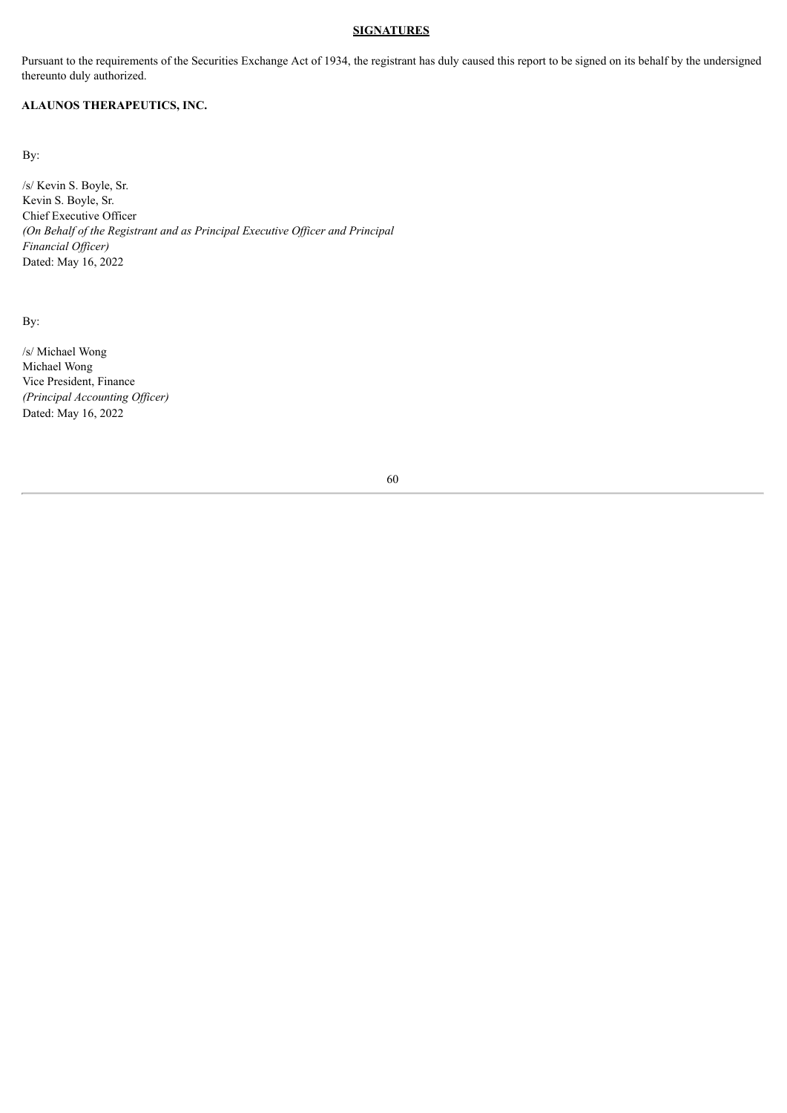# **SIGNATURES**

Pursuant to the requirements of the Securities Exchange Act of 1934, the registrant has duly caused this report to be signed on its behalf by the undersigned thereunto duly authorized.

# **ALAUNOS THERAPEUTICS, INC.**

By:

/s/ Kevin S. Boyle, Sr. Kevin S. Boyle, Sr. Chief Executive Officer *(On Behalf of the Registrant and as Principal Executive Of icer and Principal*  $Financial$  *Officer* $)$ Dated: May 16, 2022

By:

/s/ Michael Wong Michael Wong Vice President, Finance *(Principal Accounting Of icer)* Dated: May 16, 2022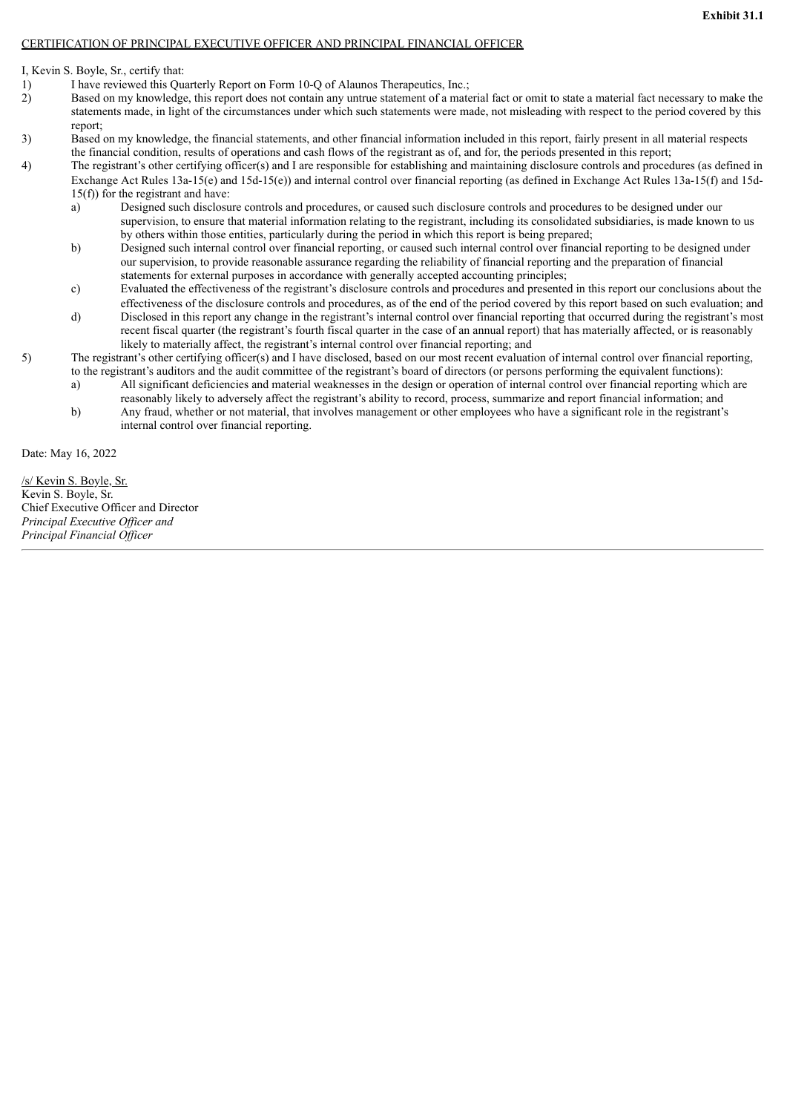### <span id="page-64-0"></span>CERTIFICATION OF PRINCIPAL EXECUTIVE OFFICER AND PRINCIPAL FINANCIAL OFFICER

I, Kevin S. Boyle, Sr., certify that:

- 1) I have reviewed this Quarterly Report on Form 10-Q of Alaunos Therapeutics, Inc.;
- 2) Based on my knowledge, this report does not contain any untrue statement of a material fact or omit to state a material fact necessary to make the statements made, in light of the circumstances under which such statements were made, not misleading with respect to the period covered by this report;
- 3) Based on my knowledge, the financial statements, and other financial information included in this report, fairly present in all material respects the financial condition, results of operations and cash flows of the registrant as of, and for, the periods presented in this report;
- 4) The registrant's other certifying officer(s) and I are responsible for establishing and maintaining disclosure controls and procedures (as defined in Exchange Act Rules 13a-15(e) and 15d-15(e)) and internal control over financial reporting (as defined in Exchange Act Rules 13a-15(f) and 15d-15(f)) for the registrant and have:
	- a) Designed such disclosure controls and procedures, or caused such disclosure controls and procedures to be designed under our supervision, to ensure that material information relating to the registrant, including its consolidated subsidiaries, is made known to us by others within those entities, particularly during the period in which this report is being prepared;
	- b) Designed such internal control over financial reporting, or caused such internal control over financial reporting to be designed under our supervision, to provide reasonable assurance regarding the reliability of financial reporting and the preparation of financial statements for external purposes in accordance with generally accepted accounting principles;
	- c) Evaluated the effectiveness of the registrant's disclosure controls and procedures and presented in this report our conclusions about the effectiveness of the disclosure controls and procedures, as of the end of the period covered by this report based on such evaluation; and
	- d) Disclosed in this report any change in the registrant's internal control over financial reporting that occurred during the registrant's most recent fiscal quarter (the registrant's fourth fiscal quarter in the case of an annual report) that has materially affected, or is reasonably likely to materially affect, the registrant's internal control over financial reporting; and
- 5) The registrant's other certifying officer(s) and I have disclosed, based on our most recent evaluation of internal control over financial reporting,
	- to the registrant's auditors and the audit committee of the registrant's board of directors (or persons performing the equivalent functions): a) All significant deficiencies and material weaknesses in the design or operation of internal control over financial reporting which are
	- reasonably likely to adversely affect the registrant's ability to record, process, summarize and report financial information; and b) Any fraud, whether or not material, that involves management or other employees who have a significant role in the registrant's internal control over financial reporting.

Date: May 16, 2022

/s/ Kevin S. Boyle, Sr. Kevin S. Boyle, Sr. Chief Executive Officer and Director *Principal Executive Of icer and Principal Financial Of icer*